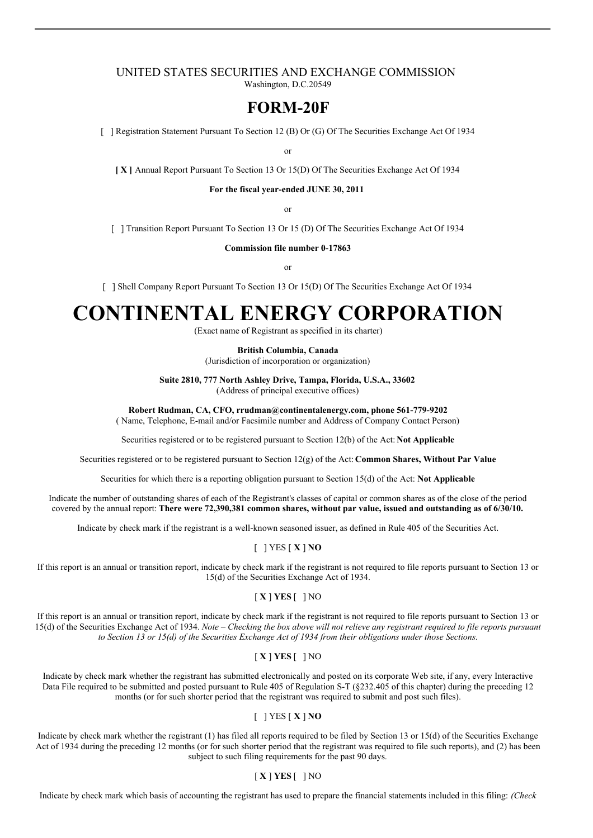#### UNITED STATES SECURITIES AND EXCHANGE COMMISSION Washington, D.C.20549

## **FORM-20F**

[ ] Registration Statement Pursuant To Section 12 (B) Or (G) Of The Securities Exchange Act Of 1934

or

**[ X ]** Annual Report Pursuant To Section 13 Or 15(D) Of The Securities Exchange Act Of 1934

**For the fiscal year-ended JUNE 30, 2011**

or

[ ] Transition Report Pursuant To Section 13 Or 15 (D) Of The Securities Exchange Act Of 1934

**Commission file number 0-17863**

or

[ ] Shell Company Report Pursuant To Section 13 Or 15(D) Of The Securities Exchange Act Of 1934

# **CONTINENTAL ENERGY CORPORATION**

(Exact name of Registrant as specified in its charter)

**British Columbia, Canada**

(Jurisdiction of incorporation or organization)

**Suite 2810, 777 North Ashley Drive, Tampa, Florida, U.S.A., 33602**

(Address of principal executive offices)

**Robert Rudman, CA, CFO, rrudman@continentalenergy.com, phone 561-779-9202**

( Name, Telephone, E-mail and/or Facsimile number and Address of Company Contact Person)

Securities registered or to be registered pursuant to Section 12(b) of the Act: **Not Applicable**

Securities registered or to be registered pursuant to Section 12(g) of the Act: **Common Shares, Without Par Value**

Securities for which there is a reporting obligation pursuant to Section 15(d) of the Act: **Not Applicable**

Indicate the number of outstanding shares of each of the Registrant's classes of capital or common shares as of the close of the period covered by the annual report: **There were 72,390,381 common shares, without par value, issued and outstanding as of 6/30/10.**

Indicate by check mark if the registrant is a well-known seasoned issuer, as defined in Rule 405 of the Securities Act.

#### [ ] YES [ **X** ] **NO**

If this report is an annual or transition report, indicate by check mark if the registrant is not required to file reports pursuant to Section 13 or 15(d) of the Securities Exchange Act of 1934.

#### [ **X** ] **YES** [ ] NO

If this report is an annual or transition report, indicate by check mark if the registrant is not required to file reports pursuant to Section 13 or 15(d) of the Securities Exchange Act of 1934. Note - Checking the box above will not relieve any registrant required to file reports pursuant to Section 13 or 15(d) of the Securities Exchange Act of 1934 from their obligations under those Sections.

## [ **X** ] **YES** [ ] NO

Indicate by check mark whether the registrant has submitted electronically and posted on its corporate Web site, if any, every Interactive Data File required to be submitted and posted pursuant to Rule 405 of Regulation S-T (§232.405 of this chapter) during the preceding 12 months (or for such shorter period that the registrant was required to submit and post such files).

## [ ] YES [ **X** ] **NO**

Indicate by check mark whether the registrant (1) has filed all reports required to be filed by Section 13 or 15(d) of the Securities Exchange Act of 1934 during the preceding 12 months (or for such shorter period that the registrant was required to file such reports), and (2) has been subject to such filing requirements for the past 90 days.

#### [ **X** ] **YES** [ ] NO

Indicate by check mark which basis of accounting the registrant has used to prepare the financial statements included in this filing: *(Check*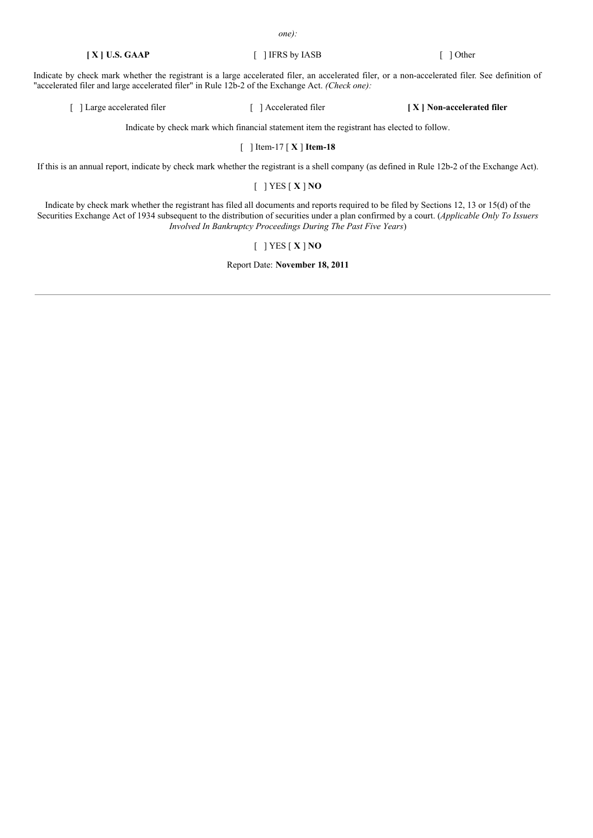*one):*

Indicate by check mark whether the registrant is a large accelerated filer, an accelerated filer, or a non-accelerated filer. See definition of "accelerated filer and large accelerated filer" in Rule 12b-2 of the Exchange Act. *(Check one):*

[ ] Large accelerated filer [ ] Accelerated filer **[ X ] Non-accelerated filer**

Indicate by check mark which financial statement item the registrant has elected to follow.

[ ] Item-17 [ **X** ] **Item-18**

If this is an annual report, indicate by check mark whether the registrant is a shell company (as defined in Rule 12b-2 of the Exchange Act).

[ ] YES [ **X** ] **NO**

Indicate by check mark whether the registrant has filed all documents and reports required to be filed by Sections 12, 13 or 15(d) of the Securities Exchange Act of 1934 subsequent to the distribution of securities under a plan confirmed by a court. (*Applicable Only To Issuers Involved In Bankruptcy Proceedings During The Past Five Years*)

## [ ] YES [ **X** ] **NO**

Report Date: **November 18, 2011**

**[ X ] U.S. GAAP** [ ] IFRS by IASB [ ] Other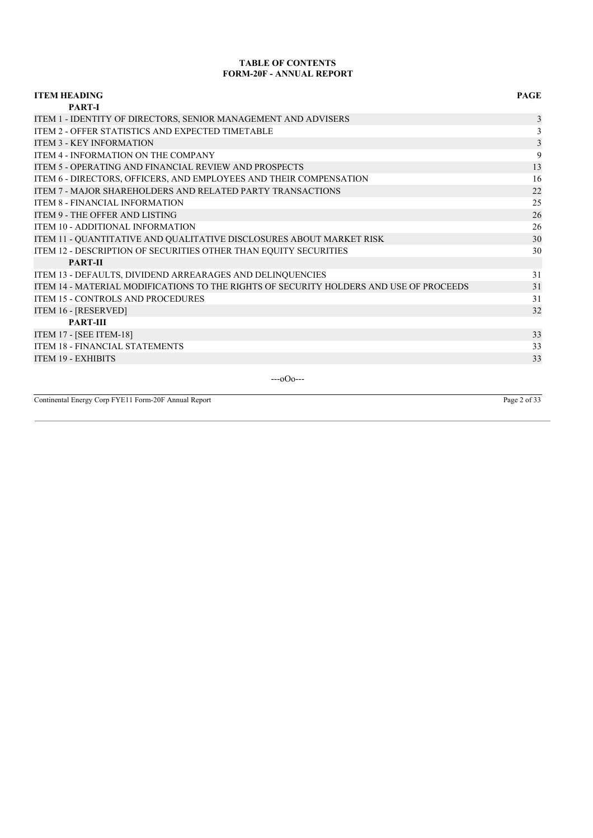## **TABLE OF CONTENTS FORM-20F - ANNUAL REPORT**

| <b>ITEM HEADING</b>                                                                    | <b>PAGE</b>    |
|----------------------------------------------------------------------------------------|----------------|
| <b>PART-I</b>                                                                          |                |
| ITEM 1 - IDENTITY OF DIRECTORS, SENIOR MANAGEMENT AND ADVISERS                         | 3              |
| ITEM 2 - OFFER STATISTICS AND EXPECTED TIMETABLE                                       | $\mathfrak{Z}$ |
| <b>ITEM 3 - KEY INFORMATION</b>                                                        | 3              |
| ITEM 4 - INFORMATION ON THE COMPANY                                                    | 9              |
| <b>ITEM 5 - OPERATING AND FINANCIAL REVIEW AND PROSPECTS</b>                           | 13             |
| ITEM 6 - DIRECTORS, OFFICERS, AND EMPLOYEES AND THEIR COMPENSATION                     | 16             |
| <b>ITEM 7 - MAJOR SHAREHOLDERS AND RELATED PARTY TRANSACTIONS</b>                      | 22             |
| <b>ITEM 8 - FINANCIAL INFORMATION</b>                                                  | 25             |
| <b>ITEM 9 - THE OFFER AND LISTING</b>                                                  | 26             |
| <b>ITEM 10 - ADDITIONAL INFORMATION</b>                                                | 26             |
| ITEM 11 - QUANTITATIVE AND QUALITATIVE DISCLOSURES ABOUT MARKET RISK                   | 30             |
| ITEM 12 - DESCRIPTION OF SECURITIES OTHER THAN EQUITY SECURITIES                       | 30             |
| <b>PART-II</b>                                                                         |                |
| ITEM 13 - DEFAULTS, DIVIDEND ARREARAGES AND DELINQUENCIES                              | 31             |
| ITEM 14 - MATERIAL MODIFICATIONS TO THE RIGHTS OF SECURITY HOLDERS AND USE OF PROCEEDS | 31             |
| <b>ITEM 15 - CONTROLS AND PROCEDURES</b>                                               | 31             |
| ITEM 16 - [RESERVED]                                                                   | 32             |
| <b>PART-III</b>                                                                        |                |
| <b>ITEM 17 - [SEE ITEM-18]</b>                                                         | 33             |
| ITEM 18 - FINANCIAL STATEMENTS                                                         | 33             |
| <b>ITEM 19 - EXHIBITS</b>                                                              | 33             |
|                                                                                        |                |

---oOo---

Continental Energy Corp FYE11 Form-20F Annual Report Page 2 of 33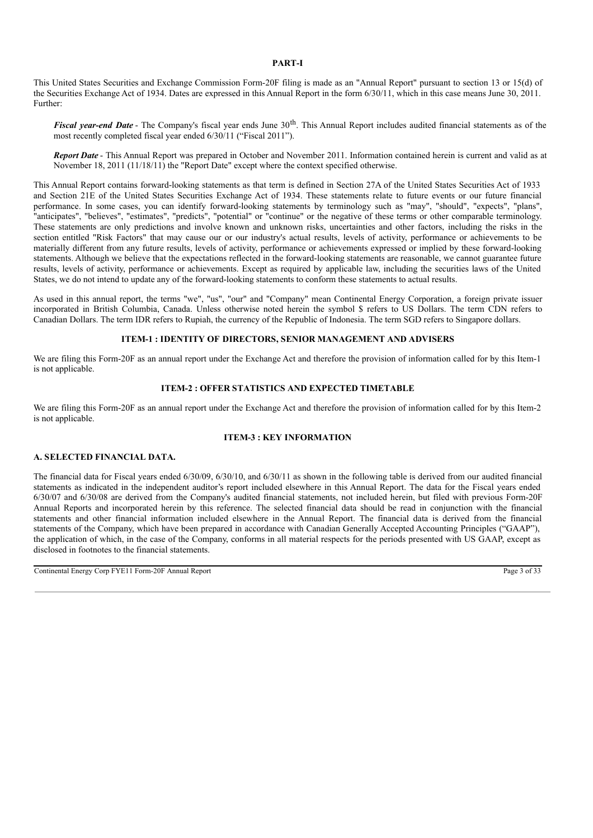## **PART-I**

This United States Securities and Exchange Commission Form-20F filing is made as an "Annual Report" pursuant to section 13 or 15(d) of the Securities Exchange Act of 1934. Dates are expressed in this Annual Report in the form 6/30/11, which in this case means June 30, 2011. Further:

Fiscal year-end Date - The Company's fiscal year ends June 30<sup>th</sup>. This Annual Report includes audited financial statements as of the most recently completed fiscal year ended 6/30/11 ("Fiscal 2011").

*Report Date* - This Annual Report was prepared in October and November 2011. Information contained herein is current and valid as at November 18, 2011 (11/18/11) the "Report Date" except where the context specified otherwise.

This Annual Report contains forward-looking statements as that term is defined in Section 27A of the United States Securities Act of 1933 and Section 21E of the United States Securities Exchange Act of 1934. These statements relate to future events or our future financial performance. In some cases, you can identify forward-looking statements by terminology such as "may", "should", "expects", "plans", "anticipates", "believes", "estimates", "predicts", "potential" or "continue" or the negative of these terms or other comparable terminology. These statements are only predictions and involve known and unknown risks, uncertainties and other factors, including the risks in the section entitled "Risk Factors" that may cause our or our industry's actual results, levels of activity, performance or achievements to be materially different from any future results, levels of activity, performance or achievements expressed or implied by these forward-looking statements. Although we believe that the expectations reflected in the forward-looking statements are reasonable, we cannot guarantee future results, levels of activity, performance or achievements. Except as required by applicable law, including the securities laws of the United States, we do not intend to update any of the forward-looking statements to conform these statements to actual results.

As used in this annual report, the terms "we", "us", "our" and "Company" mean Continental Energy Corporation, a foreign private issuer incorporated in British Columbia, Canada. Unless otherwise noted herein the symbol \$ refers to US Dollars. The term CDN refers to Canadian Dollars. The term IDR refers to Rupiah, the currency of the Republic of Indonesia. The term SGD refers to Singapore dollars.

#### **ITEM-1 : IDENTITY OF DIRECTORS, SENIOR MANAGEMENT AND ADVISERS**

We are filing this Form-20F as an annual report under the Exchange Act and therefore the provision of information called for by this Item-1 is not applicable.

## **ITEM-2 : OFFER STATISTICS AND EXPECTED TIMETABLE**

We are filing this Form-20F as an annual report under the Exchange Act and therefore the provision of information called for by this Item-2 is not applicable.

#### **ITEM-3 : KEY INFORMATION**

## **A. SELECTED FINANCIAL DATA.**

The financial data for Fiscal years ended 6/30/09, 6/30/10, and 6/30/11 as shown in the following table is derived from our audited financial statements as indicated in the independent auditor's report included elsewhere in this Annual Report. The data for the Fiscal years ended 6/30/07 and 6/30/08 are derived from the Company's audited financial statements, not included herein, but filed with previous Form-20F Annual Reports and incorporated herein by this reference. The selected financial data should be read in conjunction with the financial statements and other financial information included elsewhere in the Annual Report. The financial data is derived from the financial statements of the Company, which have been prepared in accordance with Canadian Generally Accepted Accounting Principles ("GAAP"), the application of which, in the case of the Company, conforms in all material respects for the periods presented with US GAAP, except as disclosed in footnotes to the financial statements.

Continental Energy Corp FYE11 Form-20F Annual Report Page 3 of 33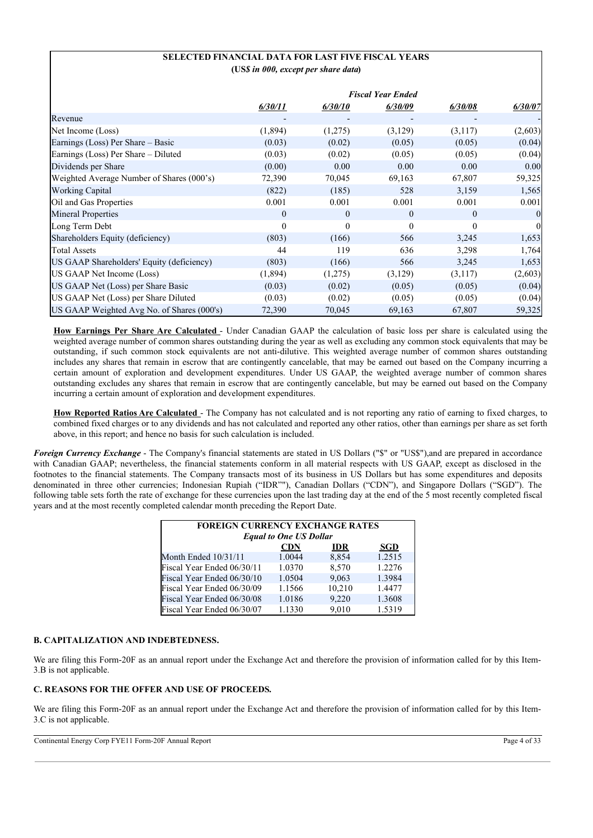## **SELECTED FINANCIAL DATA FOR LAST FIVE FISCAL YEARS (US***\$ in 000, except per share data***)**

|                                            |          |          | <b>Fiscal Year Ended</b> |          |              |
|--------------------------------------------|----------|----------|--------------------------|----------|--------------|
|                                            | 6/30/11  | 6/30/10  | 6/30/09                  | 6/30/08  | 6/30/07      |
| Revenue                                    |          |          |                          |          |              |
| Net Income (Loss)                          | (1,894)  | (1,275)  | (3,129)                  | (3,117)  | (2,603)      |
| Earnings (Loss) Per Share - Basic          | (0.03)   | (0.02)   | (0.05)                   | (0.05)   | (0.04)       |
| Earnings (Loss) Per Share – Diluted        | (0.03)   | (0.02)   | (0.05)                   | (0.05)   | (0.04)       |
| Dividends per Share                        | (0.00)   | 0.00     | 0.00                     | 0.00     | 0.00         |
| Weighted Average Number of Shares (000's)  | 72,390   | 70,045   | 69,163                   | 67,807   | 59,325       |
| <b>Working Capital</b>                     | (822)    | (185)    | 528                      | 3,159    | 1,565        |
| Oil and Gas Properties                     | 0.001    | 0.001    | 0.001                    | 0.001    | 0.001        |
| <b>Mineral Properties</b>                  | $\theta$ | $\theta$ | $\theta$                 | $\theta$ | $\mathbf{0}$ |
| Long Term Debt                             | $\Omega$ | $\theta$ | $\Omega$                 | $\theta$ | $\mathbf{0}$ |
| Shareholders Equity (deficiency)           | (803)    | (166)    | 566                      | 3,245    | 1,653        |
| <b>Total Assets</b>                        | 44       | 119      | 636                      | 3,298    | 1,764        |
| US GAAP Shareholders' Equity (deficiency)  | (803)    | (166)    | 566                      | 3,245    | 1,653        |
| US GAAP Net Income (Loss)                  | (1,894)  | (1,275)  | (3,129)                  | (3,117)  | (2,603)      |
| US GAAP Net (Loss) per Share Basic         | (0.03)   | (0.02)   | (0.05)                   | (0.05)   | (0.04)       |
| US GAAP Net (Loss) per Share Diluted       | (0.03)   | (0.02)   | (0.05)                   | (0.05)   | (0.04)       |
| US GAAP Weighted Avg No. of Shares (000's) | 72,390   | 70,045   | 69,163                   | 67,807   | 59,325       |

**How Earnings Per Share Are Calculated** - Under Canadian GAAP the calculation of basic loss per share is calculated using the weighted average number of common shares outstanding during the year as well as excluding any common stock equivalents that may be outstanding, if such common stock equivalents are not anti-dilutive. This weighted average number of common shares outstanding includes any shares that remain in escrow that are contingently cancelable, that may be earned out based on the Company incurring a certain amount of exploration and development expenditures. Under US GAAP, the weighted average number of common shares outstanding excludes any shares that remain in escrow that are contingently cancelable, but may be earned out based on the Company incurring a certain amount of exploration and development expenditures.

**How Reported Ratios Are Calculated** - The Company has not calculated and is not reporting any ratio of earning to fixed charges, to combined fixed charges or to any dividends and has not calculated and reported any other ratios, other than earnings per share as set forth above, in this report; and hence no basis for such calculation is included.

*Foreign Currency Exchange* - The Company's financial statements are stated in US Dollars ("\$" or "US\$"),and are prepared in accordance with Canadian GAAP; nevertheless, the financial statements conform in all material respects with US GAAP, except as disclosed in the footnotes to the financial statements. The Company transacts most of its business in US Dollars but has some expenditures and deposits denominated in three other currencies; Indonesian Rupiah ("IDR""), Canadian Dollars ("CDN"), and Singapore Dollars ("SGD"). The following table sets forth the rate of exchange for these currencies upon the last trading day at the end of the 5 most recently completed fiscal years and at the most recently completed calendar month preceding the Report Date.

| <b>FOREIGN CURRENCY EXCHANGE RATES</b><br><b>Equal to One US Dollar</b> |        |        |        |  |  |  |  |  |
|-------------------------------------------------------------------------|--------|--------|--------|--|--|--|--|--|
| <b>CDN</b><br><b>SGD</b><br><b>IDR</b>                                  |        |        |        |  |  |  |  |  |
| Month Ended $10/31/11$                                                  | 1.0044 | 8,854  | 1.2515 |  |  |  |  |  |
| Fiscal Year Ended 06/30/11                                              | 1.0370 | 8,570  | 1.2276 |  |  |  |  |  |
| Fiscal Year Ended 06/30/10                                              | 1.0504 | 9.063  | 1.3984 |  |  |  |  |  |
| Fiscal Year Ended 06/30/09                                              | 1.1566 | 10,210 | 1.4477 |  |  |  |  |  |
| Fiscal Year Ended 06/30/08                                              | 1.0186 | 9,220  | 1.3608 |  |  |  |  |  |
| Fiscal Year Ended 06/30/07                                              | 1.1330 | 9.010  | 1.5319 |  |  |  |  |  |

## **B. CAPITALIZATION AND INDEBTEDNESS.**

We are filing this Form-20F as an annual report under the Exchange Act and therefore the provision of information called for by this Item-3.B is not applicable.

## **C. REASONS FOR THE OFFER AND USE OF PROCEEDS.**

We are filing this Form-20F as an annual report under the Exchange Act and therefore the provision of information called for by this Item-3.C is not applicable.

Continental Energy Corp FYE11 Form-20F Annual Report Page 4 of 33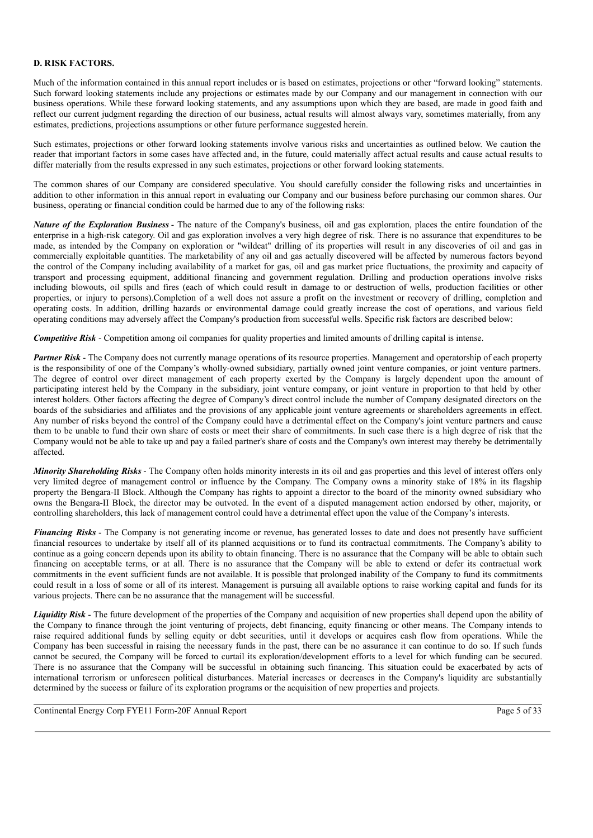## **D. RISK FACTORS.**

Much of the information contained in this annual report includes or is based on estimates, projections or other "forward looking" statements. Such forward looking statements include any projections or estimates made by our Company and our management in connection with our business operations. While these forward looking statements, and any assumptions upon which they are based, are made in good faith and reflect our current judgment regarding the direction of our business, actual results will almost always vary, sometimes materially, from any estimates, predictions, projections assumptions or other future performance suggested herein.

Such estimates, projections or other forward looking statements involve various risks and uncertainties as outlined below. We caution the reader that important factors in some cases have affected and, in the future, could materially affect actual results and cause actual results to differ materially from the results expressed in any such estimates, projections or other forward looking statements.

The common shares of our Company are considered speculative. You should carefully consider the following risks and uncertainties in addition to other information in this annual report in evaluating our Company and our business before purchasing our common shares. Our business, operating or financial condition could be harmed due to any of the following risks:

*Nature of the Exploration Business* - The nature of the Company's business, oil and gas exploration, places the entire foundation of the enterprise in a high-risk category. Oil and gas exploration involves a very high degree of risk. There is no assurance that expenditures to be made, as intended by the Company on exploration or "wildcat" drilling of its properties will result in any discoveries of oil and gas in commercially exploitable quantities. The marketability of any oil and gas actually discovered will be affected by numerous factors beyond the control of the Company including availability of a market for gas, oil and gas market price fluctuations, the proximity and capacity of transport and processing equipment, additional financing and government regulation. Drilling and production operations involve risks including blowouts, oil spills and fires (each of which could result in damage to or destruction of wells, production facilities or other properties, or injury to persons).Completion of a well does not assure a profit on the investment or recovery of drilling, completion and operating costs. In addition, drilling hazards or environmental damage could greatly increase the cost of operations, and various field operating conditions may adversely affect the Company's production from successful wells. Specific risk factors are described below:

*Competitive Risk* - Competition among oil companies for quality properties and limited amounts of drilling capital is intense.

*Partner Risk* - The Company does not currently manage operations of its resource properties. Management and operatorship of each property is the responsibility of one of the Company's wholly-owned subsidiary, partially owned joint venture companies, or joint venture partners. The degree of control over direct management of each property exerted by the Company is largely dependent upon the amount of participating interest held by the Company in the subsidiary, joint venture company, or joint venture in proportion to that held by other interest holders. Other factors affecting the degree of Company's direct control include the number of Company designated directors on the boards of the subsidiaries and affiliates and the provisions of any applicable joint venture agreements or shareholders agreements in effect. Any number of risks beyond the control of the Company could have a detrimental effect on the Company's joint venture partners and cause them to be unable to fund their own share of costs or meet their share of commitments. In such case there is a high degree of risk that the Company would not be able to take up and pay a failed partner's share of costs and the Company's own interest may thereby be detrimentally affected.

*Minority Shareholding Risks* - The Company often holds minority interests in its oil and gas properties and this level of interest offers only very limited degree of management control or influence by the Company. The Company owns a minority stake of 18% in its flagship property the Bengara-II Block. Although the Company has rights to appoint a director to the board of the minority owned subsidiary who owns the Bengara-II Block, the director may be outvoted. In the event of a disputed management action endorsed by other, majority, or controlling shareholders, this lack of management control could have a detrimental effect upon the value of the Company's interests.

*Financing Risks* - The Company is not generating income or revenue, has generated losses to date and does not presently have sufficient financial resources to undertake by itself all of its planned acquisitions or to fund its contractual commitments. The Company's ability to continue as a going concern depends upon its ability to obtain financing. There is no assurance that the Company will be able to obtain such financing on acceptable terms, or at all. There is no assurance that the Company will be able to extend or defer its contractual work commitments in the event sufficient funds are not available. It is possible that prolonged inability of the Company to fund its commitments could result in a loss of some or all of its interest. Management is pursuing all available options to raise working capital and funds for its various projects. There can be no assurance that the management will be successful.

*Liquidity Risk* - The future development of the properties of the Company and acquisition of new properties shall depend upon the ability of the Company to finance through the joint venturing of projects, debt financing, equity financing or other means. The Company intends to raise required additional funds by selling equity or debt securities, until it develops or acquires cash flow from operations. While the Company has been successful in raising the necessary funds in the past, there can be no assurance it can continue to do so. If such funds cannot be secured, the Company will be forced to curtail its exploration/development efforts to a level for which funding can be secured. There is no assurance that the Company will be successful in obtaining such financing. This situation could be exacerbated by acts of international terrorism or unforeseen political disturbances. Material increases or decreases in the Company's liquidity are substantially determined by the success or failure of its exploration programs or the acquisition of new properties and projects.

Continental Energy Corp FYE11 Form-20F Annual Report Page 5 of 33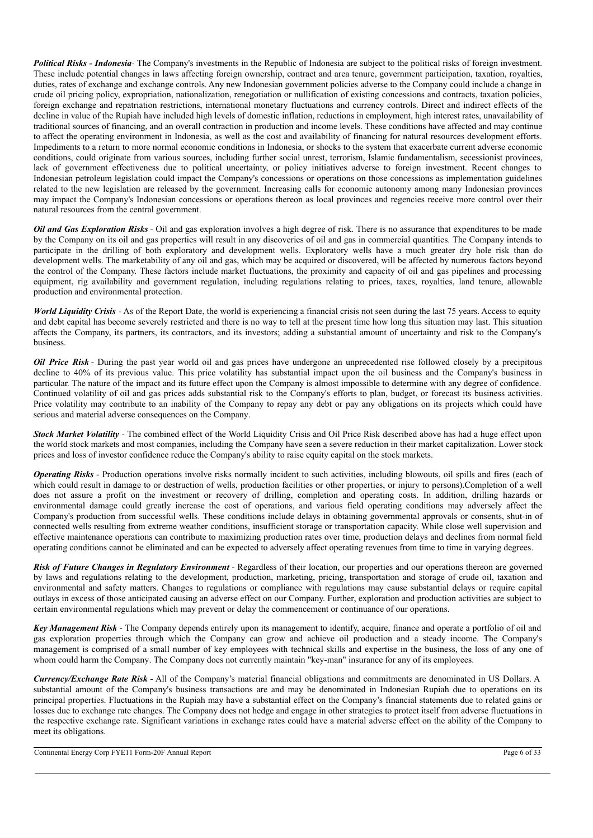*Political Risks - Indonesia*- The Company's investments in the Republic of Indonesia are subject to the political risks of foreign investment. These include potential changes in laws affecting foreign ownership, contract and area tenure, government participation, taxation, royalties, duties, rates of exchange and exchange controls. Any new Indonesian government policies adverse to the Company could include a change in crude oil pricing policy, expropriation, nationalization, renegotiation or nullification of existing concessions and contracts, taxation policies, foreign exchange and repatriation restrictions, international monetary fluctuations and currency controls. Direct and indirect effects of the decline in value of the Rupiah have included high levels of domestic inflation, reductions in employment, high interest rates, unavailability of traditional sources of financing, and an overall contraction in production and income levels. These conditions have affected and may continue to affect the operating environment in Indonesia, as well as the cost and availability of financing for natural resources development efforts. Impediments to a return to more normal economic conditions in Indonesia, or shocks to the system that exacerbate current adverse economic conditions, could originate from various sources, including further social unrest, terrorism, Islamic fundamentalism, secessionist provinces, lack of government effectiveness due to political uncertainty, or policy initiatives adverse to foreign investment. Recent changes to Indonesian petroleum legislation could impact the Company's concessions or operations on those concessions as implementation guidelines related to the new legislation are released by the government. Increasing calls for economic autonomy among many Indonesian provinces may impact the Company's Indonesian concessions or operations thereon as local provinces and regencies receive more control over their natural resources from the central government.

*Oil and Gas Exploration Risks* - Oil and gas exploration involves a high degree of risk. There is no assurance that expenditures to be made by the Company on its oil and gas properties will result in any discoveries of oil and gas in commercial quantities. The Company intends to participate in the drilling of both exploratory and development wells. Exploratory wells have a much greater dry hole risk than do development wells. The marketability of any oil and gas, which may be acquired or discovered, will be affected by numerous factors beyond the control of the Company. These factors include market fluctuations, the proximity and capacity of oil and gas pipelines and processing equipment, rig availability and government regulation, including regulations relating to prices, taxes, royalties, land tenure, allowable production and environmental protection.

*World Liquidity Crisis* - As of the Report Date, the world is experiencing a financial crisis not seen during the last 75 years. Access to equity and debt capital has become severely restricted and there is no way to tell at the present time how long this situation may last. This situation affects the Company, its partners, its contractors, and its investors; adding a substantial amount of uncertainty and risk to the Company's business.

*Oil Price Risk* - During the past year world oil and gas prices have undergone an unprecedented rise followed closely by a precipitous decline to 40% of its previous value. This price volatility has substantial impact upon the oil business and the Company's business in particular. The nature of the impact and its future effect upon the Company is almost impossible to determine with any degree of confidence. Continued volatility of oil and gas prices adds substantial risk to the Company's efforts to plan, budget, or forecast its business activities. Price volatility may contribute to an inability of the Company to repay any debt or pay any obligations on its projects which could have serious and material adverse consequences on the Company.

*Stock Market Volatility* - The combined effect of the World Liquidity Crisis and Oil Price Risk described above has had a huge effect upon the world stock markets and most companies, including the Company have seen a severe reduction in their market capitalization. Lower stock prices and loss of investor confidence reduce the Company's ability to raise equity capital on the stock markets.

*Operating Risks* - Production operations involve risks normally incident to such activities, including blowouts, oil spills and fires (each of which could result in damage to or destruction of wells, production facilities or other properties, or injury to persons).Completion of a well does not assure a profit on the investment or recovery of drilling, completion and operating costs. In addition, drilling hazards or environmental damage could greatly increase the cost of operations, and various field operating conditions may adversely affect the Company's production from successful wells. These conditions include delays in obtaining governmental approvals or consents, shut-in of connected wells resulting from extreme weather conditions, insufficient storage or transportation capacity. While close well supervision and effective maintenance operations can contribute to maximizing production rates over time, production delays and declines from normal field operating conditions cannot be eliminated and can be expected to adversely affect operating revenues from time to time in varying degrees.

*Risk of Future Changes in Regulatory Environment* - Regardless of their location, our properties and our operations thereon are governed by laws and regulations relating to the development, production, marketing, pricing, transportation and storage of crude oil, taxation and environmental and safety matters. Changes to regulations or compliance with regulations may cause substantial delays or require capital outlays in excess of those anticipated causing an adverse effect on our Company. Further, exploration and production activities are subject to certain environmental regulations which may prevent or delay the commencement or continuance of our operations.

*Key Management Risk* - The Company depends entirely upon its management to identify, acquire, finance and operate a portfolio of oil and gas exploration properties through which the Company can grow and achieve oil production and a steady income. The Company's management is comprised of a small number of key employees with technical skills and expertise in the business, the loss of any one of whom could harm the Company. The Company does not currently maintain "key-man" insurance for any of its employees.

*Currency/Exchange Rate Risk* - All of the Company's material financial obligations and commitments are denominated in US Dollars. A substantial amount of the Company's business transactions are and may be denominated in Indonesian Rupiah due to operations on its principal properties. Fluctuations in the Rupiah may have a substantial effect on the Company's financial statements due to related gains or losses due to exchange rate changes. The Company does not hedge and engage in other strategies to protect itself from adverse fluctuations in the respective exchange rate. Significant variations in exchange rates could have a material adverse effect on the ability of the Company to meet its obligations.

Continental Energy Corp FYE11 Form-20F Annual Report Page 6 of 33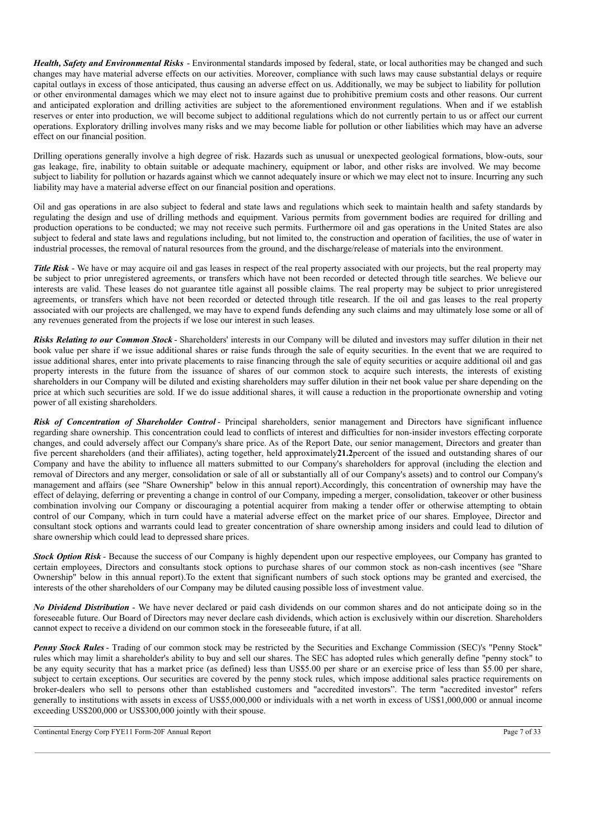*Health, Safety and Environmental Risks* - Environmental standards imposed by federal, state, or local authorities may be changed and such changes may have material adverse effects on our activities. Moreover, compliance with such laws may cause substantial delays or require capital outlays in excess of those anticipated, thus causing an adverse effect on us. Additionally, we may be subject to liability for pollution or other environmental damages which we may elect not to insure against due to prohibitive premium costs and other reasons. Our current and anticipated exploration and drilling activities are subject to the aforementioned environment regulations. When and if we establish reserves or enter into production, we will become subject to additional regulations which do not currently pertain to us or affect our current operations. Exploratory drilling involves many risks and we may become liable for pollution or other liabilities which may have an adverse effect on our financial position.

Drilling operations generally involve a high degree of risk. Hazards such as unusual or unexpected geological formations, blow-outs, sour gas leakage, fire, inability to obtain suitable or adequate machinery, equipment or labor, and other risks are involved. We may become subject to liability for pollution or hazards against which we cannot adequately insure or which we may elect not to insure. Incurring any such liability may have a material adverse effect on our financial position and operations.

Oil and gas operations in are also subject to federal and state laws and regulations which seek to maintain health and safety standards by regulating the design and use of drilling methods and equipment. Various permits from government bodies are required for drilling and production operations to be conducted; we may not receive such permits. Furthermore oil and gas operations in the United States are also subject to federal and state laws and regulations including, but not limited to, the construction and operation of facilities, the use of water in industrial processes, the removal of natural resources from the ground, and the discharge/release of materials into the environment.

*Title Risk* - We have or may acquire oil and gas leases in respect of the real property associated with our projects, but the real property may be subject to prior unregistered agreements, or transfers which have not been recorded or detected through title searches. We believe our interests are valid. These leases do not guarantee title against all possible claims. The real property may be subject to prior unregistered agreements, or transfers which have not been recorded or detected through title research. If the oil and gas leases to the real property associated with our projects are challenged, we may have to expend funds defending any such claims and may ultimately lose some or all of any revenues generated from the projects if we lose our interest in such leases.

*Risks Relating to our Common Stock*- Shareholders' interests in our Company will be diluted and investors may suffer dilution in their net book value per share if we issue additional shares or raise funds through the sale of equity securities. In the event that we are required to issue additional shares, enter into private placements to raise financing through the sale of equity securities or acquire additional oil and gas property interests in the future from the issuance of shares of our common stock to acquire such interests, the interests of existing shareholders in our Company will be diluted and existing shareholders may suffer dilution in their net book value per share depending on the price at which such securities are sold. If we do issue additional shares, it will cause a reduction in the proportionate ownership and voting power of all existing shareholders.

*Risk of Concentration of Shareholder Control* - Principal shareholders, senior management and Directors have significant influence regarding share ownership. This concentration could lead to conflicts of interest and difficulties for non-insider investors effecting corporate changes, and could adversely affect our Company's share price. As of the Report Date, our senior management, Directors and greater than five percent shareholders (and their affiliates), acting together, held approximately**21.2**percent of the issued and outstanding shares of our Company and have the ability to influence all matters submitted to our Company's shareholders for approval (including the election and removal of Directors and any merger, consolidation or sale of all or substantially all of our Company's assets) and to control our Company's management and affairs (see "Share Ownership" below in this annual report).Accordingly, this concentration of ownership may have the effect of delaying, deferring or preventing a change in control of our Company, impeding a merger, consolidation, takeover or other business combination involving our Company or discouraging a potential acquirer from making a tender offer or otherwise attempting to obtain control of our Company, which in turn could have a material adverse effect on the market price of our shares. Employee, Director and consultant stock options and warrants could lead to greater concentration of share ownership among insiders and could lead to dilution of share ownership which could lead to depressed share prices.

*Stock Option Risk* - Because the success of our Company is highly dependent upon our respective employees, our Company has granted to certain employees, Directors and consultants stock options to purchase shares of our common stock as non-cash incentives (see "Share Ownership" below in this annual report).To the extent that significant numbers of such stock options may be granted and exercised, the interests of the other shareholders of our Company may be diluted causing possible loss of investment value.

*No Dividend Distribution* - We have never declared or paid cash dividends on our common shares and do not anticipate doing so in the foreseeable future. Our Board of Directors may never declare cash dividends, which action is exclusively within our discretion. Shareholders cannot expect to receive a dividend on our common stock in the foreseeable future, if at all.

*Penny Stock Rules* - Trading of our common stock may be restricted by the Securities and Exchange Commission (SEC)'s "Penny Stock" rules which may limit a shareholder's ability to buy and sell our shares. The SEC has adopted rules which generally define "penny stock" to be any equity security that has a market price (as defined) less than US\$5.00 per share or an exercise price of less than \$5.00 per share, subject to certain exceptions. Our securities are covered by the penny stock rules, which impose additional sales practice requirements on broker-dealers who sell to persons other than established customers and "accredited investors". The term "accredited investor" refers generally to institutions with assets in excess of US\$5,000,000 or individuals with a net worth in excess of US\$1,000,000 or annual income exceeding US\$200,000 or US\$300,000 jointly with their spouse.

Continental Energy Corp FYE11 Form-20F Annual Report Page 7 of 33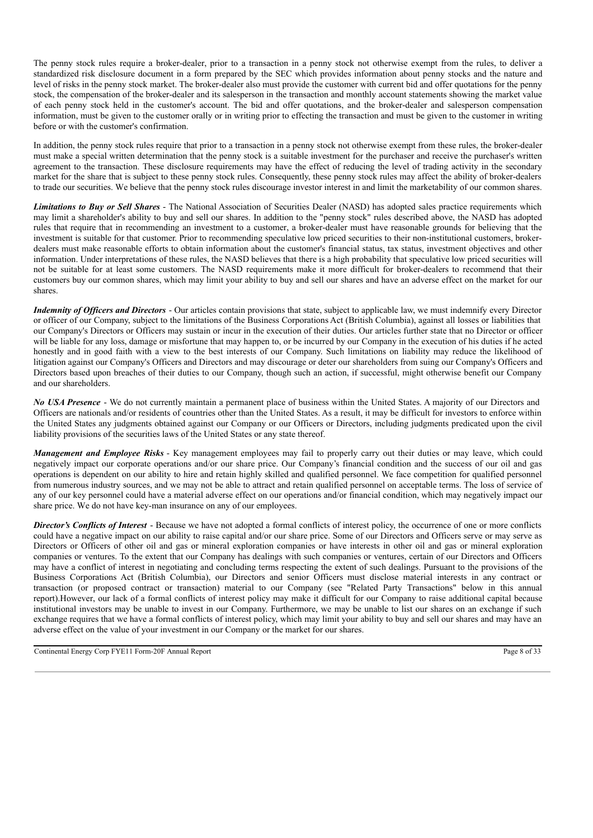The penny stock rules require a broker-dealer, prior to a transaction in a penny stock not otherwise exempt from the rules, to deliver a standardized risk disclosure document in a form prepared by the SEC which provides information about penny stocks and the nature and level of risks in the penny stock market. The broker-dealer also must provide the customer with current bid and offer quotations for the penny stock, the compensation of the broker-dealer and its salesperson in the transaction and monthly account statements showing the market value of each penny stock held in the customer's account. The bid and offer quotations, and the broker-dealer and salesperson compensation information, must be given to the customer orally or in writing prior to effecting the transaction and must be given to the customer in writing before or with the customer's confirmation.

In addition, the penny stock rules require that prior to a transaction in a penny stock not otherwise exempt from these rules, the broker-dealer must make a special written determination that the penny stock is a suitable investment for the purchaser and receive the purchaser's written agreement to the transaction. These disclosure requirements may have the effect of reducing the level of trading activity in the secondary market for the share that is subject to these penny stock rules. Consequently, these penny stock rules may affect the ability of broker-dealers to trade our securities. We believe that the penny stock rules discourage investor interest in and limit the marketability of our common shares.

*Limitations to Buy or Sell Shares* - The National Association of Securities Dealer (NASD) has adopted sales practice requirements which may limit a shareholder's ability to buy and sell our shares. In addition to the "penny stock" rules described above, the NASD has adopted rules that require that in recommending an investment to a customer, a broker-dealer must have reasonable grounds for believing that the investment is suitable for that customer. Prior to recommending speculative low priced securities to their non-institutional customers, brokerdealers must make reasonable efforts to obtain information about the customer's financial status, tax status, investment objectives and other information. Under interpretations of these rules, the NASD believes that there is a high probability that speculative low priced securities will not be suitable for at least some customers. The NASD requirements make it more difficult for broker-dealers to recommend that their customers buy our common shares, which may limit your ability to buy and sell our shares and have an adverse effect on the market for our shares.

*Indemnity of Of icers and Directors* - Our articles contain provisions that state, subject to applicable law, we must indemnify every Director or officer of our Company, subject to the limitations of the Business Corporations Act (British Columbia), against all losses or liabilities that our Company's Directors or Officers may sustain or incur in the execution of their duties. Our articles further state that no Director or officer will be liable for any loss, damage or misfortune that may happen to, or be incurred by our Company in the execution of his duties if he acted honestly and in good faith with a view to the best interests of our Company. Such limitations on liability may reduce the likelihood of litigation against our Company's Officers and Directors and may discourage or deter our shareholders from suing our Company's Officers and Directors based upon breaches of their duties to our Company, though such an action, if successful, might otherwise benefit our Company and our shareholders.

*No USA Presence* - We do not currently maintain a permanent place of business within the United States. A majority of our Directors and Officers are nationals and/or residents of countries other than the United States. As a result, it may be difficult for investors to enforce within the United States any judgments obtained against our Company or our Officers or Directors, including judgments predicated upon the civil liability provisions of the securities laws of the United States or any state thereof.

*Management and Employee Risks* - Key management employees may fail to properly carry out their duties or may leave, which could negatively impact our corporate operations and/or our share price. Our Company's financial condition and the success of our oil and gas operations is dependent on our ability to hire and retain highly skilled and qualified personnel. We face competition for qualified personnel from numerous industry sources, and we may not be able to attract and retain qualified personnel on acceptable terms. The loss of service of any of our key personnel could have a material adverse effect on our operations and/or financial condition, which may negatively impact our share price. We do not have key-man insurance on any of our employees.

*Director's Conflicts of Interest* - Because we have not adopted a formal conflicts of interest policy, the occurrence of one or more conflicts could have a negative impact on our ability to raise capital and/or our share price. Some of our Directors and Officers serve or may serve as Directors or Officers of other oil and gas or mineral exploration companies or have interests in other oil and gas or mineral exploration companies or ventures. To the extent that our Company has dealings with such companies or ventures, certain of our Directors and Officers may have a conflict of interest in negotiating and concluding terms respecting the extent of such dealings. Pursuant to the provisions of the Business Corporations Act (British Columbia), our Directors and senior Officers must disclose material interests in any contract or transaction (or proposed contract or transaction) material to our Company (see "Related Party Transactions" below in this annual report).However, our lack of a formal conflicts of interest policy may make it difficult for our Company to raise additional capital because institutional investors may be unable to invest in our Company. Furthermore, we may be unable to list our shares on an exchange if such exchange requires that we have a formal conflicts of interest policy, which may limit your ability to buy and sell our shares and may have an adverse effect on the value of your investment in our Company or the market for our shares.

Continental Energy Corp FYE11 Form-20F Annual Report Page 8 of 33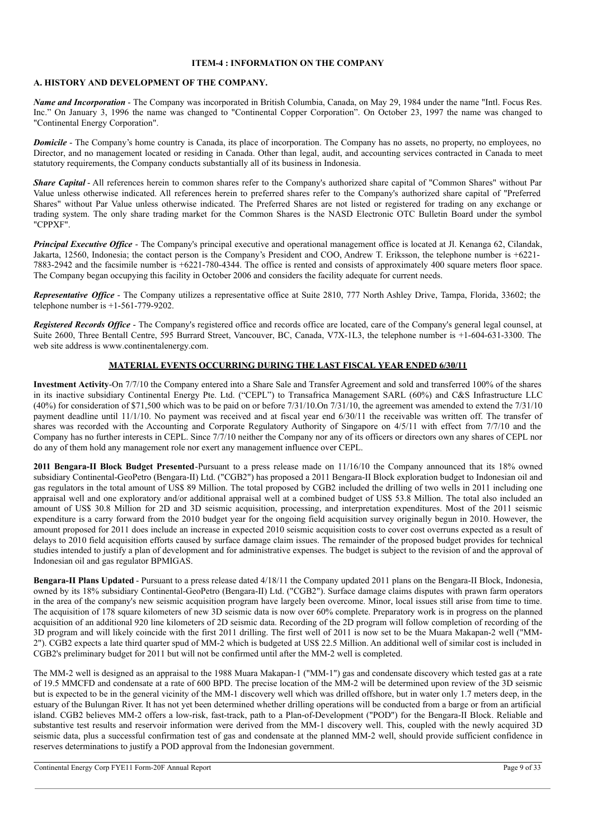## **ITEM-4 : INFORMATION ON THE COMPANY**

## **A. HISTORY AND DEVELOPMENT OF THE COMPANY.**

*Name and Incorporation* - The Company was incorporated in British Columbia, Canada, on May 29, 1984 under the name "Intl. Focus Res. Inc." On January 3, 1996 the name was changed to "Continental Copper Corporation". On October 23, 1997 the name was changed to "Continental Energy Corporation".

*Domicile* - The Company's home country is Canada, its place of incorporation. The Company has no assets, no property, no employees, no Director, and no management located or residing in Canada. Other than legal, audit, and accounting services contracted in Canada to meet statutory requirements, the Company conducts substantially all of its business in Indonesia.

*Share Capital* - All references herein to common shares refer to the Company's authorized share capital of "Common Shares" without Par Value unless otherwise indicated. All references herein to preferred shares refer to the Company's authorized share capital of "Preferred Shares" without Par Value unless otherwise indicated. The Preferred Shares are not listed or registered for trading on any exchange or trading system. The only share trading market for the Common Shares is the NASD Electronic OTC Bulletin Board under the symbol "CPPXF".

*Principal Executive Office* - The Company's principal executive and operational management office is located at Jl. Kenanga 62, Cilandak, Jakarta, 12560, Indonesia; the contact person is the Company's President and COO, Andrew T. Eriksson, the telephone number is +6221- 7883-2942 and the facsimile number is +6221-780-4344. The office is rented and consists of approximately 400 square meters floor space. The Company began occupying this facility in October 2006 and considers the facility adequate for current needs.

*Representative Office* - The Company utilizes a representative office at Suite 2810, 777 North Ashley Drive, Tampa, Florida, 33602; the telephone number is  $+1-561-779-9202$ .

*Registered <i>Records Office* - The Company's registered office and records office are located, care of the Company's general legal counsel, at Suite 2600, Three Bentall Centre, 595 Burrard Street, Vancouver, BC, Canada, V7X-1L3, the telephone number is +1-604-631-3300. The web site address is www.continentalenergy.com.

## **MATERIAL EVENTS OCCURRING DURING THE LAST FISCAL YEAR ENDED 6/30/11**

**Investment Activity**-On 7/7/10 the Company entered into a Share Sale and Transfer Agreement and sold and transferred 100% of the shares in its inactive subsidiary Continental Energy Pte. Ltd. ("CEPL") to Transafrica Management SARL (60%) and C&S Infrastructure LLC (40%) for consideration of \$71,500 which was to be paid on or before 7/31/10.On 7/31/10, the agreement was amended to extend the 7/31/10 payment deadline until 11/1/10. No payment was received and at fiscal year end 6/30/11 the receivable was written off. The transfer of shares was recorded with the Accounting and Corporate Regulatory Authority of Singapore on 4/5/11 with effect from 7/7/10 and the Company has no further interests in CEPL. Since 7/7/10 neither the Company nor any of its officers or directors own any shares of CEPL nor do any of them hold any management role nor exert any management influence over CEPL.

**2011 Bengara-II Block Budget Presented**-Pursuant to a press release made on 11/16/10 the Company announced that its 18% owned subsidiary Continental-GeoPetro (Bengara-II) Ltd. ("CGB2") has proposed a 2011 Bengara-II Block exploration budget to Indonesian oil and gas regulators in the total amount of US\$ 89 Million. The total proposed by CGB2 included the drilling of two wells in 2011 including one appraisal well and one exploratory and/or additional appraisal well at a combined budget of US\$ 53.8 Million. The total also included an amount of US\$ 30.8 Million for 2D and 3D seismic acquisition, processing, and interpretation expenditures. Most of the 2011 seismic expenditure is a carry forward from the 2010 budget year for the ongoing field acquisition survey originally begun in 2010. However, the amount proposed for 2011 does include an increase in expected 2010 seismic acquisition costs to cover cost overruns expected as a result of delays to 2010 field acquisition efforts caused by surface damage claim issues. The remainder of the proposed budget provides for technical studies intended to justify a plan of development and for administrative expenses. The budget is subject to the revision of and the approval of Indonesian oil and gas regulator BPMIGAS.

**Bengara-II Plans Updated** - Pursuant to a press release dated 4/18/11 the Company updated 2011 plans on the Bengara-II Block, Indonesia, owned by its 18% subsidiary Continental-GeoPetro (Bengara-II) Ltd. ("CGB2"). Surface damage claims disputes with prawn farm operators in the area of the company's new seismic acquisition program have largely been overcome. Minor, local issues still arise from time to time. The acquisition of 178 square kilometers of new 3D seismic data is now over 60% complete. Preparatory work is in progress on the planned acquisition of an additional 920 line kilometers of 2D seismic data. Recording of the 2D program will follow completion of recording of the 3D program and will likely coincide with the first 2011 drilling. The first well of 2011 is now set to be the Muara Makapan-2 well ("MM-2"). CGB2 expects a late third quarter spud of MM-2 which is budgeted at US\$ 22.5 Million. An additional well of similar cost is included in CGB2's preliminary budget for 2011 but will not be confirmed until after the MM-2 well is completed.

The MM-2 well is designed as an appraisal to the 1988 Muara Makapan-1 ("MM-1") gas and condensate discovery which tested gas at a rate of 19.5 MMCFD and condensate at a rate of 600 BPD. The precise location of the MM-2 will be determined upon review of the 3D seismic but is expected to be in the general vicinity of the MM-1 discovery well which was drilled offshore, but in water only 1.7 meters deep, in the estuary of the Bulungan River. It has not yet been determined whether drilling operations will be conducted from a barge or from an artificial island. CGB2 believes MM-2 offers a low-risk, fast-track, path to a Plan-of-Development ("POD") for the Bengara-II Block. Reliable and substantive test results and reservoir information were derived from the MM-1 discovery well. This, coupled with the newly acquired 3D seismic data, plus a successful confirmation test of gas and condensate at the planned MM-2 well, should provide sufficient confidence in reserves determinations to justify a POD approval from the Indonesian government.

Continental Energy Corp FYE11 Form-20F Annual Report Page 9 of 33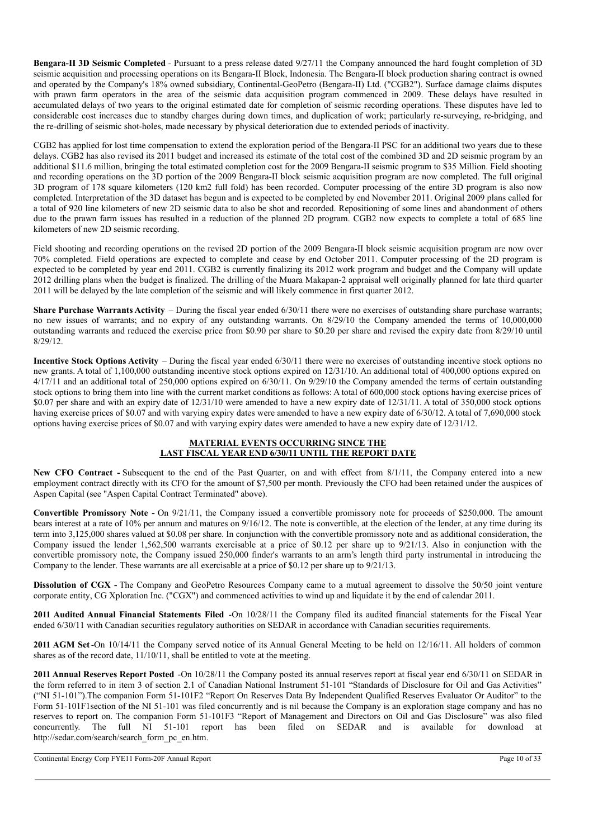**Bengara-II 3D Seismic Completed** - Pursuant to a press release dated 9/27/11 the Company announced the hard fought completion of 3D seismic acquisition and processing operations on its Bengara-II Block, Indonesia. The Bengara-II block production sharing contract is owned and operated by the Company's 18% owned subsidiary, Continental-GeoPetro (Bengara-II) Ltd. ("CGB2"). Surface damage claims disputes with prawn farm operators in the area of the seismic data acquisition program commenced in 2009. These delays have resulted in accumulated delays of two years to the original estimated date for completion of seismic recording operations. These disputes have led to considerable cost increases due to standby charges during down times, and duplication of work; particularly re-surveying, re-bridging, and the re-drilling of seismic shot-holes, made necessary by physical deterioration due to extended periods of inactivity.

CGB2 has applied for lost time compensation to extend the exploration period of the Bengara-II PSC for an additional two years due to these delays. CGB2 has also revised its 2011 budget and increased its estimate of the total cost of the combined 3D and 2D seismic program by an additional \$11.6 million, bringing the total estimated completion cost for the 2009 Bengara-II seismic program to \$35 Million. Field shooting and recording operations on the 3D portion of the 2009 Bengara-II block seismic acquisition program are now completed. The full original 3D program of 178 square kilometers (120 km2 full fold) has been recorded. Computer processing of the entire 3D program is also now completed. Interpretation of the 3D dataset has begun and is expected to be completed by end November 2011. Original 2009 plans called for a total of 920 line kilometers of new 2D seismic data to also be shot and recorded. Repositioning of some lines and abandonment of others due to the prawn farm issues has resulted in a reduction of the planned 2D program. CGB2 now expects to complete a total of 685 line kilometers of new 2D seismic recording.

Field shooting and recording operations on the revised 2D portion of the 2009 Bengara-II block seismic acquisition program are now over 70% completed. Field operations are expected to complete and cease by end October 2011. Computer processing of the 2D program is expected to be completed by year end 2011. CGB2 is currently finalizing its 2012 work program and budget and the Company will update 2012 drilling plans when the budget is finalized. The drilling of the Muara Makapan-2 appraisal well originally planned for late third quarter 2011 will be delayed by the late completion of the seismic and will likely commence in first quarter 2012.

**Share Purchase Warrants Activity** – During the fiscal year ended 6/30/11 there were no exercises of outstanding share purchase warrants; no new issues of warrants; and no expiry of any outstanding warrants. On 8/29/10 the Company amended the terms of 10,000,000 outstanding warrants and reduced the exercise price from \$0.90 per share to \$0.20 per share and revised the expiry date from 8/29/10 until  $8/29/12$ 

**Incentive Stock Options Activity** – During the fiscal year ended 6/30/11 there were no exercises of outstanding incentive stock options no new grants. A total of 1,100,000 outstanding incentive stock options expired on 12/31/10. An additional total of 400,000 options expired on 4/17/11 and an additional total of 250,000 options expired on 6/30/11. On 9/29/10 the Company amended the terms of certain outstanding stock options to bring them into line with the current market conditions as follows: A total of 600,000 stock options having exercise prices of \$0.07 per share and with an expiry date of 12/31/10 were amended to have a new expiry date of 12/31/11. A total of 350,000 stock options having exercise prices of \$0.07 and with varying expiry dates were amended to have a new expiry date of 6/30/12. A total of 7,690,000 stock options having exercise prices of \$0.07 and with varying expiry dates were amended to have a new expiry date of 12/31/12.

## **MATERIAL EVENTS OCCURRING SINCE THE LAST FISCAL YEAR END 6/30/11 UNTIL THE REPORT DATE**

**New CFO Contract -** Subsequent to the end of the Past Quarter, on and with effect from 8/1/11, the Company entered into a new employment contract directly with its CFO for the amount of \$7,500 per month. Previously the CFO had been retained under the auspices of Aspen Capital (see "Aspen Capital Contract Terminated" above).

**Convertible Promissory Note -** On 9/21/11, the Company issued a convertible promissory note for proceeds of \$250,000. The amount bears interest at a rate of 10% per annum and matures on 9/16/12. The note is convertible, at the election of the lender, at any time during its term into 3,125,000 shares valued at \$0.08 per share. In conjunction with the convertible promissory note and as additional consideration, the Company issued the lender 1,562,500 warrants exercisable at a price of \$0.12 per share up to 9/21/13. Also in conjunction with the convertible promissory note, the Company issued 250,000 finder's warrants to an arm's length third party instrumental in introducing the Company to the lender. These warrants are all exercisable at a price of \$0.12 per share up to 9/21/13.

**Dissolution of CGX -** The Company and GeoPetro Resources Company came to a mutual agreement to dissolve the 50/50 joint venture corporate entity, CG Xploration Inc. ("CGX") and commenced activities to wind up and liquidate it by the end of calendar 2011.

**2011 Audited Annual Financial Statements Filed** -On 10/28/11 the Company filed its audited financial statements for the Fiscal Year ended 6/30/11 with Canadian securities regulatory authorities on SEDAR in accordance with Canadian securities requirements.

**2011 AGM Set**-On 10/14/11 the Company served notice of its Annual General Meeting to be held on 12/16/11. All holders of common shares as of the record date, 11/10/11, shall be entitled to vote at the meeting.

**2011 Annual Reserves Report Posted** -On 10/28/11 the Company posted its annual reserves report at fiscal year end 6/30/11 on SEDAR in the form referred to in item 3 of section 2.1 of Canadian National Instrument 51-101 "Standards of Disclosure for Oil and Gas Activities" ("NI 51-101").The companion Form 51-101F2 "Report On Reserves Data By Independent Qualified Reserves Evaluator Or Auditor" to the Form 51-101F1 section of the NI 51-101 was filed concurrently and is nil because the Company is an exploration stage company and has no reserves to report on. The companion Form 51-101F3 "Report of Management and Directors on Oil and Gas Disclosure" was also filed concurrently. The full NI 51-101 report has been filed on SEDAR and is available for download http://sedar.com/search/search\_form\_pc\_en.htm.

Continental Energy Corp FYE11 Form-20F Annual Report Page 10 of 33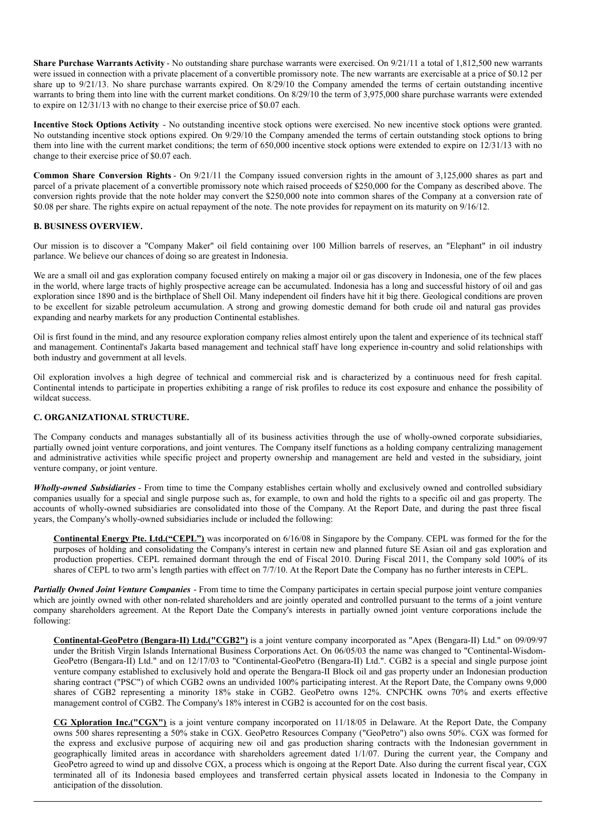**Share Purchase Warrants Activity** - No outstanding share purchase warrants were exercised. On 9/21/11 a total of 1,812,500 new warrants were issued in connection with a private placement of a convertible promissory note. The new warrants are exercisable at a price of \$0.12 per share up to 9/21/13. No share purchase warrants expired. On 8/29/10 the Company amended the terms of certain outstanding incentive warrants to bring them into line with the current market conditions. On 8/29/10 the term of 3,975,000 share purchase warrants were extended to expire on 12/31/13 with no change to their exercise price of \$0.07 each.

**Incentive Stock Options Activity** - No outstanding incentive stock options were exercised. No new incentive stock options were granted. No outstanding incentive stock options expired. On 9/29/10 the Company amended the terms of certain outstanding stock options to bring them into line with the current market conditions; the term of 650,000 incentive stock options were extended to expire on 12/31/13 with no change to their exercise price of \$0.07 each.

**Common Share Conversion Rights** - On 9/21/11 the Company issued conversion rights in the amount of 3,125,000 shares as part and parcel of a private placement of a convertible promissory note which raised proceeds of \$250,000 for the Company as described above. The conversion rights provide that the note holder may convert the \$250,000 note into common shares of the Company at a conversion rate of \$0.08 per share. The rights expire on actual repayment of the note. The note provides for repayment on its maturity on 9/16/12.

## **B. BUSINESS OVERVIEW.**

Our mission is to discover a "Company Maker" oil field containing over 100 Million barrels of reserves, an "Elephant" in oil industry parlance. We believe our chances of doing so are greatest in Indonesia.

We are a small oil and gas exploration company focused entirely on making a major oil or gas discovery in Indonesia, one of the few places in the world, where large tracts of highly prospective acreage can be accumulated. Indonesia has a long and successful history of oil and gas exploration since 1890 and is the birthplace of Shell Oil. Many independent oil finders have hit it big there. Geological conditions are proven to be excellent for sizable petroleum accumulation. A strong and growing domestic demand for both crude oil and natural gas provides expanding and nearby markets for any production Continental establishes.

Oil is first found in the mind, and any resource exploration company relies almost entirely upon the talent and experience of its technical staff and management. Continental's Jakarta based management and technical staff have long experience in-country and solid relationships with both industry and government at all levels.

Oil exploration involves a high degree of technical and commercial risk and is characterized by a continuous need for fresh capital. Continental intends to participate in properties exhibiting a range of risk profiles to reduce its cost exposure and enhance the possibility of wildcat success.

#### **C. ORGANIZATIONAL STRUCTURE.**

The Company conducts and manages substantially all of its business activities through the use of wholly-owned corporate subsidiaries, partially owned joint venture corporations, and joint ventures. The Company itself functions as a holding company centralizing management and administrative activities while specific project and property ownership and management are held and vested in the subsidiary, joint venture company, or joint venture.

*Wholly-owned Subsidiaries* - From time to time the Company establishes certain wholly and exclusively owned and controlled subsidiary companies usually for a special and single purpose such as, for example, to own and hold the rights to a specific oil and gas property. The accounts of wholly-owned subsidiaries are consolidated into those of the Company. At the Report Date, and during the past three fiscal years, the Company's wholly-owned subsidiaries include or included the following:

**Continental Energy Pte. Ltd.("CEPL")** was incorporated on 6/16/08 in Singapore by the Company. CEPL was formed for the for the purposes of holding and consolidating the Company's interest in certain new and planned future SE Asian oil and gas exploration and production properties. CEPL remained dormant through the end of Fiscal 2010. During Fiscal 2011, the Company sold 100% of its shares of CEPL to two arm's length parties with effect on 7/7/10. At the Report Date the Company has no further interests in CEPL.

*Partially Owned Joint Venture Companies* - From time to time the Company participates in certain special purpose joint venture companies which are jointly owned with other non-related shareholders and are jointly operated and controlled pursuant to the terms of a joint venture company shareholders agreement. At the Report Date the Company's interests in partially owned joint venture corporations include the following:

**Continental-GeoPetro (Bengara-II) Ltd.("CGB2")** is a joint venture company incorporated as "Apex (Bengara-II) Ltd." on 09/09/97 under the British Virgin Islands International Business Corporations Act. On 06/05/03 the name was changed to "Continental-Wisdom-GeoPetro (Bengara-II) Ltd." and on 12/17/03 to "Continental-GeoPetro (Bengara-II) Ltd.". CGB2 is a special and single purpose joint venture company established to exclusively hold and operate the Bengara-II Block oil and gas property under an Indonesian production sharing contract ("PSC") of which CGB2 owns an undivided 100% participating interest. At the Report Date, the Company owns 9,000 shares of CGB2 representing a minority 18% stake in CGB2. GeoPetro owns 12%. CNPCHK owns 70% and exerts effective management control of CGB2. The Company's 18% interest in CGB2 is accounted for on the cost basis.

**CG Xploration Inc.("CGX")** is a joint venture company incorporated on 11/18/05 in Delaware. At the Report Date, the Company owns 500 shares representing a 50% stake in CGX. GeoPetro Resources Company ("GeoPetro") also owns 50%. CGX was formed for the express and exclusive purpose of acquiring new oil and gas production sharing contracts with the Indonesian government in geographically limited areas in accordance with shareholders agreement dated 1/1/07. During the current year, the Company and GeoPetro agreed to wind up and dissolve CGX, a process which is ongoing at the Report Date. Also during the current fiscal year, CGX terminated all of its Indonesia based employees and transferred certain physical assets located in Indonesia to the Company in anticipation of the dissolution.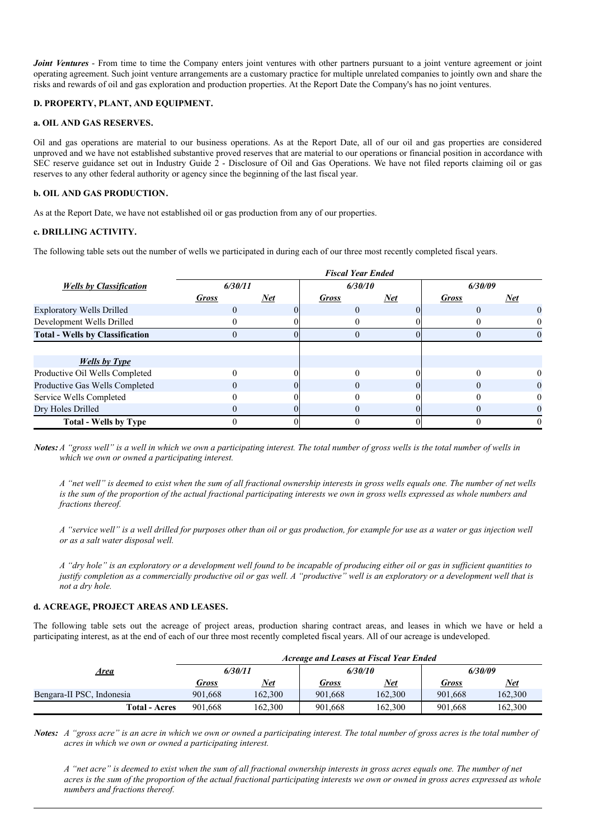*Joint Ventures* - From time to time the Company enters joint ventures with other partners pursuant to a joint venture agreement or joint operating agreement. Such joint venture arrangements are a customary practice for multiple unrelated companies to jointly own and share the risks and rewards of oil and gas exploration and production properties. At the Report Date the Company's has no joint ventures.

## **D. PROPERTY, PLANT, AND EQUIPMENT.**

#### **a. OIL AND GAS RESERVES.**

Oil and gas operations are material to our business operations. As at the Report Date, all of our oil and gas properties are considered unproved and we have not established substantive proved reserves that are material to our operations or financial position in accordance with SEC reserve guidance set out in Industry Guide 2 - Disclosure of Oil and Gas Operations. We have not filed reports claiming oil or gas reserves to any other federal authority or agency since the beginning of the last fiscal year.

#### **b. OIL AND GAS PRODUCTION.**

As at the Report Date, we have not established oil or gas production from any of our properties.

## **c. DRILLING ACTIVITY.**

The following table sets out the number of wells we participated in during each of our three most recently completed fiscal years.

|                                        | <b>Fiscal Year Ended</b> |       |              |       |              |            |
|----------------------------------------|--------------------------|-------|--------------|-------|--------------|------------|
| <b>Wells by Classification</b>         | 6/30/11                  |       | 6/30/10      |       | 6/30/09      |            |
|                                        | <b>Gross</b>             | $Net$ | <b>Gross</b> | $Net$ | <b>Gross</b> | <u>Net</u> |
| <b>Exploratory Wells Drilled</b>       |                          |       | 0            |       |              | $\theta$   |
| Development Wells Drilled              |                          |       |              |       |              |            |
| <b>Total - Wells by Classification</b> |                          |       |              |       |              |            |
|                                        |                          |       |              |       |              |            |
| <b>Wells</b> by Type                   |                          |       |              |       |              |            |
| Productive Oil Wells Completed         |                          |       |              |       |              |            |
| Productive Gas Wells Completed         |                          |       |              |       |              | $\Omega$   |
| Service Wells Completed                |                          |       |              |       |              | 0          |
| Dry Holes Drilled                      |                          |       |              |       |              |            |
| <b>Total - Wells by Type</b>           |                          |       |              |       |              |            |

Notes: A "gross well" is a well in which we own a participating interest. The total number of gross wells is the total number of wells in *which we own or owned a participating interest.*

A "net well" is deemed to exist when the sum of all fractional ownership interests in gross wells equals one. The number of net wells is the sum of the proportion of the actual fractional participating interests we own in gross wells expressed as whole numbers and *fractions thereof.*

A "service well" is a well drilled for purposes other than oil or gas production, for example for use as a water or gas injection well *or as a salt water disposal well.*

A "dry hole" is an exploratory or a development well found to be incapable of producing either oil or gas in sufficient quantities to justify completion as a commercially productive oil or gas well. A "productive" well is an exploratory or a development well that is *not a dry hole.*

## **d. ACREAGE, PROJECT AREAS AND LEASES.**

The following table sets out the acreage of project areas, production sharing contract areas, and leases in which we have or held a participating interest, as at the end of each of our three most recently completed fiscal years. All of our acreage is undeveloped.

|                           | <b>Acreage and Leases at Fiscal Year Ended</b> |            |         |            |         |            |  |  |
|---------------------------|------------------------------------------------|------------|---------|------------|---------|------------|--|--|
| <u>Area</u>               | 6/30/11                                        |            | 6/30/10 |            | 6/30/09 |            |  |  |
|                           | Gross                                          | <u>Net</u> | Gross   | <u>Net</u> | Gross   | <u>Net</u> |  |  |
| Bengara-II PSC, Indonesia | 901.668                                        | 162,300    | 901.668 | 162.300    | 901,668 | 162.300    |  |  |
| <b>Total - Acres</b>      | 901.668                                        | 162.300    | 901.668 | 162.300    | 901,668 | 162.300    |  |  |

Notes: A "gross acre" is an acre in which we own or owned a participating interest. The total number of gross acres is the total number of *acres in which we own or owned a participating interest.*

A "net acre" is deemed to exist when the sum of all fractional ownership interests in gross acres equals one. The number of net acres is the sum of the proportion of the actual fractional participating interests we own or owned in gross acres expressed as whole *numbers and fractions thereof.*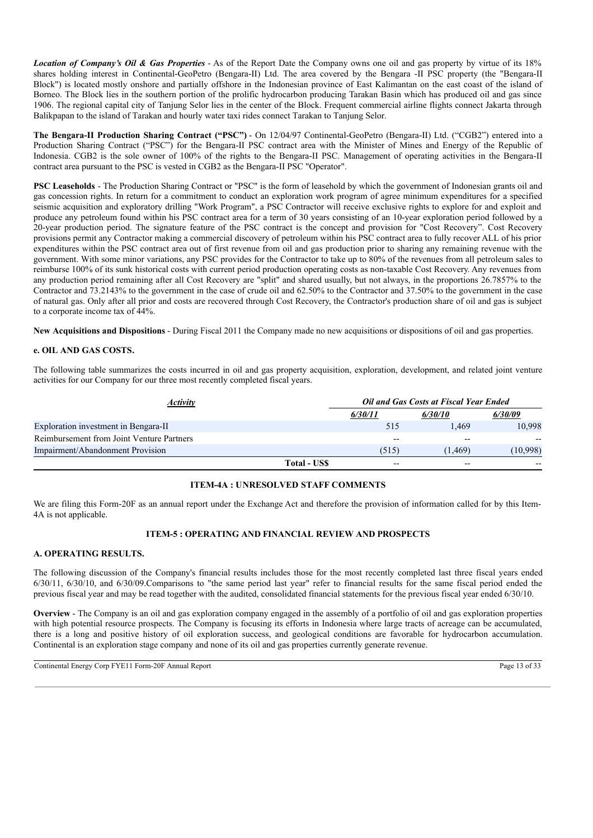*Location of Company's Oil & Gas Properties* - As of the Report Date the Company owns one oil and gas property by virtue of its 18% shares holding interest in Continental-GeoPetro (Bengara-II) Ltd. The area covered by the Bengara -II PSC property (the "Bengara-II Block") is located mostly onshore and partially offshore in the Indonesian province of East Kalimantan on the east coast of the island of Borneo. The Block lies in the southern portion of the prolific hydrocarbon producing Tarakan Basin which has produced oil and gas since 1906. The regional capital city of Tanjung Selor lies in the center of the Block. Frequent commercial airline flights connect Jakarta through Balikpapan to the island of Tarakan and hourly water taxi rides connect Tarakan to Tanjung Selor.

**The Bengara-II Production Sharing Contract ("PSC")** - On 12/04/97 Continental-GeoPetro (Bengara-II) Ltd. ("CGB2") entered into a Production Sharing Contract ("PSC") for the Bengara-II PSC contract area with the Minister of Mines and Energy of the Republic of Indonesia. CGB2 is the sole owner of 100% of the rights to the Bengara-II PSC. Management of operating activities in the Bengara-II contract area pursuant to the PSC is vested in CGB2 as the Bengara-II PSC "Operator".

**PSC Leaseholds** - The Production Sharing Contract or "PSC" is the form of leasehold by which the government of Indonesian grants oil and gas concession rights. In return for a commitment to conduct an exploration work program of agree minimum expenditures for a specified seismic acquisition and exploratory drilling "Work Program", a PSC Contractor will receive exclusive rights to explore for and exploit and produce any petroleum found within his PSC contract area for a term of 30 years consisting of an 10-year exploration period followed by a 20-year production period. The signature feature of the PSC contract is the concept and provision for "Cost Recovery". Cost Recovery provisions permit any Contractor making a commercial discovery of petroleum within his PSC contract area to fully recover ALL of his prior expenditures within the PSC contract area out of first revenue from oil and gas production prior to sharing any remaining revenue with the government. With some minor variations, any PSC provides for the Contractor to take up to 80% of the revenues from all petroleum sales to reimburse 100% of its sunk historical costs with current period production operating costs as non-taxable Cost Recovery. Any revenues from any production period remaining after all Cost Recovery are "split" and shared usually, but not always, in the proportions 26.7857% to the Contractor and 73.2143% to the government in the case of crude oil and 62.50% to the Contractor and 37.50% to the government in the case of natural gas. Only after all prior and costs are recovered through Cost Recovery, the Contractor's production share of oil and gas is subject to a corporate income tax of 44%.

**New Acquisitions and Dispositions** - During Fiscal 2011 the Company made no new acquisitions or dispositions of oil and gas properties.

## **e. OIL AND GAS COSTS.**

The following table summarizes the costs incurred in oil and gas property acquisition, exploration, development, and related joint venture activities for our Company for our three most recently completed fiscal years.

| <i><b>Activity</b></i>                    |              | Oil and Gas Costs at Fiscal Year Ended |         |          |  |
|-------------------------------------------|--------------|----------------------------------------|---------|----------|--|
|                                           |              | 6/30/11                                | 6/30/10 | 6/30/09  |  |
| Exploration investment in Bengara-II      |              | 515                                    | 1.469   | 10.998   |  |
| Reimbursement from Joint Venture Partners |              | $- -$                                  | $- -$   |          |  |
| Impairment/Abandonment Provision          |              | (515)                                  | (1.469) | (10,998) |  |
|                                           | Total - US\$ | $- -$                                  | $- -$   |          |  |

## **ITEM-4A : UNRESOLVED STAFF COMMENTS**

We are filing this Form-20F as an annual report under the Exchange Act and therefore the provision of information called for by this Item-4A is not applicable.

## **ITEM-5 : OPERATING AND FINANCIAL REVIEW AND PROSPECTS**

## **A. OPERATING RESULTS.**

The following discussion of the Company's financial results includes those for the most recently completed last three fiscal years ended 6/30/11, 6/30/10, and 6/30/09.Comparisons to "the same period last year" refer to financial results for the same fiscal period ended the previous fiscal year and may be read together with the audited, consolidated financial statements for the previous fiscal year ended 6/30/10.

**Overview** - The Company is an oil and gas exploration company engaged in the assembly of a portfolio of oil and gas exploration properties with high potential resource prospects. The Company is focusing its efforts in Indonesia where large tracts of acreage can be accumulated, there is a long and positive history of oil exploration success, and geological conditions are favorable for hydrocarbon accumulation. Continental is an exploration stage company and none of its oil and gas properties currently generate revenue.

Continental Energy Corp FYE11 Form-20F Annual Report Page 13 of 33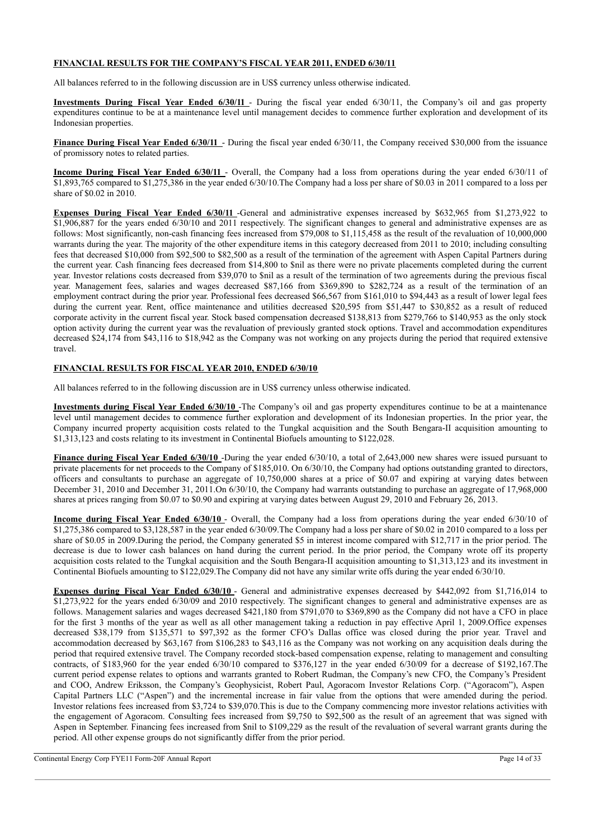## **FINANCIAL RESULTS FOR THE COMPANY'S FISCAL YEAR 2011, ENDED 6/30/11**

All balances referred to in the following discussion are in US\$ currency unless otherwise indicated.

**Investments During Fiscal Year Ended 6/30/11** - During the fiscal year ended 6/30/11, the Company's oil and gas property expenditures continue to be at a maintenance level until management decides to commence further exploration and development of its Indonesian properties.

**Finance During Fiscal Year Ended 6/30/11** - During the fiscal year ended 6/30/11, the Company received \$30,000 from the issuance of promissory notes to related parties.

**Income During Fiscal Year Ended 6/30/11** - Overall, the Company had a loss from operations during the year ended 6/30/11 of \$1,893,765 compared to \$1,275,386 in the year ended 6/30/10.The Company had a loss per share of \$0.03 in 2011 compared to a loss per share of \$0.02 in 2010.

**Expenses During Fiscal Year Ended 6/30/11** -General and administrative expenses increased by \$632,965 from \$1,273,922 to \$1,906,887 for the years ended 6/30/10 and 2011 respectively. The significant changes to general and administrative expenses are as follows: Most significantly, non-cash financing fees increased from \$79,008 to \$1,115,458 as the result of the revaluation of 10,000,000 warrants during the year. The majority of the other expenditure items in this category decreased from 2011 to 2010; including consulting fees that decreased \$10,000 from \$92,500 to \$82,500 as a result of the termination of the agreement with Aspen Capital Partners during the current year. Cash financing fees decreased from \$14,800 to \$nil as there were no private placements completed during the current year. Investor relations costs decreased from \$39,070 to \$nil as a result of the termination of two agreements during the previous fiscal year. Management fees, salaries and wages decreased \$87,166 from \$369,890 to \$282,724 as a result of the termination of an employment contract during the prior year. Professional fees decreased \$66,567 from \$161,010 to \$94,443 as a result of lower legal fees during the current year. Rent, office maintenance and utilities decreased \$20,595 from \$51,447 to \$30,852 as a result of reduced corporate activity in the current fiscal year. Stock based compensation decreased \$138,813 from \$279,766 to \$140,953 as the only stock option activity during the current year was the revaluation of previously granted stock options. Travel and accommodation expenditures decreased \$24,174 from \$43,116 to \$18,942 as the Company was not working on any projects during the period that required extensive travel.

## **FINANCIAL RESULTS FOR FISCAL YEAR 2010, ENDED 6/30/10**

All balances referred to in the following discussion are in US\$ currency unless otherwise indicated.

**Investments during Fiscal Year Ended 6/30/10** -The Company's oil and gas property expenditures continue to be at a maintenance level until management decides to commence further exploration and development of its Indonesian properties. In the prior year, the Company incurred property acquisition costs related to the Tungkal acquisition and the South Bengara-II acquisition amounting to \$1,313,123 and costs relating to its investment in Continental Biofuels amounting to \$122,028.

**Finance during Fiscal Year Ended 6/30/10** -During the year ended 6/30/10, a total of 2,643,000 new shares were issued pursuant to private placements for net proceeds to the Company of \$185,010. On 6/30/10, the Company had options outstanding granted to directors, officers and consultants to purchase an aggregate of 10,750,000 shares at a price of \$0.07 and expiring at varying dates between December 31, 2010 and December 31, 2011.On 6/30/10, the Company had warrants outstanding to purchase an aggregate of 17,968,000 shares at prices ranging from \$0.07 to \$0.90 and expiring at varying dates between August 29, 2010 and February 26, 2013.

**Income during Fiscal Year Ended 6/30/10** - Overall, the Company had a loss from operations during the year ended 6/30/10 of \$1,275,386 compared to \$3,128,587 in the year ended 6/30/09.The Company had a loss per share of \$0.02 in 2010 compared to a loss per share of \$0.05 in 2009.During the period, the Company generated \$5 in interest income compared with \$12,717 in the prior period. The decrease is due to lower cash balances on hand during the current period. In the prior period, the Company wrote off its property acquisition costs related to the Tungkal acquisition and the South Bengara-II acquisition amounting to \$1,313,123 and its investment in Continental Biofuels amounting to \$122,029.The Company did not have any similar write offs during the year ended 6/30/10.

**Expenses during Fiscal Year Ended 6/30/10** - General and administrative expenses decreased by \$442,092 from \$1,716,014 to \$1,273,922 for the years ended 6/30/09 and 2010 respectively. The significant changes to general and administrative expenses are as follows. Management salaries and wages decreased \$421,180 from \$791,070 to \$369,890 as the Company did not have a CFO in place for the first 3 months of the year as well as all other management taking a reduction in pay effective April 1, 2009.Office expenses decreased \$38,179 from \$135,571 to \$97,392 as the former CFO's Dallas office was closed during the prior year. Travel and accommodation decreased by \$63,167 from \$106,283 to \$43,116 as the Company was not working on any acquisition deals during the period that required extensive travel. The Company recorded stock-based compensation expense, relating to management and consulting contracts, of \$183,960 for the year ended 6/30/10 compared to \$376,127 in the year ended 6/30/09 for a decrease of \$192,167.The current period expense relates to options and warrants granted to Robert Rudman, the Company's new CFO, the Company's President and COO, Andrew Eriksson, the Company's Geophysicist, Robert Paul, Agoracom Investor Relations Corp. ("Agoracom"), Aspen Capital Partners LLC ("Aspen") and the incremental increase in fair value from the options that were amended during the period. Investor relations fees increased from \$3,724 to \$39,070.This is due to the Company commencing more investor relations activities with the engagement of Agoracom. Consulting fees increased from \$9,750 to \$92,500 as the result of an agreement that was signed with Aspen in September. Financing fees increased from \$nil to \$109,229 as the result of the revaluation of several warrant grants during the period. All other expense groups do not significantly differ from the prior period.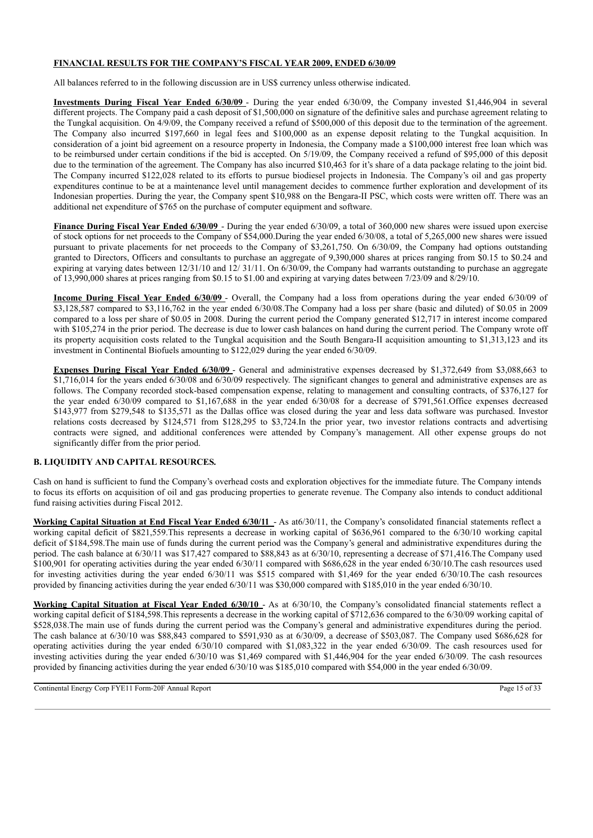## **FINANCIAL RESULTS FOR THE COMPANY'S FISCAL YEAR 2009, ENDED 6/30/09**

All balances referred to in the following discussion are in US\$ currency unless otherwise indicated.

**Investments During Fiscal Year Ended 6/30/09** - During the year ended 6/30/09, the Company invested \$1,446,904 in several different projects. The Company paid a cash deposit of \$1,500,000 on signature of the definitive sales and purchase agreement relating to the Tungkal acquisition. On 4/9/09, the Company received a refund of \$500,000 of this deposit due to the termination of the agreement. The Company also incurred \$197,660 in legal fees and \$100,000 as an expense deposit relating to the Tungkal acquisition. In consideration of a joint bid agreement on a resource property in Indonesia, the Company made a \$100,000 interest free loan which was to be reimbursed under certain conditions if the bid is accepted. On 5/19/09, the Company received a refund of \$95,000 of this deposit due to the termination of the agreement. The Company has also incurred \$10,463 for it's share of a data package relating to the joint bid. The Company incurred \$122,028 related to its efforts to pursue biodiesel projects in Indonesia. The Company's oil and gas property expenditures continue to be at a maintenance level until management decides to commence further exploration and development of its Indonesian properties. During the year, the Company spent \$10,988 on the Bengara-II PSC, which costs were written off. There was an additional net expenditure of \$765 on the purchase of computer equipment and software.

**Finance During Fiscal Year Ended 6/30/09** - During the year ended 6/30/09, a total of 360,000 new shares were issued upon exercise of stock options for net proceeds to the Company of \$54,000.During the year ended 6/30/08, a total of 5,265,000 new shares were issued pursuant to private placements for net proceeds to the Company of \$3,261,750. On 6/30/09, the Company had options outstanding granted to Directors, Officers and consultants to purchase an aggregate of 9,390,000 shares at prices ranging from \$0.15 to \$0.24 and expiring at varying dates between  $12/31/10$  and  $12/31/11$ . On 6/30/09, the Company had warrants outstanding to purchase an aggregate of 13,990,000 shares at prices ranging from \$0.15 to \$1.00 and expiring at varying dates between 7/23/09 and 8/29/10.

**Income During Fiscal Year Ended 6/30/09** - Overall, the Company had a loss from operations during the year ended 6/30/09 of \$3,128,587 compared to \$3,116,762 in the year ended 6/30/08.The Company had a loss per share (basic and diluted) of \$0.05 in 2009 compared to a loss per share of \$0.05 in 2008. During the current period the Company generated \$12,717 in interest income compared with \$105,274 in the prior period. The decrease is due to lower cash balances on hand during the current period. The Company wrote off its property acquisition costs related to the Tungkal acquisition and the South Bengara-II acquisition amounting to \$1,313,123 and its investment in Continental Biofuels amounting to \$122,029 during the year ended 6/30/09.

**Expenses During Fiscal Year Ended 6/30/09** - General and administrative expenses decreased by \$1,372,649 from \$3,088,663 to \$1,716,014 for the years ended 6/30/08 and 6/30/09 respectively. The significant changes to general and administrative expenses are as follows. The Company recorded stock-based compensation expense, relating to management and consulting contracts, of \$376,127 for the year ended 6/30/09 compared to \$1,167,688 in the year ended 6/30/08 for a decrease of \$791,561.Office expenses decreased \$143,977 from \$279,548 to \$135,571 as the Dallas office was closed during the year and less data software was purchased. Investor relations costs decreased by \$124,571 from \$128,295 to \$3,724.In the prior year, two investor relations contracts and advertising contracts were signed, and additional conferences were attended by Company's management. All other expense groups do not significantly differ from the prior period.

## **B. LIQUIDITY AND CAPITAL RESOURCES.**

Cash on hand is sufficient to fund the Company's overhead costs and exploration objectives for the immediate future. The Company intends to focus its efforts on acquisition of oil and gas producing properties to generate revenue. The Company also intends to conduct additional fund raising activities during Fiscal 2012.

**Working Capital Situation at End Fiscal Year Ended 6/30/11** - As at6/30/11, the Company's consolidated financial statements reflect a working capital deficit of \$821,559.This represents a decrease in working capital of \$636,961 compared to the 6/30/10 working capital deficit of \$184,598.The main use of funds during the current period was the Company's general and administrative expenditures during the period. The cash balance at 6/30/11 was \$17,427 compared to \$88,843 as at 6/30/10, representing a decrease of \$71,416.The Company used \$100,901 for operating activities during the year ended  $6/30/11$  compared with \$686,628 in the year ended  $6/30/10$ . The cash resources used for investing activities during the year ended 6/30/11 was \$515 compared with \$1,469 for the year ended 6/30/10.The cash resources provided by financing activities during the year ended 6/30/11 was \$30,000 compared with \$185,010 in the year ended 6/30/10.

**Working Capital Situation at Fiscal Year Ended 6/30/10** - As at 6/30/10, the Company's consolidated financial statements reflect a working capital deficit of \$184,598.This represents a decrease in the working capital of \$712,636 compared to the 6/30/09 working capital of \$528,038.The main use of funds during the current period was the Company's general and administrative expenditures during the period. The cash balance at 6/30/10 was \$88,843 compared to \$591,930 as at 6/30/09, a decrease of \$503,087. The Company used \$686,628 for operating activities during the year ended 6/30/10 compared with \$1,083,322 in the year ended 6/30/09. The cash resources used for investing activities during the year ended 6/30/10 was \$1,469 compared with \$1,446,904 for the year ended 6/30/09. The cash resources provided by financing activities during the year ended 6/30/10 was \$185,010 compared with \$54,000 in the year ended 6/30/09.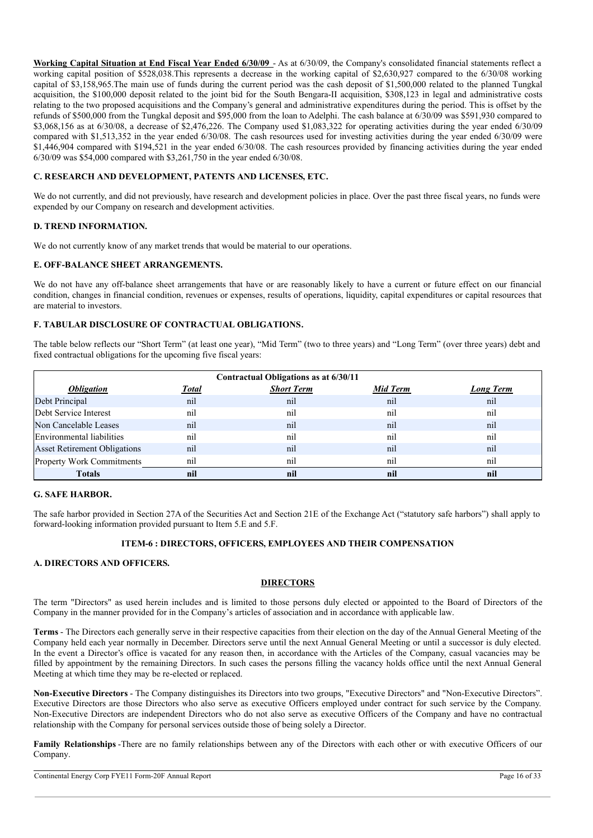**Working Capital Situation at End Fiscal Year Ended 6/30/09** - As at 6/30/09, the Company's consolidated financial statements reflect a working capital position of \$528,038.This represents a decrease in the working capital of \$2,630,927 compared to the 6/30/08 working capital of \$3,158,965.The main use of funds during the current period was the cash deposit of \$1,500,000 related to the planned Tungkal acquisition, the \$100,000 deposit related to the joint bid for the South Bengara-II acquisition, \$308,123 in legal and administrative costs relating to the two proposed acquisitions and the Company's general and administrative expenditures during the period. This is offset by the refunds of \$500,000 from the Tungkal deposit and \$95,000 from the loan to Adelphi. The cash balance at 6/30/09 was \$591,930 compared to \$3,068,156 as at 6/30/08, a decrease of \$2,476,226. The Company used \$1,083,322 for operating activities during the year ended 6/30/09 compared with \$1,513,352 in the year ended 6/30/08. The cash resources used for investing activities during the year ended 6/30/09 were \$1,446,904 compared with \$194,521 in the year ended 6/30/08. The cash resources provided by financing activities during the year ended 6/30/09 was \$54,000 compared with \$3,261,750 in the year ended 6/30/08.

## **C. RESEARCH AND DEVELOPMENT, PATENTS AND LICENSES, ETC.**

We do not currently, and did not previously, have research and development policies in place. Over the past three fiscal years, no funds were expended by our Company on research and development activities.

## **D. TREND INFORMATION.**

We do not currently know of any market trends that would be material to our operations.

#### **E. OFF-BALANCE SHEET ARRANGEMENTS.**

We do not have any off-balance sheet arrangements that have or are reasonably likely to have a current or future effect on our financial condition, changes in financial condition, revenues or expenses, results of operations, liquidity, capital expenditures or capital resources that are material to investors.

## **F. TABULAR DISCLOSURE OF CONTRACTUAL OBLIGATIONS.**

The table below reflects our "Short Term" (at least one year), "Mid Term" (two to three years) and "Long Term" (over three years) debt and fixed contractual obligations for the upcoming five fiscal years:

| Contractual Obligations as at 6/30/11 |              |                   |          |                  |  |  |  |
|---------------------------------------|--------------|-------------------|----------|------------------|--|--|--|
| <i><b>Obligation</b></i>              | <b>Total</b> | <b>Short Term</b> | Mid Term | <b>Long Term</b> |  |  |  |
| Debt Principal                        | nil          | nil               | nil      | nil              |  |  |  |
| Debt Service Interest                 | nil          | nil               | ni       | nil              |  |  |  |
| Non Cancelable Leases                 | nil          | nil               | nil      | nil              |  |  |  |
| Environmental liabilities             | nil          | nil               | ni       | nil              |  |  |  |
| <b>Asset Retirement Obligations</b>   | nil          | nil               | nil      | nil              |  |  |  |
| Property Work Commitments             | nil          | nil               | ni       | nil              |  |  |  |
| <b>Totals</b>                         | nil          | nil               | nil      | nil              |  |  |  |

## **G. SAFE HARBOR.**

The safe harbor provided in Section 27A of the Securities Act and Section 21E of the Exchange Act ("statutory safe harbors") shall apply to forward-looking information provided pursuant to Item 5.E and 5.F.

#### **ITEM-6 : DIRECTORS, OFFICERS, EMPLOYEES AND THEIR COMPENSATION**

#### **A. DIRECTORS AND OFFICERS.**

## **DIRECTORS**

The term "Directors" as used herein includes and is limited to those persons duly elected or appointed to the Board of Directors of the Company in the manner provided for in the Company's articles of association and in accordance with applicable law.

**Terms** - The Directors each generally serve in their respective capacities from their election on the day of the Annual General Meeting of the Company held each year normally in December. Directors serve until the next Annual General Meeting or until a successor is duly elected. In the event a Director's office is vacated for any reason then, in accordance with the Articles of the Company, casual vacancies may be filled by appointment by the remaining Directors. In such cases the persons filling the vacancy holds office until the next Annual General Meeting at which time they may be re-elected or replaced.

**Non-Executive Directors** - The Company distinguishes its Directors into two groups, "Executive Directors" and "Non-Executive Directors". Executive Directors are those Directors who also serve as executive Officers employed under contract for such service by the Company. Non-Executive Directors are independent Directors who do not also serve as executive Officers of the Company and have no contractual relationship with the Company for personal services outside those of being solely a Director.

**Family Relationships** -There are no family relationships between any of the Directors with each other or with executive Officers of our Company.

Continental Energy Corp FYE11 Form-20F Annual Report Page 16 of 33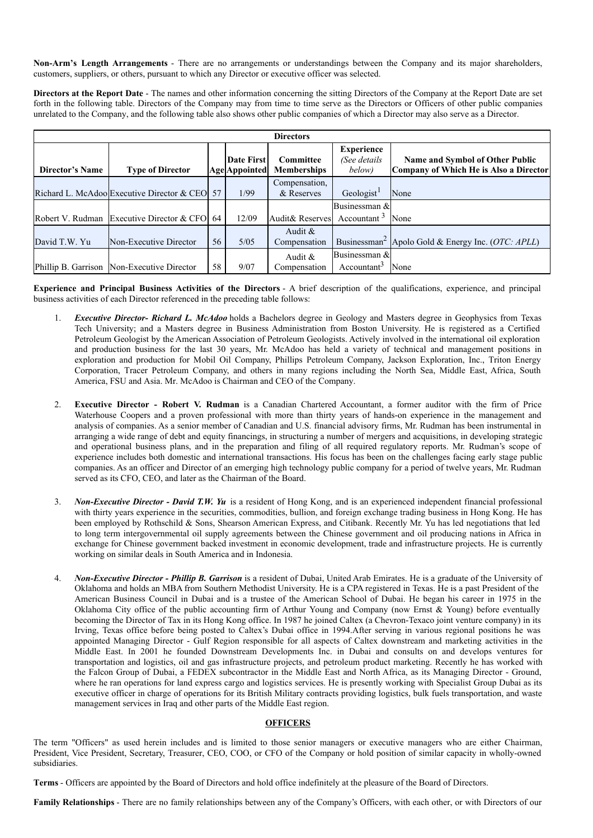**Non-Arm's Length Arrangements** - There are no arrangements or understandings between the Company and its major shareholders, customers, suppliers, or others, pursuant to which any Director or executive officer was selected.

**Directors at the Report Date** - The names and other information concerning the sitting Directors of the Company at the Report Date are set forth in the following table. Directors of the Company may from time to time serve as the Directors or Officers of other public companies unrelated to the Company, and the following table also shows other public companies of which a Director may also serve as a Director.

|                        | <b>Directors</b>                              |    |                                    |                                 |                                             |                                                                                  |  |  |
|------------------------|-----------------------------------------------|----|------------------------------------|---------------------------------|---------------------------------------------|----------------------------------------------------------------------------------|--|--|
| <b>Director's Name</b> | <b>Type of Director</b>                       |    | Date First<br><b>Age</b> Appointed | Committee<br><b>Memberships</b> | <b>Experience</b><br>(See details<br>below) | <b>Name and Symbol of Other Public</b><br>Company of Which He is Also a Director |  |  |
|                        | Richard L. McAdoo Executive Director & CEO 57 |    | 1/99                               | Compensation,<br>& Reserves     | Geologist <sup>1</sup>                      | None                                                                             |  |  |
|                        |                                               |    |                                    |                                 | Businessman &                               |                                                                                  |  |  |
|                        | Robert V. Rudman Executive Director & CFO 64  |    | 12/09                              | Audit& Reserves                 | Accountant $3$                              | None                                                                             |  |  |
| David T.W. Yu          | Non-Executive Director                        | 56 | 5/05                               | Audit $\&$<br>Compensation      |                                             | Businessman <sup>2</sup> Apolo Gold & Energy Inc. ( <i>OTC: APLL</i> )           |  |  |
|                        |                                               |    |                                    | Audit $\&$                      | Businessman &                               |                                                                                  |  |  |
|                        | Phillip B. Garrison Non-Executive Director    | 58 | 9/07                               | Compensation                    | Accountant <sup>3</sup>                     | None                                                                             |  |  |

**Experience and Principal Business Activities of the Directors** - A brief description of the qualifications, experience, and principal business activities of each Director referenced in the preceding table follows:

- 1. *Executive Director- Richard L. McAdoo* holds a Bachelors degree in Geology and Masters degree in Geophysics from Texas Tech University; and a Masters degree in Business Administration from Boston University. He is registered as a Certified Petroleum Geologist by the American Association of Petroleum Geologists. Actively involved in the international oil exploration and production business for the last 30 years, Mr. McAdoo has held a variety of technical and management positions in exploration and production for Mobil Oil Company, Phillips Petroleum Company, Jackson Exploration, Inc., Triton Energy Corporation, Tracer Petroleum Company, and others in many regions including the North Sea, Middle East, Africa, South America, FSU and Asia. Mr. McAdoo is Chairman and CEO of the Company.
- 2. **Executive Director - Robert V. Rudman** is a Canadian Chartered Accountant, a former auditor with the firm of Price Waterhouse Coopers and a proven professional with more than thirty years of hands-on experience in the management and analysis of companies. As a senior member of Canadian and U.S. financial advisory firms, Mr. Rudman has been instrumental in arranging a wide range of debt and equity financings, in structuring a number of mergers and acquisitions, in developing strategic and operational business plans, and in the preparation and filing of all required regulatory reports. Mr. Rudman's scope of experience includes both domestic and international transactions. His focus has been on the challenges facing early stage public companies. As an officer and Director of an emerging high technology public company for a period of twelve years, Mr. Rudman served as its CFO, CEO, and later as the Chairman of the Board.
- 3. *Non-Executive Director - David T.W. Yu* is a resident of Hong Kong, and is an experienced independent financial professional with thirty years experience in the securities, commodities, bullion, and foreign exchange trading business in Hong Kong. He has been employed by Rothschild & Sons, Shearson American Express, and Citibank. Recently Mr. Yu has led negotiations that led to long term intergovernmental oil supply agreements between the Chinese government and oil producing nations in Africa in exchange for Chinese government backed investment in economic development, trade and infrastructure projects. He is currently working on similar deals in South America and in Indonesia.
- 4. *Non-Executive Director - Phillip B. Garrison* is a resident of Dubai, United Arab Emirates. He is a graduate of the University of Oklahoma and holds an MBA from Southern Methodist University. He is a CPA registered in Texas. He is a past President of the American Business Council in Dubai and is a trustee of the American School of Dubai. He began his career in 1975 in the Oklahoma City office of the public accounting firm of Arthur Young and Company (now Ernst & Young) before eventually becoming the Director of Tax in its Hong Kong office. In 1987 he joined Caltex (a Chevron-Texaco joint venture company) in its Irving, Texas office before being posted to Caltex's Dubai office in 1994.After serving in various regional positions he was appointed Managing Director - Gulf Region responsible for all aspects of Caltex downstream and marketing activities in the Middle East. In 2001 he founded Downstream Developments Inc. in Dubai and consults on and develops ventures for transportation and logistics, oil and gas infrastructure projects, and petroleum product marketing. Recently he has worked with the Falcon Group of Dubai, a FEDEX subcontractor in the Middle East and North Africa, as its Managing Director - Ground, where he ran operations for land express cargo and logistics services. He is presently working with Specialist Group Dubai as its executive officer in charge of operations for its British Military contracts providing logistics, bulk fuels transportation, and waste management services in Iraq and other parts of the Middle East region.

## **OFFICERS**

The term "Officers" as used herein includes and is limited to those senior managers or executive managers who are either Chairman, President, Vice President, Secretary, Treasurer, CEO, COO, or CFO of the Company or hold position of similar capacity in wholly-owned subsidiaries.

**Terms** - Officers are appointed by the Board of Directors and hold office indefinitely at the pleasure of the Board of Directors.

**Family Relationships** - There are no family relationships between any of the Company's Officers, with each other, or with Directors of our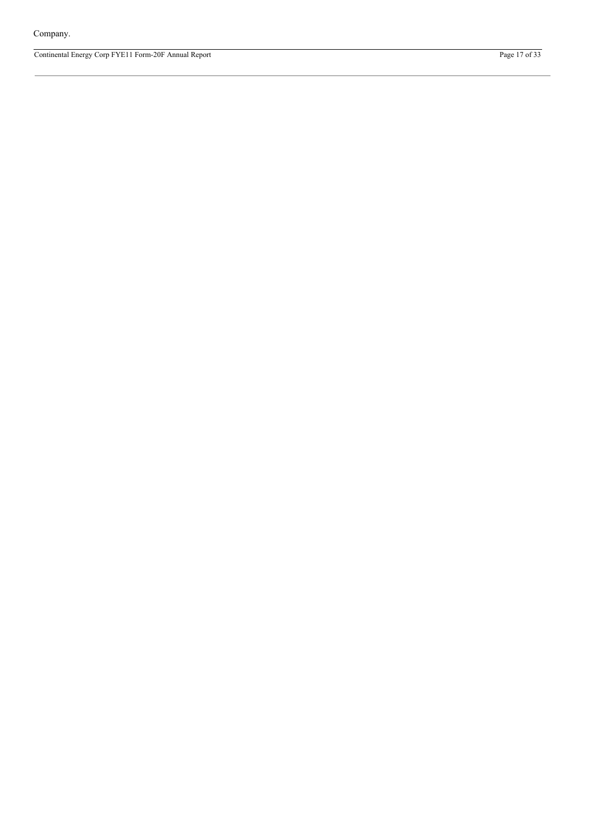Continental Energy Corp FYE11 Form-20F Annual Report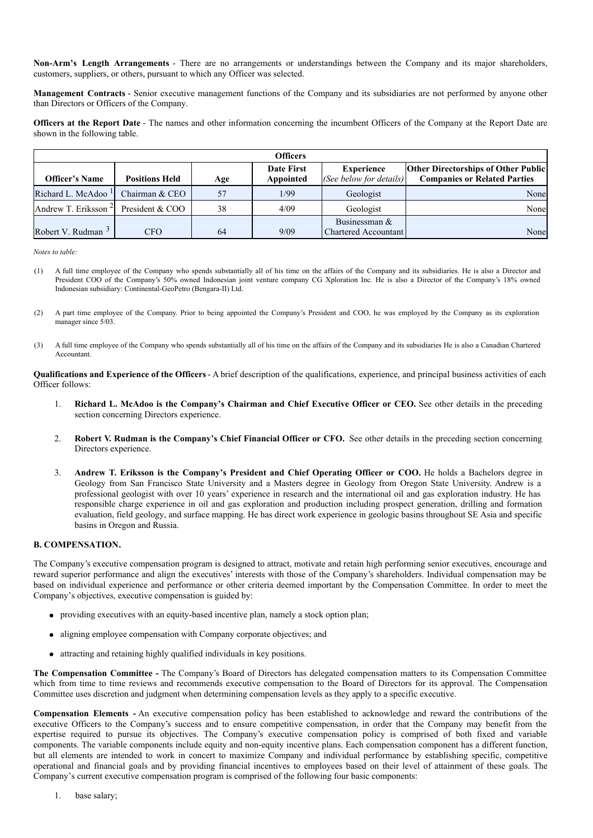**Non-Arm's Length Arrangements** - There are no arrangements or understandings between the Company and its major shareholders, customers, suppliers, or others, pursuant to which any Officer was selected.

**Management Contracts** - Senior executive management functions of the Company and its subsidiaries are not performed by anyone other than Directors or Officers of the Company.

**Officers at the Report Date** - The names and other information concerning the incumbent Officers of the Company at the Report Date are shown in the following table.

|                                 |                       |     | <b>Officers</b> |                                       |                                            |
|---------------------------------|-----------------------|-----|-----------------|---------------------------------------|--------------------------------------------|
|                                 |                       |     | Date First      | <b>Experience</b>                     | <b>Other Directorships of Other Public</b> |
| <b>Officer's Name</b>           | <b>Positions Held</b> | Age | Appointed       | (See below for details)               | <b>Companies or Related Parties</b>        |
| Richard L. McAdoo <sup>1</sup>  | Chairman & CEO        | 57  | 1/99            | Geologist                             | None                                       |
| Andrew T. Eriksson <sup>2</sup> | President & COO       | 38  | 4/09            | Geologist                             | None                                       |
| Robert V. Rudman $3$            | <b>CFO</b>            | 64  | 9/09            | Businessman &<br>Chartered Accountant | None                                       |

*Notes to table:*

- (1) A full time employee of the Company who spends substantially all of his time on the affairs of the Company and its subsidiaries. He is also a Director and President COO of the Company's 50% owned Indonesian joint venture company CG Xploration Inc. He is also a Director of the Company's 18% owned Indonesian subsidiary: Continental-GeoPetro (Bengara-II) Ltd.
- (2) A part time employee of the Company. Prior to being appointed the Company's President and COO, he was employed by the Company as its exploration manager since 5/03.
- (3) A full time employee of the Company who spends substantially all of his time on the affairs of the Company and its subsidiaries He is also a Canadian Chartered Accountant.

**Qualifications and Experience of the Officers** - A brief description of the qualifications, experience, and principal business activities of each Officer follows:

- 1. **Richard L. McAdoo is the Company's Chairman and Chief Executive Officer or CEO.** See other details in the preceding section concerning Directors experience.
- 2. **Robert V. Rudman is the Company's Chief Financial Officer or CFO.** See other details in the preceding section concerning Directors experience.
- 3. **Andrew T. Eriksson is the Company's President and Chief Operating Officer or COO.** He holds a Bachelors degree in Geology from San Francisco State University and a Masters degree in Geology from Oregon State University. Andrew is a professional geologist with over 10 years' experience in research and the international oil and gas exploration industry. He has responsible charge experience in oil and gas exploration and production including prospect generation, drilling and formation evaluation, field geology, and surface mapping. He has direct work experience in geologic basins throughout SE Asia and specific basins in Oregon and Russia.

#### **B. COMPENSATION.**

The Company's executive compensation program is designed to attract, motivate and retain high performing senior executives, encourage and reward superior performance and align the executives' interests with those of the Company's shareholders. Individual compensation may be based on individual experience and performance or other criteria deemed important by the Compensation Committee. In order to meet the Company's objectives, executive compensation is guided by:

- providing executives with an equity-based incentive plan, namely a stock option plan;
- aligning employee compensation with Company corporate objectives; and
- attracting and retaining highly qualified individuals in key positions.

**The Compensation Committee -** The Company's Board of Directors has delegated compensation matters to its Compensation Committee which from time to time reviews and recommends executive compensation to the Board of Directors for its approval. The Compensation Committee uses discretion and judgment when determining compensation levels as they apply to a specific executive.

**Compensation Elements -** An executive compensation policy has been established to acknowledge and reward the contributions of the executive Officers to the Company's success and to ensure competitive compensation, in order that the Company may benefit from the expertise required to pursue its objectives. The Company's executive compensation policy is comprised of both fixed and variable components. The variable components include equity and non-equity incentive plans. Each compensation component has a different function, but all elements are intended to work in concert to maximize Company and individual performance by establishing specific, competitive operational and financial goals and by providing financial incentives to employees based on their level of attainment of these goals. The Company's current executive compensation program is comprised of the following four basic components: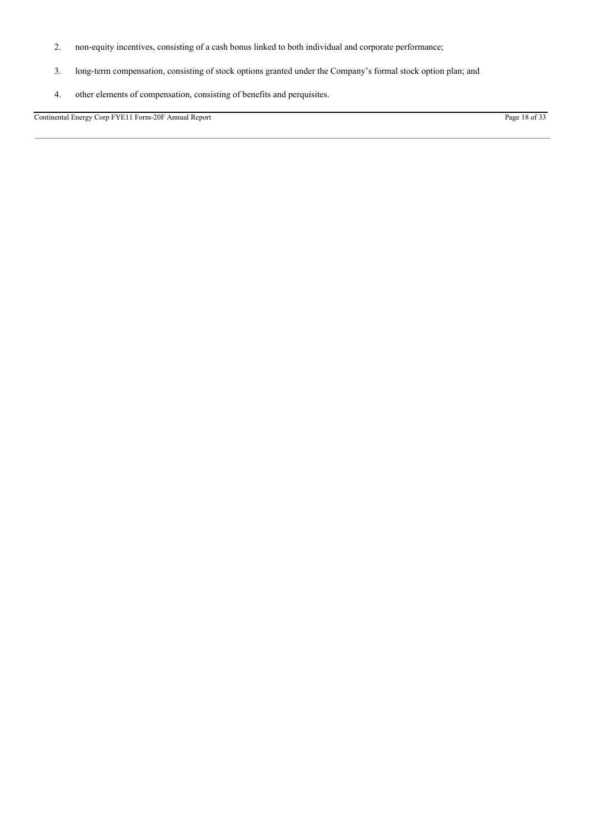- 2. non-equity incentives, consisting of a cash bonus linked to both individual and corporate performance;
- 3. long-term compensation, consisting of stock options granted under the Company's formal stock option plan; and
- 4. other elements of compensation, consisting of benefits and perquisites.

Continental Energy Corp FYE11 Form-20F Annual Report Page 18 of 33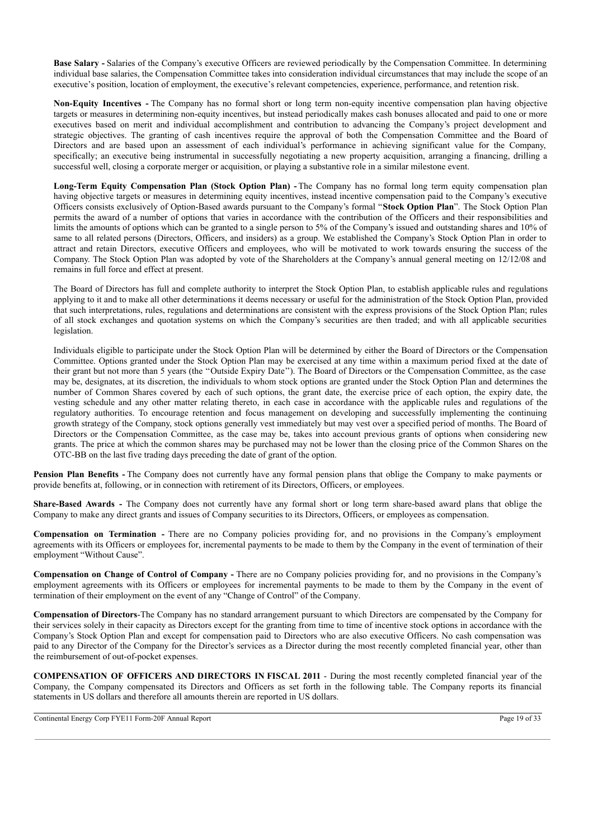**Base Salary -** Salaries of the Company's executive Officers are reviewed periodically by the Compensation Committee. In determining individual base salaries, the Compensation Committee takes into consideration individual circumstances that may include the scope of an executive's position, location of employment, the executive's relevant competencies, experience, performance, and retention risk.

**Non-Equity Incentives -** The Company has no formal short or long term non-equity incentive compensation plan having objective targets or measures in determining non-equity incentives, but instead periodically makes cash bonuses allocated and paid to one or more executives based on merit and individual accomplishment and contribution to advancing the Company's project development and strategic objectives. The granting of cash incentives require the approval of both the Compensation Committee and the Board of Directors and are based upon an assessment of each individual's performance in achieving significant value for the Company, specifically; an executive being instrumental in successfully negotiating a new property acquisition, arranging a financing, drilling a successful well, closing a corporate merger or acquisition, or playing a substantive role in a similar milestone event.

**Long-Term Equity Compensation Plan (Stock Option Plan) -** The Company has no formal long term equity compensation plan having objective targets or measures in determining equity incentives, instead incentive compensation paid to the Company's executive Officers consists exclusively of Option-Based awards pursuant to the Company's formal "**Stock Option Plan**". The Stock Option Plan permits the award of a number of options that varies in accordance with the contribution of the Officers and their responsibilities and limits the amounts of options which can be granted to a single person to 5% of the Company's issued and outstanding shares and 10% of same to all related persons (Directors, Officers, and insiders) as a group. We established the Company's Stock Option Plan in order to attract and retain Directors, executive Officers and employees, who will be motivated to work towards ensuring the success of the Company. The Stock Option Plan was adopted by vote of the Shareholders at the Company's annual general meeting on 12/12/08 and remains in full force and effect at present.

The Board of Directors has full and complete authority to interpret the Stock Option Plan, to establish applicable rules and regulations applying to it and to make all other determinations it deems necessary or useful for the administration of the Stock Option Plan, provided that such interpretations, rules, regulations and determinations are consistent with the express provisions of the Stock Option Plan; rules of all stock exchanges and quotation systems on which the Company's securities are then traded; and with all applicable securities legislation.

Individuals eligible to participate under the Stock Option Plan will be determined by either the Board of Directors or the Compensation Committee. Options granted under the Stock Option Plan may be exercised at any time within a maximum period fixed at the date of their grant but not more than 5 years (the ''Outside Expiry Date''). The Board of Directors or the Compensation Committee, as the case may be, designates, at its discretion, the individuals to whom stock options are granted under the Stock Option Plan and determines the number of Common Shares covered by each of such options, the grant date, the exercise price of each option, the expiry date, the vesting schedule and any other matter relating thereto, in each case in accordance with the applicable rules and regulations of the regulatory authorities. To encourage retention and focus management on developing and successfully implementing the continuing growth strategy of the Company, stock options generally vest immediately but may vest over a specified period of months. The Board of Directors or the Compensation Committee, as the case may be, takes into account previous grants of options when considering new grants. The price at which the common shares may be purchased may not be lower than the closing price of the Common Shares on the OTC-BB on the last five trading days preceding the date of grant of the option.

**Pension Plan Benefits -** The Company does not currently have any formal pension plans that oblige the Company to make payments or provide benefits at, following, or in connection with retirement of its Directors, Officers, or employees.

**Share-Based Awards -** The Company does not currently have any formal short or long term share-based award plans that oblige the Company to make any direct grants and issues of Company securities to its Directors, Officers, or employees as compensation.

**Compensation on Termination -** There are no Company policies providing for, and no provisions in the Company's employment agreements with its Officers or employees for, incremental payments to be made to them by the Company in the event of termination of their employment "Without Cause".

**Compensation on Change of Control of Company -** There are no Company policies providing for, and no provisions in the Company's employment agreements with its Officers or employees for incremental payments to be made to them by the Company in the event of termination of their employment on the event of any "Change of Control" of the Company.

**Compensation of Directors**-The Company has no standard arrangement pursuant to which Directors are compensated by the Company for their services solely in their capacity as Directors except for the granting from time to time of incentive stock options in accordance with the Company's Stock Option Plan and except for compensation paid to Directors who are also executive Officers. No cash compensation was paid to any Director of the Company for the Director's services as a Director during the most recently completed financial year, other than the reimbursement of out-of-pocket expenses.

**COMPENSATION OF OFFICERS AND DIRECTORS IN FISCAL 2011** - During the most recently completed financial year of the Company, the Company compensated its Directors and Officers as set forth in the following table. The Company reports its financial statements in US dollars and therefore all amounts therein are reported in US dollars.

Continental Energy Corp FYE11 Form-20F Annual Report Page 19 of 33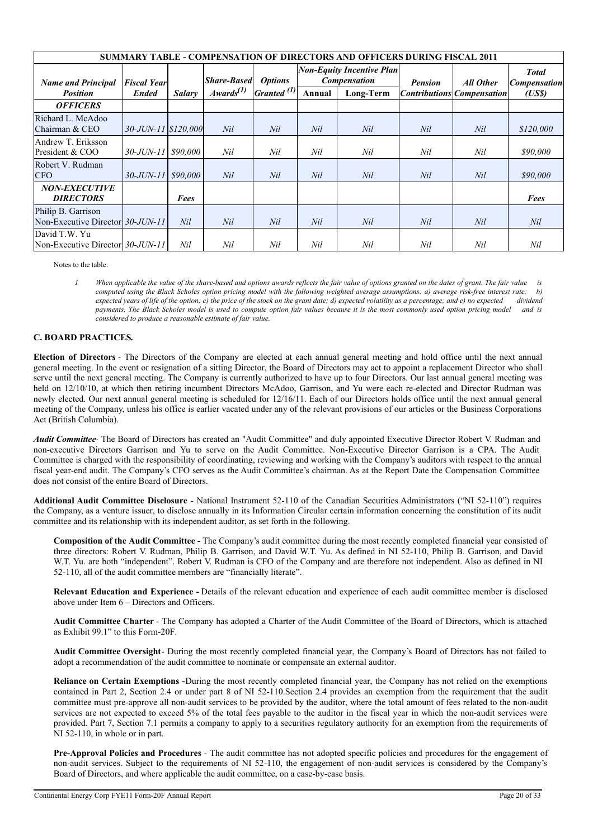| <b>SUMMARY TABLE - COMPENSATION OF DIRECTORS AND OFFICERS DURING FISCAL 2011</b> |                     |               |                    |                        |                                                                           |           |           |                                     |           |
|----------------------------------------------------------------------------------|---------------------|---------------|--------------------|------------------------|---------------------------------------------------------------------------|-----------|-----------|-------------------------------------|-----------|
| <b>Name and Principal</b>                                                        | <b>Fiscal Year</b>  |               | <b>Share-Based</b> | <i><b>Options</b></i>  | <b>Non-Equity Incentive Plan</b><br><b>Compensation</b><br><b>Pension</b> |           | All Other | <b>Total</b><br><b>Compensation</b> |           |
| <b>Position</b>                                                                  | <b>Ended</b>        | <b>Salary</b> | $A$ wards $^{(1)}$ | Granted <sup>(1)</sup> | Annual                                                                    | Long-Term |           | <b>Contributions Compensation</b>   | (USS)     |
| <b>OFFICERS</b>                                                                  |                     |               |                    |                        |                                                                           |           |           |                                     |           |
| Richard L. McAdoo<br>Chairman & CEO                                              | 30-JUN-11 \$120,000 |               | Nil                | Nil                    | Nil                                                                       | Nil       | Nil       | Nil                                 | \$120,000 |
| Andrew T. Eriksson<br>President & COO                                            | $30 - JUN - 11$     | \$90,000      | Nil                | Nil                    | Nil                                                                       | Nil       | Nil       | Nil                                 | \$90,000  |
| Robert V. Rudman<br><b>CFO</b>                                                   | $30 - JUN - 11$     | \$90,000      | Nil                | Nil                    | Nil                                                                       | Nil       | Nil       | Nil                                 | \$90,000  |
| <b>NON-EXECUTIVE</b><br><b>DIRECTORS</b>                                         |                     | Fees          |                    |                        |                                                                           |           |           |                                     | Fees      |
| Philip B. Garrison<br>Non-Executive Director 30-JUN-11                           |                     | Nil           | Nil                | Nil                    | Nil                                                                       | Nil       | Nil       | Nil                                 | Nil       |
| David T.W. Yu<br>Non-Executive Director 30-JUN-11                                |                     | Nil           | Nil                | Nil                    | Nil                                                                       | Nil       | Nil       | Nil                                 | Nil       |

Notes to the table:

When applicable the value of the share-based and options awards reflects the fair value of options granted on the dates of grant. The fair value is computed using the Black Scholes option pricing model with the following weighted average assumptions: a) average risk-free interest rate: b) expected years of life of the option; c) the price of the stock on the grant date; d) expected volatility as a percentage; and e) no expected dividend payments. The Black Scholes model is used to compute option fair values because it is the most commonly used option pricing model and is *considered to produce a reasonable estimate of fair value.*

## **C. BOARD PRACTICES.**

**Election of Directors** - The Directors of the Company are elected at each annual general meeting and hold office until the next annual general meeting. In the event or resignation of a sitting Director, the Board of Directors may act to appoint a replacement Director who shall serve until the next general meeting. The Company is currently authorized to have up to four Directors. Our last annual general meeting was held on 12/10/10, at which then retiring incumbent Directors McAdoo, Garrison, and Yu were each re-elected and Director Rudman was newly elected. Our next annual general meeting is scheduled for 12/16/11. Each of our Directors holds office until the next annual general meeting of the Company, unless his office is earlier vacated under any of the relevant provisions of our articles or the Business Corporations Act (British Columbia).

*Audit Committee*- The Board of Directors has created an "Audit Committee" and duly appointed Executive Director Robert V. Rudman and non-executive Directors Garrison and Yu to serve on the Audit Committee. Non-Executive Director Garrison is a CPA. The Audit Committee is charged with the responsibility of coordinating, reviewing and working with the Company's auditors with respect to the annual fiscal year-end audit. The Company's CFO serves as the Audit Committee's chairman. As at the Report Date the Compensation Committee does not consist of the entire Board of Directors.

**Additional Audit Committee Disclosure** - National Instrument 52-110 of the Canadian Securities Administrators ("NI 52-110") requires the Company, as a venture issuer, to disclose annually in its Information Circular certain information concerning the constitution of its audit committee and its relationship with its independent auditor, as set forth in the following.

**Composition of the Audit Committee -** The Company's audit committee during the most recently completed financial year consisted of three directors: Robert V. Rudman, Philip B. Garrison, and David W.T. Yu. As defined in NI 52-110, Philip B. Garrison, and David W.T. Yu. are both "independent". Robert V. Rudman is CFO of the Company and are therefore not independent. Also as defined in NI 52-110, all of the audit committee members are "financially literate".

**Relevant Education and Experience -** Details of the relevant education and experience of each audit committee member is disclosed above under Item 6 – Directors and Officers.

**Audit Committee Charter** - The Company has adopted a Charter of the Audit Committee of the Board of Directors, which is attached as Exhibit 99.1" to this Form-20F.

**Audit Committee Oversight**- During the most recently completed financial year, the Company's Board of Directors has not failed to adopt a recommendation of the audit committee to nominate or compensate an external auditor.

**Reliance on Certain Exemptions -**During the most recently completed financial year, the Company has not relied on the exemptions contained in Part 2, Section 2.4 or under part 8 of NI 52-110.Section 2.4 provides an exemption from the requirement that the audit committee must pre-approve all non-audit services to be provided by the auditor, where the total amount of fees related to the non-audit services are not expected to exceed 5% of the total fees payable to the auditor in the fiscal year in which the non-audit services were provided. Part 7, Section 7.1 permits a company to apply to a securities regulatory authority for an exemption from the requirements of NI 52-110, in whole or in part.

**Pre-Approval Policies and Procedures** - The audit committee has not adopted specific policies and procedures for the engagement of non-audit services. Subject to the requirements of NI 52-110, the engagement of non-audit services is considered by the Company's Board of Directors, and where applicable the audit committee, on a case-by-case basis.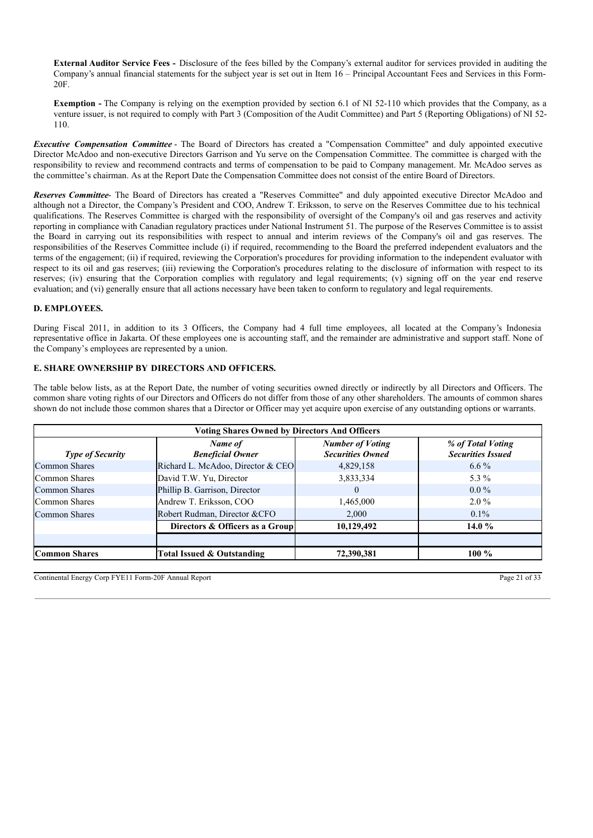**External Auditor Service Fees -** Disclosure of the fees billed by the Company's external auditor for services provided in auditing the Company's annual financial statements for the subject year is set out in Item 16 – Principal Accountant Fees and Services in this Form-20F.

**Exemption** - The Company is relying on the exemption provided by section 6.1 of NI 52-110 which provides that the Company, as a venture issuer, is not required to comply with Part 3 (Composition of the Audit Committee) and Part 5 (Reporting Obligations) of NI 52- 110.

*Executive Compensation Committee* - The Board of Directors has created a "Compensation Committee" and duly appointed executive Director McAdoo and non-executive Directors Garrison and Yu serve on the Compensation Committee. The committee is charged with the responsibility to review and recommend contracts and terms of compensation to be paid to Company management. Mr. McAdoo serves as the committee's chairman. As at the Report Date the Compensation Committee does not consist of the entire Board of Directors.

*Reserves Committee*- The Board of Directors has created a "Reserves Committee" and duly appointed executive Director McAdoo and although not a Director, the Company's President and COO, Andrew T. Eriksson, to serve on the Reserves Committee due to his technical qualifications. The Reserves Committee is charged with the responsibility of oversight of the Company's oil and gas reserves and activity reporting in compliance with Canadian regulatory practices under National Instrument 51. The purpose of the Reserves Committee is to assist the Board in carrying out its responsibilities with respect to annual and interim reviews of the Company's oil and gas reserves. The responsibilities of the Reserves Committee include (i) if required, recommending to the Board the preferred independent evaluators and the terms of the engagement; (ii) if required, reviewing the Corporation's procedures for providing information to the independent evaluator with respect to its oil and gas reserves; (iii) reviewing the Corporation's procedures relating to the disclosure of information with respect to its reserves; (iv) ensuring that the Corporation complies with regulatory and legal requirements; (v) signing off on the year end reserve evaluation; and (vi) generally ensure that all actions necessary have been taken to conform to regulatory and legal requirements.

## **D. EMPLOYEES.**

During Fiscal 2011, in addition to its 3 Officers, the Company had 4 full time employees, all located at the Company's Indonesia representative office in Jakarta. Of these employees one is accounting staff, and the remainder are administrative and support staff. None of the Company's employees are represented by a union.

## **E. SHARE OWNERSHIP BY DIRECTORS AND OFFICERS.**

The table below lists, as at the Report Date, the number of voting securities owned directly or indirectly by all Directors and Officers. The common share voting rights of our Directors and Officers do not differ from those of any other shareholders. The amounts of common shares shown do not include those common shares that a Director or Officer may yet acquire upon exercise of any outstanding options or warrants.

| <b>Voting Shares Owned by Directors And Officers</b> |                                    |                                                    |                                               |  |  |  |  |  |
|------------------------------------------------------|------------------------------------|----------------------------------------------------|-----------------------------------------------|--|--|--|--|--|
| <b>Type of Security</b>                              | Name of<br><b>Beneficial Owner</b> | <b>Number of Voting</b><br><b>Securities Owned</b> | % of Total Voting<br><b>Securities Issued</b> |  |  |  |  |  |
| Common Shares                                        | Richard L. McAdoo, Director & CEO  | 4,829,158                                          | $6.6\%$                                       |  |  |  |  |  |
| Common Shares                                        | David T.W. Yu, Director            | 3,833,334                                          | 5.3 $%$                                       |  |  |  |  |  |
| Common Shares                                        | Phillip B. Garrison, Director      | 0                                                  | $0.0\%$                                       |  |  |  |  |  |
| Common Shares                                        | Andrew T. Eriksson, COO            | 1,465,000                                          | $2.0\%$                                       |  |  |  |  |  |
| Common Shares                                        | Robert Rudman, Director &CFO       | 2.000                                              | $0.1\%$                                       |  |  |  |  |  |
|                                                      | Directors & Officers as a Group    | 10,129,492                                         | 14.0 $%$                                      |  |  |  |  |  |
|                                                      |                                    |                                                    |                                               |  |  |  |  |  |
| <b>Common Shares</b>                                 | Total Issued & Outstanding         | 72,390,381                                         | 100 $\%$                                      |  |  |  |  |  |

Continental Energy Corp FYE11 Form-20F Annual Report Page 21 of 33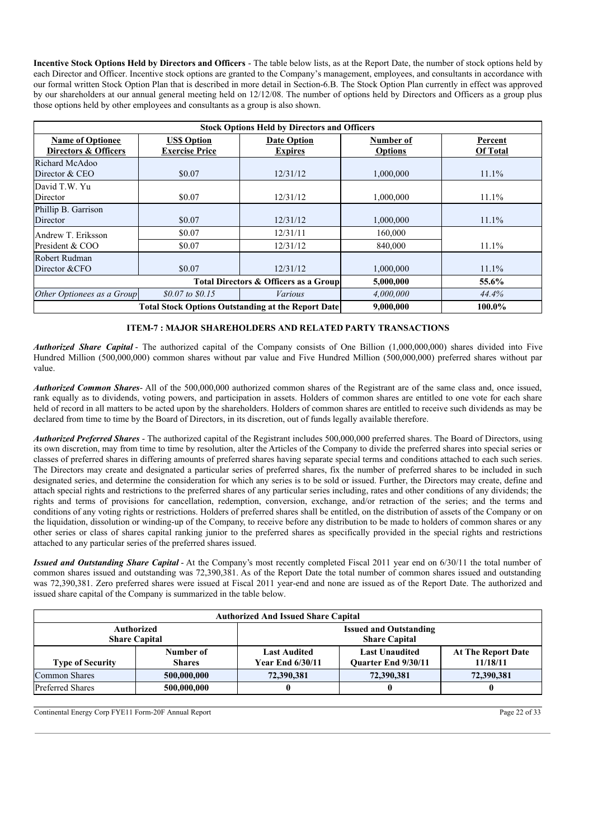**Incentive Stock Options Held by Directors and Officers** - The table below lists, as at the Report Date, the number of stock options held by each Director and Officer. Incentive stock options are granted to the Company's management, employees, and consultants in accordance with our formal written Stock Option Plan that is described in more detail in Section-6.B. The Stock Option Plan currently in effect was approved by our shareholders at our annual general meeting held on 12/12/08. The number of options held by Directors and Officers as a group plus those options held by other employees and consultants as a group is also shown.

| <b>Stock Options Held by Directors and Officers</b> |                                                           |                                      |                             |                            |  |  |  |
|-----------------------------------------------------|-----------------------------------------------------------|--------------------------------------|-----------------------------|----------------------------|--|--|--|
| <b>Name of Optionee</b><br>Directors & Officers     | <b>US\$ Option</b><br><b>Exercise Price</b>               | <b>Date Option</b><br><b>Expires</b> | Number of<br><b>Options</b> | Percent<br><b>Of Total</b> |  |  |  |
| Richard McAdoo<br>Director & CEO                    | \$0.07                                                    | 12/31/12                             | 1,000,000                   | $11.1\%$                   |  |  |  |
| David T.W. Yu<br>Director                           | \$0.07                                                    | 12/31/12                             | 1,000,000                   | $11.1\%$                   |  |  |  |
| Phillip B. Garrison<br>Director                     | \$0.07                                                    | 12/31/12                             | 1,000,000                   | $11.1\%$                   |  |  |  |
| Andrew T. Eriksson                                  | \$0.07                                                    | 12/31/11                             | 160,000                     |                            |  |  |  |
| President & COO                                     | \$0.07                                                    | 12/31/12                             | 840,000                     | 11.1%                      |  |  |  |
| Robert Rudman<br>Director & CFO                     | \$0.07                                                    | 12/31/12                             | 1,000,000                   | $11.1\%$                   |  |  |  |
|                                                     | Total Directors & Officers as a Group                     | 5,000,000                            | 55.6%                       |                            |  |  |  |
| Other Optionees as a Group                          | $$0.07 \text{ to } $0.15$$                                | Various                              | 4,000,000                   | 44.4%                      |  |  |  |
|                                                     | <b>Total Stock Options Outstanding at the Report Date</b> | 9,000,000                            | 100.0%                      |                            |  |  |  |

## **ITEM-7 : MAJOR SHAREHOLDERS AND RELATED PARTY TRANSACTIONS**

*Authorized Share Capital* - The authorized capital of the Company consists of One Billion (1,000,000,000) shares divided into Five Hundred Million (500,000,000) common shares without par value and Five Hundred Million (500,000,000) preferred shares without par value.

*Authorized Common Shares*- All of the 500,000,000 authorized common shares of the Registrant are of the same class and, once issued, rank equally as to dividends, voting powers, and participation in assets. Holders of common shares are entitled to one vote for each share held of record in all matters to be acted upon by the shareholders. Holders of common shares are entitled to receive such dividends as may be declared from time to time by the Board of Directors, in its discretion, out of funds legally available therefore.

*Authorized Preferred Shares* - The authorized capital of the Registrant includes 500,000,000 preferred shares. The Board of Directors, using its own discretion, may from time to time by resolution, alter the Articles of the Company to divide the preferred shares into special series or classes of preferred shares in differing amounts of preferred shares having separate special terms and conditions attached to each such series. The Directors may create and designated a particular series of preferred shares, fix the number of preferred shares to be included in such designated series, and determine the consideration for which any series is to be sold or issued. Further, the Directors may create, define and attach special rights and restrictions to the preferred shares of any particular series including, rates and other conditions of any dividends; the rights and terms of provisions for cancellation, redemption, conversion, exchange, and/or retraction of the series; and the terms and conditions of any voting rights or restrictions. Holders of preferred shares shall be entitled, on the distribution of assets of the Company or on the liquidation, dissolution or winding-up of the Company, to receive before any distribution to be made to holders of common shares or any other series or class of shares capital ranking junior to the preferred shares as specifically provided in the special rights and restrictions attached to any particular series of the preferred shares issued.

*Issued and Outstanding Share Capital* - At the Company's most recently completed Fiscal 2011 year end on 6/30/11 the total number of common shares issued and outstanding was 72,390,381. As of the Report Date the total number of common shares issued and outstanding was 72,390,381. Zero preferred shares were issued at Fiscal 2011 year-end and none are issued as of the Report Date. The authorized and issued share capital of the Company is summarized in the table below.

| <b>Authorized And Issued Share Capital</b> |                            |                                                       |                                              |                                       |  |  |
|--------------------------------------------|----------------------------|-------------------------------------------------------|----------------------------------------------|---------------------------------------|--|--|
| Authorized<br><b>Share Capital</b>         |                            | <b>Issued and Outstanding</b><br><b>Share Capital</b> |                                              |                                       |  |  |
| <b>Type of Security</b>                    | Number of<br><b>Shares</b> | <b>Last Audited</b><br><b>Year End 6/30/11</b>        | <b>Last Unaudited</b><br>Quarter End 9/30/11 | <b>At The Report Date</b><br>11/18/11 |  |  |
| <b>Common Shares</b>                       | 500,000,000                | 72,390,381                                            | 72,390,381                                   | 72,390,381                            |  |  |
| <b>Preferred Shares</b>                    | 500,000,000                |                                                       |                                              |                                       |  |  |

Continental Energy Corp FYE11 Form-20F Annual Report Page 22 of 33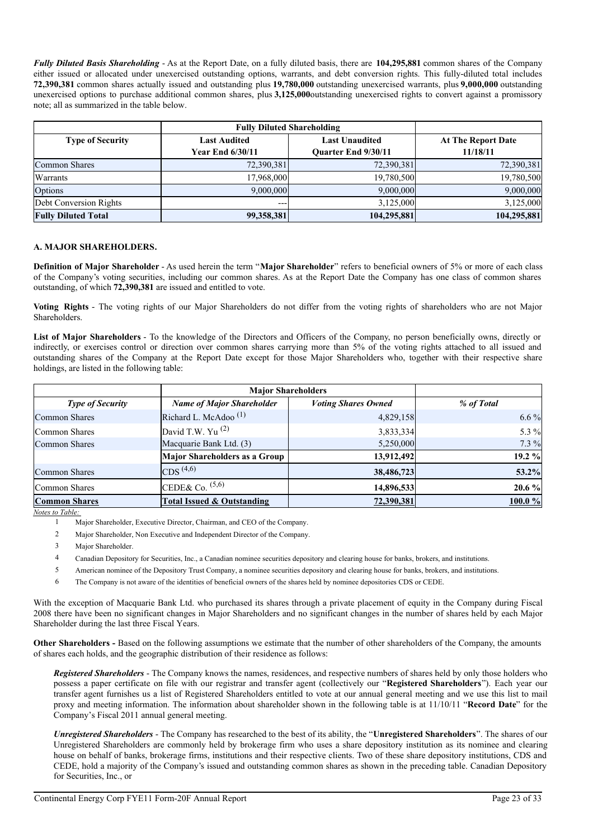*Fully Diluted Basis Shareholding* - As at the Report Date, on a fully diluted basis, there are **104,295,881** common shares of the Company either issued or allocated under unexercised outstanding options, warrants, and debt conversion rights. This fully-diluted total includes **72,390,381** common shares actually issued and outstanding plus **19,780,000** outstanding unexercised warrants, plus **9,000,000** outstanding unexercised options to purchase additional common shares, plus **3,125,000**outstanding unexercised rights to convert against a promissory note; all as summarized in the table below.

|                            | <b>Fully Diluted Shareholding</b> |                            |                           |  |
|----------------------------|-----------------------------------|----------------------------|---------------------------|--|
| <b>Type of Security</b>    | <b>Last Audited</b>               | <b>Last Unaudited</b>      | <b>At The Report Date</b> |  |
|                            | <b>Year End 6/30/11</b>           | <b>Ouarter End 9/30/11</b> | 11/18/11                  |  |
| <b>Common Shares</b>       | 72,390,381                        | 72,390,381                 | 72,390,381                |  |
| Warrants                   | 17.968.000                        | 19,780,500                 | 19,780,500                |  |
| Options                    | 9,000,000                         | 9,000,000                  | 9,000,000                 |  |
| Debt Conversion Rights     | $---$                             | 3.125,000                  | 3,125,000                 |  |
| <b>Fully Diluted Total</b> | 99,358,381                        | 104,295,881                | 104,295,881               |  |

## **A. MAJOR SHAREHOLDERS.**

**Definition of Major Shareholder** - As used herein the term "**Major Shareholder**" refers to beneficial owners of 5% or more of each class of the Company's voting securities, including our common shares. As at the Report Date the Company has one class of common shares outstanding, of which **72,390,381** are issued and entitled to vote.

**Voting Rights** - The voting rights of our Major Shareholders do not differ from the voting rights of shareholders who are not Major Shareholders.

**List of Major Shareholders** - To the knowledge of the Directors and Officers of the Company, no person beneficially owns, directly or indirectly, or exercises control or direction over common shares carrying more than 5% of the voting rights attached to all issued and outstanding shares of the Company at the Report Date except for those Major Shareholders who, together with their respective share holdings, are listed in the following table:

|                         | <b>Major Shareholders</b>        |                            |            |
|-------------------------|----------------------------------|----------------------------|------------|
| <b>Type of Security</b> | <b>Name of Major Shareholder</b> | <b>Voting Shares Owned</b> | % of Total |
| <b>Common Shares</b>    | Richard L. McAdoo <sup>(1)</sup> | 4,829,158                  | $6.6\%$    |
| Common Shares           | David T.W. Yu $^{(2)}$           | 3,833,334                  | 5.3 %      |
| <b>Common Shares</b>    | Macquarie Bank Ltd. (3)          | 5,250,000                  | 7.3 %      |
|                         | Major Shareholders as a Group    | 13,912,492                 | 19.2 %     |
| <b>Common Shares</b>    | CDS <sup>(4,6)</sup>             | 38,486,723                 | 53.2%      |
| Common Shares           | CEDE& Co. $(5,6)$                | 14,896,533                 | 20.6 %     |
| <b>Common Shares</b>    | Total Issued & Outstanding       | 72,390,381                 | 100.0 %    |

*Notes to Table:*

With the exception of Macquarie Bank Ltd. who purchased its shares through a private placement of equity in the Company during Fiscal 2008 there have been no significant changes in Major Shareholders and no significant changes in the number of shares held by each Major Shareholder during the last three Fiscal Years.

**Other Shareholders -** Based on the following assumptions we estimate that the number of other shareholders of the Company, the amounts of shares each holds, and the geographic distribution of their residence as follows:

*Registered Shareholders* - The Company knows the names, residences, and respective numbers of shares held by only those holders who possess a paper certificate on file with our registrar and transfer agent (collectively our "**Registered Shareholders**"). Each year our transfer agent furnishes us a list of Registered Shareholders entitled to vote at our annual general meeting and we use this list to mail proxy and meeting information. The information about shareholder shown in the following table is at 11/10/11 "**Record Date**" for the Company's Fiscal 2011 annual general meeting.

*Unregistered Shareholders* - The Company has researched to the best of its ability, the "**Unregistered Shareholders**". The shares of our Unregistered Shareholders are commonly held by brokerage firm who uses a share depository institution as its nominee and clearing house on behalf of banks, brokerage firms, institutions and their respective clients. Two of these share depository institutions, CDS and CEDE, hold a majority of the Company's issued and outstanding common shares as shown in the preceding table. Canadian Depository for Securities, Inc., or

<sup>1</sup> Major Shareholder, Executive Director, Chairman, and CEO of the Company.

<sup>2</sup> Major Shareholder, Non Executive and Independent Director of the Company.

<sup>3</sup> Major Shareholder.

<sup>4</sup> Canadian Depository for Securities, Inc., a Canadian nominee securities depository and clearing house for banks, brokers, and institutions.

<sup>5</sup> American nominee of the Depository Trust Company, a nominee securities depository and clearing house for banks, brokers, and institutions.

<sup>6</sup> The Company is not aware of the identities of beneficial owners of the shares held by nominee depositories CDS or CEDE.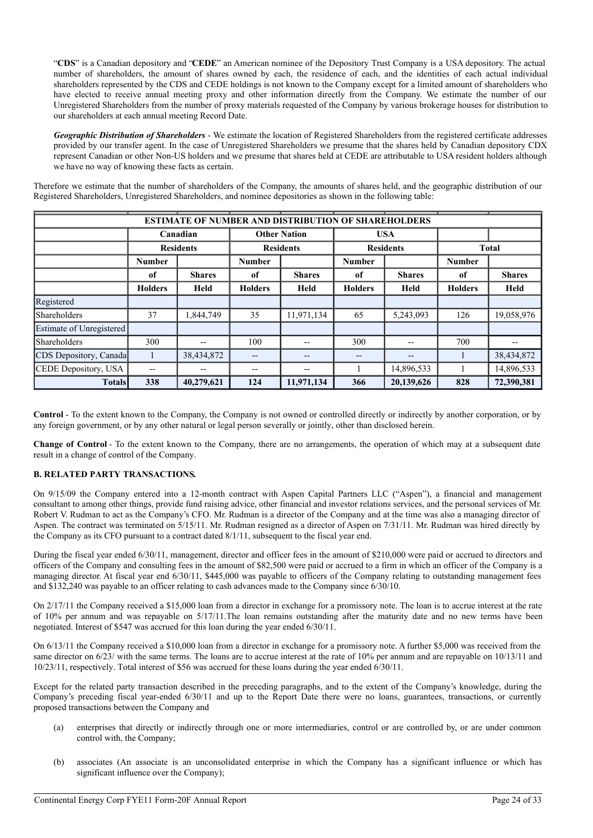"**CDS**" is a Canadian depository and "**CEDE**" an American nominee of the Depository Trust Company is a USA depository. The actual number of shareholders, the amount of shares owned by each, the residence of each, and the identities of each actual individual shareholders represented by the CDS and CEDE holdings is not known to the Company except for a limited amount of shareholders who have elected to receive annual meeting proxy and other information directly from the Company. We estimate the number of our Unregistered Shareholders from the number of proxy materials requested of the Company by various brokerage houses for distribution to our shareholders at each annual meeting Record Date.

*Geographic Distribution of Shareholders* - We estimate the location of Registered Shareholders from the registered certificate addresses provided by our transfer agent. In the case of Unregistered Shareholders we presume that the shares held by Canadian depository CDX represent Canadian or other Non-US holders and we presume that shares held at CEDE are attributable to USA resident holders although we have no way of knowing these facts as certain.

Therefore we estimate that the number of shareholders of the Company, the amounts of shares held, and the geographic distribution of our Registered Shareholders, Unregistered Shareholders, and nominee depositories as shown in the following table:

| ESTIMATE OF NUMBER AND DISTRIBUTION OF SHAREHOLDERS |                                 |               |                  |                          |                  |               |                |               |
|-----------------------------------------------------|---------------------------------|---------------|------------------|--------------------------|------------------|---------------|----------------|---------------|
|                                                     | <b>Other Nation</b><br>Canadian |               | <b>USA</b>       |                          |                  |               |                |               |
|                                                     | <b>Residents</b>                |               | <b>Residents</b> |                          | <b>Residents</b> |               | <b>Total</b>   |               |
|                                                     | <b>Number</b>                   |               | <b>Number</b>    |                          | <b>Number</b>    |               | <b>Number</b>  |               |
|                                                     | of                              | <b>Shares</b> | of               | <b>Shares</b>            | of               | <b>Shares</b> | of             | <b>Shares</b> |
|                                                     | <b>Holders</b>                  | Held          | <b>Holders</b>   | Held                     | <b>Holders</b>   | Held          | <b>Holders</b> | Held          |
| Registered                                          |                                 |               |                  |                          |                  |               |                |               |
| Shareholders                                        | 37                              | 1,844,749     | 35               | 11,971,134               | 65               | 5,243,093     | 126            | 19,058,976    |
| Estimate of Unregistered                            |                                 |               |                  |                          |                  |               |                |               |
| <b>Shareholders</b>                                 | 300                             | --            | 100              | $- -$                    | 300              | $- -$         | 700            |               |
| CDS Depository, Canada                              |                                 | 38,434,872    | $- -$            | $\qquad \qquad -$        |                  | $- -$         |                | 38,434,872    |
| CEDE Depository, USA                                | $- -$                           | --            | --               | $\overline{\phantom{m}}$ |                  | 14,896,533    |                | 14,896,533    |
| <b>Totals</b>                                       | 338                             | 40,279,621    | 124              | 11,971,134               | 366              | 20,139,626    | 828            | 72,390,381    |

**Control** - To the extent known to the Company, the Company is not owned or controlled directly or indirectly by another corporation, or by any foreign government, or by any other natural or legal person severally or jointly, other than disclosed herein.

**Change of Control** - To the extent known to the Company, there are no arrangements, the operation of which may at a subsequent date result in a change of control of the Company.

## **B. RELATED PARTY TRANSACTIONS.**

On 9/15/09 the Company entered into a 12-month contract with Aspen Capital Partners LLC ("Aspen"), a financial and management consultant to among other things, provide fund raising advice, other financial and investor relations services, and the personal services of Mr. Robert V. Rudman to act as the Company's CFO. Mr. Rudman is a director of the Company and at the time was also a managing director of Aspen. The contract was terminated on 5/15/11. Mr. Rudman resigned as a director of Aspen on 7/31/11. Mr. Rudman was hired directly by the Company as its CFO pursuant to a contract dated 8/1/11, subsequent to the fiscal year end.

During the fiscal year ended 6/30/11, management, director and officer fees in the amount of \$210,000 were paid or accrued to directors and officers of the Company and consulting fees in the amount of \$82,500 were paid or accrued to a firm in which an officer of the Company is a managing director. At fiscal year end 6/30/11, \$445,000 was payable to officers of the Company relating to outstanding management fees and \$132,240 was payable to an officer relating to cash advances made to the Company since 6/30/10.

On 2/17/11 the Company received a \$15,000 loan from a director in exchange for a promissory note. The loan is to accrue interest at the rate of 10% per annum and was repayable on 5/17/11.The loan remains outstanding after the maturity date and no new terms have been negotiated. Interest of \$547 was accrued for this loan during the year ended 6/30/11.

On 6/13/11 the Company received a \$10,000 loan from a director in exchange for a promissory note. A further \$5,000 was received from the same director on 6/23/ with the same terms. The loans are to accrue interest at the rate of 10% per annum and are repayable on 10/13/11 and 10/23/11, respectively. Total interest of \$56 was accrued for these loans during the year ended 6/30/11.

Except for the related party transaction described in the preceding paragraphs, and to the extent of the Company's knowledge, during the Company's preceding fiscal year-ended 6/30/11 and up to the Report Date there were no loans, guarantees, transactions, or currently proposed transactions between the Company and

- (a) enterprises that directly or indirectly through one or more intermediaries, control or are controlled by, or are under common control with, the Company;
- (b) associates (An associate is an unconsolidated enterprise in which the Company has a significant influence or which has significant influence over the Company);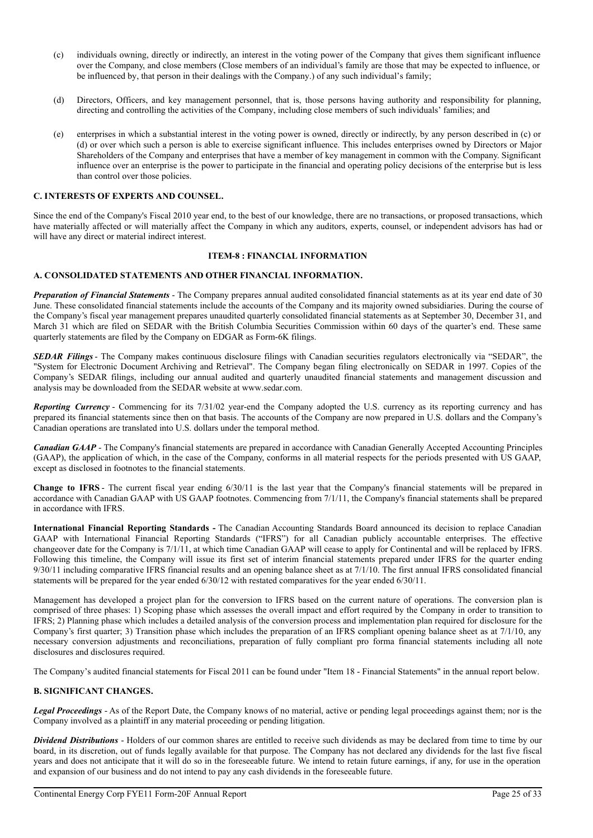- (c) individuals owning, directly or indirectly, an interest in the voting power of the Company that gives them significant influence over the Company, and close members (Close members of an individual's family are those that may be expected to influence, or be influenced by, that person in their dealings with the Company.) of any such individual's family;
- (d) Directors, Officers, and key management personnel, that is, those persons having authority and responsibility for planning, directing and controlling the activities of the Company, including close members of such individuals' families; and
- (e) enterprises in which a substantial interest in the voting power is owned, directly or indirectly, by any person described in (c) or (d) or over which such a person is able to exercise significant influence. This includes enterprises owned by Directors or Major Shareholders of the Company and enterprises that have a member of key management in common with the Company. Significant influence over an enterprise is the power to participate in the financial and operating policy decisions of the enterprise but is less than control over those policies.

## **C. INTERESTS OF EXPERTS AND COUNSEL.**

Since the end of the Company's Fiscal 2010 year end, to the best of our knowledge, there are no transactions, or proposed transactions, which have materially affected or will materially affect the Company in which any auditors, experts, counsel, or independent advisors has had or will have any direct or material indirect interest.

## **ITEM-8 : FINANCIAL INFORMATION**

## **A. CONSOLIDATED STATEMENTS AND OTHER FINANCIAL INFORMATION.**

*Preparation of Financial Statements* - The Company prepares annual audited consolidated financial statements as at its year end date of 30 June. These consolidated financial statements include the accounts of the Company and its majority owned subsidiaries. During the course of the Company's fiscal year management prepares unaudited quarterly consolidated financial statements as at September 30, December 31, and March 31 which are filed on SEDAR with the British Columbia Securities Commission within 60 days of the quarter's end. These same quarterly statements are filed by the Company on EDGAR as Form-6K filings.

*SEDAR Filings* - The Company makes continuous disclosure filings with Canadian securities regulators electronically via "SEDAR", the "System for Electronic Document Archiving and Retrieval". The Company began filing electronically on SEDAR in 1997. Copies of the Company's SEDAR filings, including our annual audited and quarterly unaudited financial statements and management discussion and analysis may be downloaded from the SEDAR website at www.sedar.com.

*Reporting Currency* - Commencing for its 7/31/02 year-end the Company adopted the U.S. currency as its reporting currency and has prepared its financial statements since then on that basis. The accounts of the Company are now prepared in U.S. dollars and the Company's Canadian operations are translated into U.S. dollars under the temporal method.

*Canadian GAAP* - The Company's financial statements are prepared in accordance with Canadian Generally Accepted Accounting Principles (GAAP), the application of which, in the case of the Company, conforms in all material respects for the periods presented with US GAAP, except as disclosed in footnotes to the financial statements.

**Change to IFRS** - The current fiscal year ending 6/30/11 is the last year that the Company's financial statements will be prepared in accordance with Canadian GAAP with US GAAP footnotes. Commencing from 7/1/11, the Company's financial statements shall be prepared in accordance with IFRS.

**International Financial Reporting Standards -** The Canadian Accounting Standards Board announced its decision to replace Canadian GAAP with International Financial Reporting Standards ("IFRS") for all Canadian publicly accountable enterprises. The effective changeover date for the Company is 7/1/11, at which time Canadian GAAP will cease to apply for Continental and will be replaced by IFRS. Following this timeline, the Company will issue its first set of interim financial statements prepared under IFRS for the quarter ending 9/30/11 including comparative IFRS financial results and an opening balance sheet as at 7/1/10. The first annual IFRS consolidated financial statements will be prepared for the year ended 6/30/12 with restated comparatives for the year ended 6/30/11.

Management has developed a project plan for the conversion to IFRS based on the current nature of operations. The conversion plan is comprised of three phases: 1) Scoping phase which assesses the overall impact and effort required by the Company in order to transition to IFRS; 2) Planning phase which includes a detailed analysis of the conversion process and implementation plan required for disclosure for the Company's first quarter; 3) Transition phase which includes the preparation of an IFRS compliant opening balance sheet as at 7/1/10, any necessary conversion adjustments and reconciliations, preparation of fully compliant pro forma financial statements including all note disclosures and disclosures required.

The Company's audited financial statements for Fiscal 2011 can be found under "Item 18 - Financial Statements" in the annual report below.

## **B. SIGNIFICANT CHANGES.**

*Legal Proceedings* - As of the Report Date, the Company knows of no material, active or pending legal proceedings against them; nor is the Company involved as a plaintiff in any material proceeding or pending litigation.

*Dividend Distributions* - Holders of our common shares are entitled to receive such dividends as may be declared from time to time by our board, in its discretion, out of funds legally available for that purpose. The Company has not declared any dividends for the last five fiscal years and does not anticipate that it will do so in the foreseeable future. We intend to retain future earnings, if any, for use in the operation and expansion of our business and do not intend to pay any cash dividends in the foreseeable future.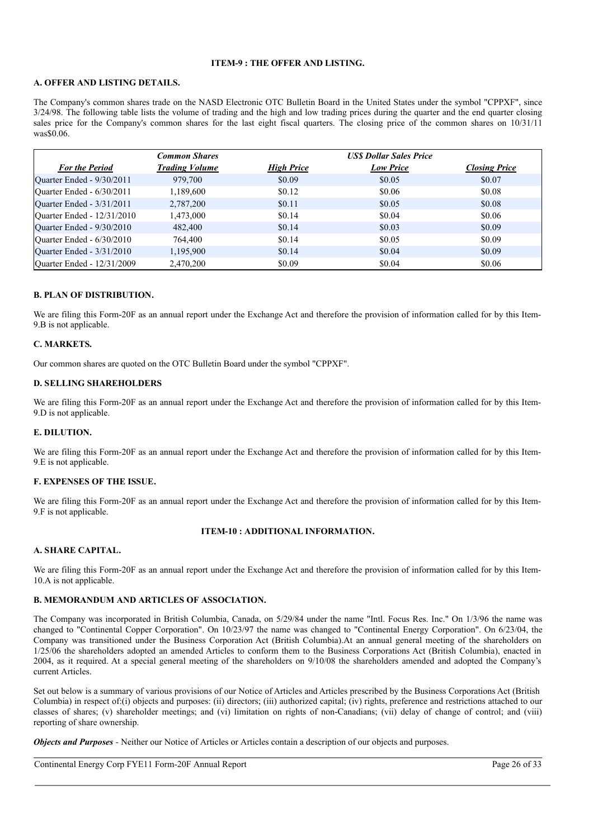## **ITEM-9 : THE OFFER AND LISTING.**

## **A. OFFER AND LISTING DETAILS.**

The Company's common shares trade on the NASD Electronic OTC Bulletin Board in the United States under the symbol "CPPXF", since 3/24/98. The following table lists the volume of trading and the high and low trading prices during the quarter and the end quarter closing sales price for the Company's common shares for the last eight fiscal quarters. The closing price of the common shares on  $10/31/11$ was\$0.06.

|                            | <b>Common Shares</b>  |                   | <b>USS Dollar Sales Price</b> |                      |  |
|----------------------------|-----------------------|-------------------|-------------------------------|----------------------|--|
| <b>For the Period</b>      | <b>Trading Volume</b> | <b>High Price</b> | <b>Low Price</b>              | <b>Closing Price</b> |  |
| Quarter Ended - 9/30/2011  | 979,700               | \$0.09            | \$0.05                        | \$0.07               |  |
| Quarter Ended - 6/30/2011  | 1,189,600             | \$0.12            | \$0.06                        | \$0.08               |  |
| Quarter Ended - 3/31/2011  | 2,787,200             | \$0.11            | \$0.05                        | \$0.08               |  |
| Quarter Ended - 12/31/2010 | 1,473,000             | \$0.14            | \$0.04                        | \$0.06               |  |
| Quarter Ended - 9/30/2010  | 482,400               | \$0.14            | \$0.03                        | \$0.09               |  |
| Quarter Ended - 6/30/2010  | 764,400               | \$0.14            | \$0.05                        | \$0.09               |  |
| Quarter Ended - 3/31/2010  | 1,195,900             | \$0.14            | \$0.04                        | \$0.09               |  |
| Quarter Ended - 12/31/2009 | 2,470,200             | \$0.09            | \$0.04                        | \$0.06               |  |

## **B. PLAN OF DISTRIBUTION.**

We are filing this Form-20F as an annual report under the Exchange Act and therefore the provision of information called for by this Item-9.B is not applicable.

#### **C. MARKETS.**

Our common shares are quoted on the OTC Bulletin Board under the symbol "CPPXF".

#### **D. SELLING SHAREHOLDERS**

We are filing this Form-20F as an annual report under the Exchange Act and therefore the provision of information called for by this Item-9.D is not applicable.

#### **E. DILUTION.**

We are filing this Form-20F as an annual report under the Exchange Act and therefore the provision of information called for by this Item-9.E is not applicable.

#### **F. EXPENSES OF THE ISSUE.**

We are filing this Form-20F as an annual report under the Exchange Act and therefore the provision of information called for by this Item-9.F is not applicable.

## **ITEM-10 : ADDITIONAL INFORMATION.**

## **A. SHARE CAPITAL.**

We are filing this Form-20F as an annual report under the Exchange Act and therefore the provision of information called for by this Item-10.A is not applicable.

#### **B. MEMORANDUM AND ARTICLES OF ASSOCIATION.**

The Company was incorporated in British Columbia, Canada, on 5/29/84 under the name "Intl. Focus Res. Inc." On 1/3/96 the name was changed to "Continental Copper Corporation". On 10/23/97 the name was changed to "Continental Energy Corporation". On 6/23/04, the Company was transitioned under the Business Corporation Act (British Columbia).At an annual general meeting of the shareholders on 1/25/06 the shareholders adopted an amended Articles to conform them to the Business Corporations Act (British Columbia), enacted in 2004, as it required. At a special general meeting of the shareholders on 9/10/08 the shareholders amended and adopted the Company's current Articles.

Set out below is a summary of various provisions of our Notice of Articles and Articles prescribed by the Business Corporations Act (British Columbia) in respect of:(i) objects and purposes: (ii) directors; (iii) authorized capital; (iv) rights, preference and restrictions attached to our classes of shares; (v) shareholder meetings; and (vi) limitation on rights of non-Canadians; (vii) delay of change of control; and (viii) reporting of share ownership.

*Objects and Purposes -* Neither our Notice of Articles or Articles contain a description of our objects and purposes.

Continental Energy Corp FYE11 Form-20F Annual Report Page 26 of 33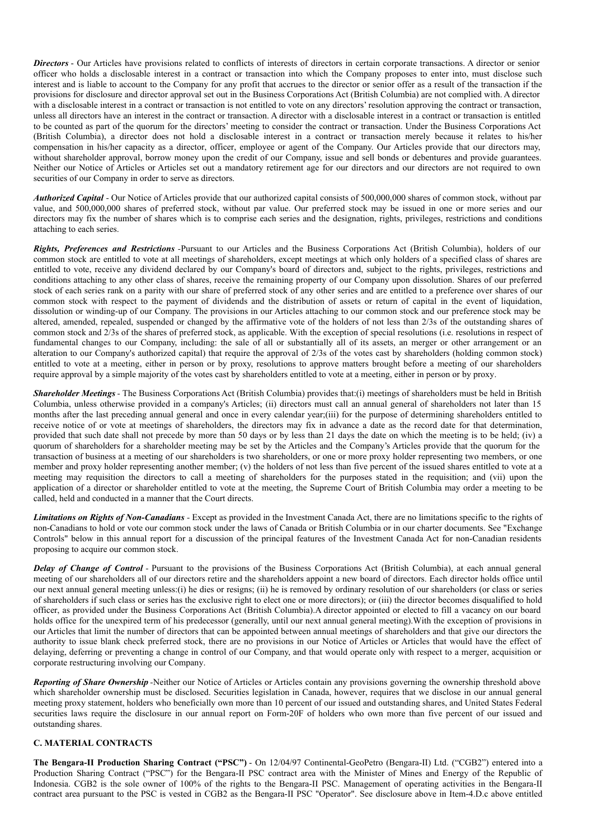*Directors* - Our Articles have provisions related to conflicts of interests of directors in certain corporate transactions. A director or senior officer who holds a disclosable interest in a contract or transaction into which the Company proposes to enter into, must disclose such interest and is liable to account to the Company for any profit that accrues to the director or senior offer as a result of the transaction if the provisions for disclosure and director approval set out in the Business Corporations Act (British Columbia) are not complied with. A director with a disclosable interest in a contract or transaction is not entitled to vote on any directors' resolution approving the contract or transaction, unless all directors have an interest in the contract or transaction. A director with a disclosable interest in a contract or transaction is entitled to be counted as part of the quorum for the directors' meeting to consider the contract or transaction. Under the Business Corporations Act (British Columbia), a director does not hold a disclosable interest in a contract or transaction merely because it relates to his/her compensation in his/her capacity as a director, officer, employee or agent of the Company. Our Articles provide that our directors may, without shareholder approval, borrow money upon the credit of our Company, issue and sell bonds or debentures and provide guarantees. Neither our Notice of Articles or Articles set out a mandatory retirement age for our directors and our directors are not required to own securities of our Company in order to serve as directors.

*Authorized Capital -* Our Notice of Articles provide that our authorized capital consists of 500,000,000 shares of common stock, without par value, and 500,000,000 shares of preferred stock, without par value. Our preferred stock may be issued in one or more series and our directors may fix the number of shares which is to comprise each series and the designation, rights, privileges, restrictions and conditions attaching to each series.

*Rights, Preferences and Restrictions -*Pursuant to our Articles and the Business Corporations Act (British Columbia), holders of our common stock are entitled to vote at all meetings of shareholders, except meetings at which only holders of a specified class of shares are entitled to vote, receive any dividend declared by our Company's board of directors and, subject to the rights, privileges, restrictions and conditions attaching to any other class of shares, receive the remaining property of our Company upon dissolution. Shares of our preferred stock of each series rank on a parity with our share of preferred stock of any other series and are entitled to a preference over shares of our common stock with respect to the payment of dividends and the distribution of assets or return of capital in the event of liquidation, dissolution or winding-up of our Company. The provisions in our Articles attaching to our common stock and our preference stock may be altered, amended, repealed, suspended or changed by the affirmative vote of the holders of not less than 2/3s of the outstanding shares of common stock and 2/3s of the shares of preferred stock, as applicable. With the exception of special resolutions (i.e. resolutions in respect of fundamental changes to our Company, including: the sale of all or substantially all of its assets, an merger or other arrangement or an alteration to our Company's authorized capital) that require the approval of 2/3s of the votes cast by shareholders (holding common stock) entitled to vote at a meeting, either in person or by proxy, resolutions to approve matters brought before a meeting of our shareholders require approval by a simple majority of the votes cast by shareholders entitled to vote at a meeting, either in person or by proxy.

*Shareholder Meetings -* The Business Corporations Act (British Columbia) provides that:(i) meetings of shareholders must be held in British Columbia, unless otherwise provided in a company's Articles; (ii) directors must call an annual general of shareholders not later than 15 months after the last preceding annual general and once in every calendar year;(iii) for the purpose of determining shareholders entitled to receive notice of or vote at meetings of shareholders, the directors may fix in advance a date as the record date for that determination, provided that such date shall not precede by more than 50 days or by less than 21 days the date on which the meeting is to be held; (iv) a quorum of shareholders for a shareholder meeting may be set by the Articles and the Company's Articles provide that the quorum for the transaction of business at a meeting of our shareholders is two shareholders, or one or more proxy holder representing two members, or one member and proxy holder representing another member; (v) the holders of not less than five percent of the issued shares entitled to vote at a meeting may requisition the directors to call a meeting of shareholders for the purposes stated in the requisition; and (vii) upon the application of a director or shareholder entitled to vote at the meeting, the Supreme Court of British Columbia may order a meeting to be called, held and conducted in a manner that the Court directs.

*Limitations on Rights of Non-Canadians -* Except as provided in the Investment Canada Act, there are no limitations specific to the rights of non-Canadians to hold or vote our common stock under the laws of Canada or British Columbia or in our charter documents. See "Exchange Controls" below in this annual report for a discussion of the principal features of the Investment Canada Act for non-Canadian residents proposing to acquire our common stock.

*Delay of Change of Control -* Pursuant to the provisions of the Business Corporations Act (British Columbia), at each annual general meeting of our shareholders all of our directors retire and the shareholders appoint a new board of directors. Each director holds office until our next annual general meeting unless:(i) he dies or resigns; (ii) he is removed by ordinary resolution of our shareholders (or class or series of shareholders if such class or series has the exclusive right to elect one or more directors); or (iii) the director becomes disqualified to hold officer, as provided under the Business Corporations Act (British Columbia).A director appointed or elected to fill a vacancy on our board holds office for the unexpired term of his predecessor (generally, until our next annual general meeting).With the exception of provisions in our Articles that limit the number of directors that can be appointed between annual meetings of shareholders and that give our directors the authority to issue blank check preferred stock, there are no provisions in our Notice of Articles or Articles that would have the effect of delaying, deferring or preventing a change in control of our Company, and that would operate only with respect to a merger, acquisition or corporate restructuring involving our Company.

*Reporting of Share Ownership -*Neither our Notice of Articles or Articles contain any provisions governing the ownership threshold above which shareholder ownership must be disclosed. Securities legislation in Canada, however, requires that we disclose in our annual general meeting proxy statement, holders who beneficially own more than 10 percent of our issued and outstanding shares, and United States Federal securities laws require the disclosure in our annual report on Form-20F of holders who own more than five percent of our issued and outstanding shares.

## **C. MATERIAL CONTRACTS**

**The Bengara-II Production Sharing Contract ("PSC")** - On 12/04/97 Continental-GeoPetro (Bengara-II) Ltd. ("CGB2") entered into a Production Sharing Contract ("PSC") for the Bengara-II PSC contract area with the Minister of Mines and Energy of the Republic of Indonesia. CGB2 is the sole owner of 100% of the rights to the Bengara-II PSC. Management of operating activities in the Bengara-II contract area pursuant to the PSC is vested in CGB2 as the Bengara-II PSC "Operator". See disclosure above in Item-4.D.c above entitled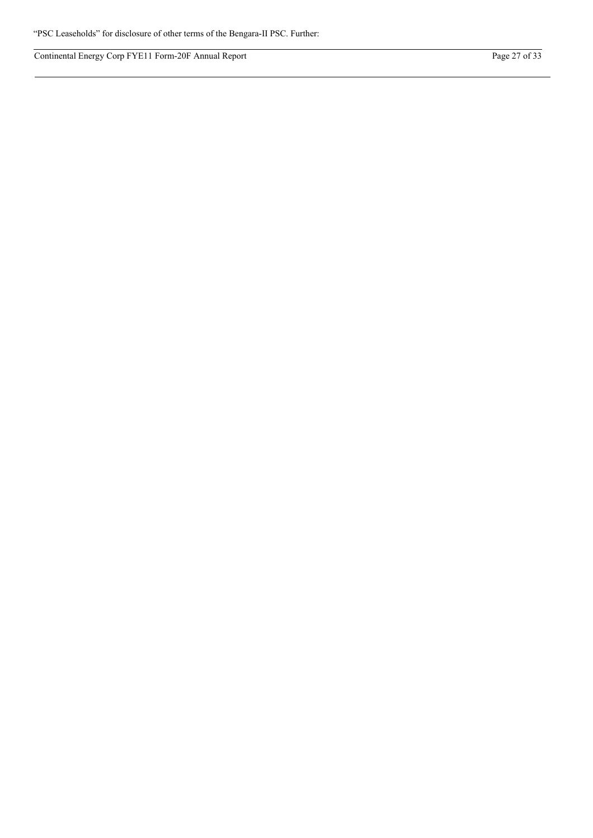Continental Energy Corp FYE11 Form-20F Annual Report Page 27 of 33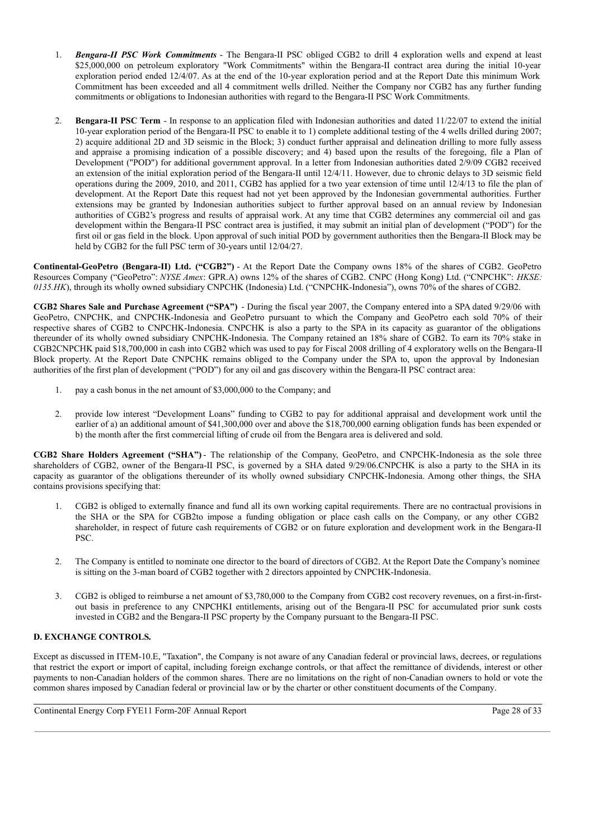- 1. *Bengara-II PSC Work Commitments* The Bengara-II PSC obliged CGB2 to drill 4 exploration wells and expend at least \$25,000,000 on petroleum exploratory "Work Commitments" within the Bengara-II contract area during the initial 10-year exploration period ended 12/4/07. As at the end of the 10-year exploration period and at the Report Date this minimum Work Commitment has been exceeded and all 4 commitment wells drilled. Neither the Company nor CGB2 has any further funding commitments or obligations to Indonesian authorities with regard to the Bengara-II PSC Work Commitments.
- 2. **Bengara-II PSC Term** In response to an application filed with Indonesian authorities and dated 11/22/07 to extend the initial 10-year exploration period of the Bengara-II PSC to enable it to 1) complete additional testing of the 4 wells drilled during 2007; 2) acquire additional 2D and 3D seismic in the Block; 3) conduct further appraisal and delineation drilling to more fully assess and appraise a promising indication of a possible discovery; and 4) based upon the results of the foregoing, file a Plan of Development ("POD") for additional government approval. In a letter from Indonesian authorities dated 2/9/09 CGB2 received an extension of the initial exploration period of the Bengara-II until 12/4/11. However, due to chronic delays to 3D seismic field operations during the 2009, 2010, and 2011, CGB2 has applied for a two year extension of time until 12/4/13 to file the plan of development. At the Report Date this request had not yet been approved by the Indonesian governmental authorities. Further extensions may be granted by Indonesian authorities subject to further approval based on an annual review by Indonesian authorities of CGB2's progress and results of appraisal work. At any time that CGB2 determines any commercial oil and gas development within the Bengara-II PSC contract area is justified, it may submit an initial plan of development ("POD") for the first oil or gas field in the block. Upon approval of such initial POD by government authorities then the Bengara-II Block may be held by CGB2 for the full PSC term of 30-years until 12/04/27.

**Continental-GeoPetro (Bengara-II) Ltd. ("CGB2")** - At the Report Date the Company owns 18% of the shares of CGB2. GeoPetro Resources Company ("GeoPetro": *NYSE Amex*: GPR.A) owns 12% of the shares of CGB2. CNPC (Hong Kong) Ltd. ("CNPCHK": *HKSE: 0135.HK*), through its wholly owned subsidiary CNPCHK (Indonesia) Ltd. ("CNPCHK-Indonesia"), owns 70% of the shares of CGB2.

**CGB2 Shares Sale and Purchase Agreement ("SPA")** - During the fiscal year 2007, the Company entered into a SPA dated 9/29/06 with GeoPetro, CNPCHK, and CNPCHK-Indonesia and GeoPetro pursuant to which the Company and GeoPetro each sold 70% of their respective shares of CGB2 to CNPCHK-Indonesia. CNPCHK is also a party to the SPA in its capacity as guarantor of the obligations thereunder of its wholly owned subsidiary CNPCHK-Indonesia. The Company retained an 18% share of CGB2. To earn its 70% stake in CGB2CNPCHK paid \$18,700,000 in cash into CGB2 which was used to pay for Fiscal 2008 drilling of 4 exploratory wells on the Bengara-II Block property. At the Report Date CNPCHK remains obliged to the Company under the SPA to, upon the approval by Indonesian authorities of the first plan of development ("POD") for any oil and gas discovery within the Bengara-II PSC contract area:

- 1. pay a cash bonus in the net amount of \$3,000,000 to the Company; and
- 2. provide low interest "Development Loans" funding to CGB2 to pay for additional appraisal and development work until the earlier of a) an additional amount of \$41,300,000 over and above the \$18,700,000 earning obligation funds has been expended or b) the month after the first commercial lifting of crude oil from the Bengara area is delivered and sold.

**CGB2 Share Holders Agreement ("SHA")** - The relationship of the Company, GeoPetro, and CNPCHK-Indonesia as the sole three shareholders of CGB2, owner of the Bengara-II PSC, is governed by a SHA dated 9/29/06.CNPCHK is also a party to the SHA in its capacity as guarantor of the obligations thereunder of its wholly owned subsidiary CNPCHK-Indonesia. Among other things, the SHA contains provisions specifying that:

- 1. CGB2 is obliged to externally finance and fund all its own working capital requirements. There are no contractual provisions in the SHA or the SPA for CGB2to impose a funding obligation or place cash calls on the Company, or any other CGB2 shareholder, in respect of future cash requirements of CGB2 or on future exploration and development work in the Bengara-II PSC.
- 2. The Company is entitled to nominate one director to the board of directors of CGB2. At the Report Date the Company's nominee is sitting on the 3-man board of CGB2 together with 2 directors appointed by CNPCHK-Indonesia.
- 3. CGB2 is obliged to reimburse a net amount of \$3,780,000 to the Company from CGB2 cost recovery revenues, on a first-in-firstout basis in preference to any CNPCHKI entitlements, arising out of the Bengara-II PSC for accumulated prior sunk costs invested in CGB2 and the Bengara-II PSC property by the Company pursuant to the Bengara-II PSC.

# **D. EXCHANGE CONTROLS.**

Except as discussed in ITEM-10.E, "Taxation", the Company is not aware of any Canadian federal or provincial laws, decrees, or regulations that restrict the export or import of capital, including foreign exchange controls, or that affect the remittance of dividends, interest or other payments to non-Canadian holders of the common shares. There are no limitations on the right of non-Canadian owners to hold or vote the common shares imposed by Canadian federal or provincial law or by the charter or other constituent documents of the Company.

Continental Energy Corp FYE11 Form-20F Annual Report Page 28 of 33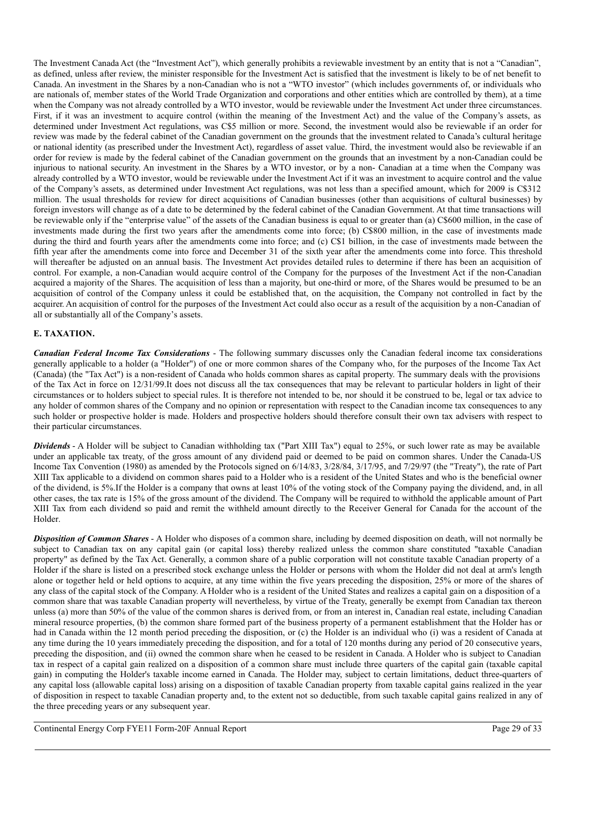The Investment Canada Act (the "Investment Act"), which generally prohibits a reviewable investment by an entity that is not a "Canadian", as defined, unless after review, the minister responsible for the Investment Act is satisfied that the investment is likely to be of net benefit to Canada. An investment in the Shares by a non-Canadian who is not a "WTO investor" (which includes governments of, or individuals who are nationals of, member states of the World Trade Organization and corporations and other entities which are controlled by them), at a time when the Company was not already controlled by a WTO investor, would be reviewable under the Investment Act under three circumstances. First, if it was an investment to acquire control (within the meaning of the Investment Act) and the value of the Company's assets, as determined under Investment Act regulations, was C\$5 million or more. Second, the investment would also be reviewable if an order for review was made by the federal cabinet of the Canadian government on the grounds that the investment related to Canada's cultural heritage or national identity (as prescribed under the Investment Act), regardless of asset value. Third, the investment would also be reviewable if an order for review is made by the federal cabinet of the Canadian government on the grounds that an investment by a non-Canadian could be injurious to national security. An investment in the Shares by a WTO investor, or by a non- Canadian at a time when the Company was already controlled by a WTO investor, would be reviewable under the Investment Act if it was an investment to acquire control and the value of the Company's assets, as determined under Investment Act regulations, was not less than a specified amount, which for 2009 is C\$312 million. The usual thresholds for review for direct acquisitions of Canadian businesses (other than acquisitions of cultural businesses) by foreign investors will change as of a date to be determined by the federal cabinet of the Canadian Government. At that time transactions will be reviewable only if the "enterprise value" of the assets of the Canadian business is equal to or greater than (a) C\$600 million, in the case of investments made during the first two years after the amendments come into force; (b) C\$800 million, in the case of investments made during the third and fourth years after the amendments come into force; and (c) C\$1 billion, in the case of investments made between the fifth year after the amendments come into force and December 31 of the sixth year after the amendments come into force. This threshold will thereafter be adjusted on an annual basis. The Investment Act provides detailed rules to determine if there has been an acquisition of control. For example, a non-Canadian would acquire control of the Company for the purposes of the Investment Act if the non-Canadian acquired a majority of the Shares. The acquisition of less than a majority, but one-third or more, of the Shares would be presumed to be an acquisition of control of the Company unless it could be established that, on the acquisition, the Company not controlled in fact by the acquirer. An acquisition of control for the purposes of the Investment Act could also occur as a result of the acquisition by a non-Canadian of all or substantially all of the Company's assets.

## **E. TAXATION.**

*Canadian Federal Income Tax Considerations* - The following summary discusses only the Canadian federal income tax considerations generally applicable to a holder (a "Holder") of one or more common shares of the Company who, for the purposes of the Income Tax Act (Canada) (the "Tax Act") is a non-resident of Canada who holds common shares as capital property. The summary deals with the provisions of the Tax Act in force on 12/31/99.It does not discuss all the tax consequences that may be relevant to particular holders in light of their circumstances or to holders subject to special rules. It is therefore not intended to be, nor should it be construed to be, legal or tax advice to any holder of common shares of the Company and no opinion or representation with respect to the Canadian income tax consequences to any such holder or prospective holder is made. Holders and prospective holders should therefore consult their own tax advisers with respect to their particular circumstances.

*Dividends* - A Holder will be subject to Canadian withholding tax ("Part XIII Tax") equal to 25%, or such lower rate as may be available under an applicable tax treaty, of the gross amount of any dividend paid or deemed to be paid on common shares. Under the Canada-US Income Tax Convention (1980) as amended by the Protocols signed on 6/14/83, 3/28/84, 3/17/95, and 7/29/97 (the "Treaty"), the rate of Part XIII Tax applicable to a dividend on common shares paid to a Holder who is a resident of the United States and who is the beneficial owner of the dividend, is 5%.If the Holder is a company that owns at least 10% of the voting stock of the Company paying the dividend, and, in all other cases, the tax rate is 15% of the gross amount of the dividend. The Company will be required to withhold the applicable amount of Part XIII Tax from each dividend so paid and remit the withheld amount directly to the Receiver General for Canada for the account of the Holder.

*Disposition of Common Shares* - A Holder who disposes of a common share, including by deemed disposition on death, will not normally be subject to Canadian tax on any capital gain (or capital loss) thereby realized unless the common share constituted "taxable Canadian property" as defined by the Tax Act. Generally, a common share of a public corporation will not constitute taxable Canadian property of a Holder if the share is listed on a prescribed stock exchange unless the Holder or persons with whom the Holder did not deal at arm's length alone or together held or held options to acquire, at any time within the five years preceding the disposition, 25% or more of the shares of any class of the capital stock of the Company. A Holder who is a resident of the United States and realizes a capital gain on a disposition of a common share that was taxable Canadian property will nevertheless, by virtue of the Treaty, generally be exempt from Canadian tax thereon unless (a) more than 50% of the value of the common shares is derived from, or from an interest in, Canadian real estate, including Canadian mineral resource properties, (b) the common share formed part of the business property of a permanent establishment that the Holder has or had in Canada within the 12 month period preceding the disposition, or (c) the Holder is an individual who (i) was a resident of Canada at any time during the 10 years immediately preceding the disposition, and for a total of 120 months during any period of 20 consecutive years, preceding the disposition, and (ii) owned the common share when he ceased to be resident in Canada. A Holder who is subject to Canadian tax in respect of a capital gain realized on a disposition of a common share must include three quarters of the capital gain (taxable capital gain) in computing the Holder's taxable income earned in Canada. The Holder may, subject to certain limitations, deduct three-quarters of any capital loss (allowable capital loss) arising on a disposition of taxable Canadian property from taxable capital gains realized in the year of disposition in respect to taxable Canadian property and, to the extent not so deductible, from such taxable capital gains realized in any of the three preceding years or any subsequent year.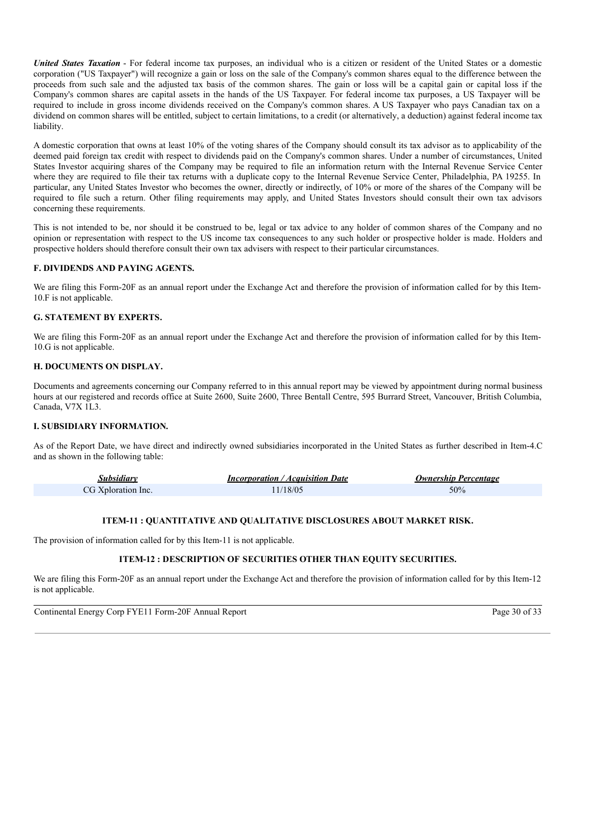*United States Taxation* - For federal income tax purposes, an individual who is a citizen or resident of the United States or a domestic corporation ("US Taxpayer") will recognize a gain or loss on the sale of the Company's common shares equal to the difference between the proceeds from such sale and the adjusted tax basis of the common shares. The gain or loss will be a capital gain or capital loss if the Company's common shares are capital assets in the hands of the US Taxpayer. For federal income tax purposes, a US Taxpayer will be required to include in gross income dividends received on the Company's common shares. A US Taxpayer who pays Canadian tax on a dividend on common shares will be entitled, subject to certain limitations, to a credit (or alternatively, a deduction) against federal income tax liability.

A domestic corporation that owns at least 10% of the voting shares of the Company should consult its tax advisor as to applicability of the deemed paid foreign tax credit with respect to dividends paid on the Company's common shares. Under a number of circumstances, United States Investor acquiring shares of the Company may be required to file an information return with the Internal Revenue Service Center where they are required to file their tax returns with a duplicate copy to the Internal Revenue Service Center, Philadelphia, PA 19255. In particular, any United States Investor who becomes the owner, directly or indirectly, of 10% or more of the shares of the Company will be required to file such a return. Other filing requirements may apply, and United States Investors should consult their own tax advisors concerning these requirements.

This is not intended to be, nor should it be construed to be, legal or tax advice to any holder of common shares of the Company and no opinion or representation with respect to the US income tax consequences to any such holder or prospective holder is made. Holders and prospective holders should therefore consult their own tax advisers with respect to their particular circumstances.

## **F. DIVIDENDS AND PAYING AGENTS.**

We are filing this Form-20F as an annual report under the Exchange Act and therefore the provision of information called for by this Item-10.F is not applicable.

## **G. STATEMENT BY EXPERTS.**

We are filing this Form-20F as an annual report under the Exchange Act and therefore the provision of information called for by this Item-10.G is not applicable.

## **H. DOCUMENTS ON DISPLAY.**

Documents and agreements concerning our Company referred to in this annual report may be viewed by appointment during normal business hours at our registered and records office at Suite 2600, Suite 2600, Three Bentall Centre, 595 Burrard Street, Vancouver, British Columbia, Canada, V7X 1L3.

## **I. SUBSIDIARY INFORMATION.**

As of the Report Date, we have direct and indirectly owned subsidiaries incorporated in the United States as further described in Item-4.C and as shown in the following table:

| Subsidiarv         | <b>Incorporation / Acquisition Date</b> | <b>Ownership Percentage</b> |
|--------------------|-----------------------------------------|-----------------------------|
| CG Xploration Inc. | 1/18/05                                 | 50%                         |

## **ITEM-11 : QUANTITATIVE AND QUALITATIVE DISCLOSURES ABOUT MARKET RISK.**

The provision of information called for by this Item-11 is not applicable.

# **ITEM-12 : DESCRIPTION OF SECURITIES OTHER THAN EQUITY SECURITIES.**

We are filing this Form-20F as an annual report under the Exchange Act and therefore the provision of information called for by this Item-12 is not applicable.

Continental Energy Corp FYE11 Form-20F Annual Report Page 30 of 33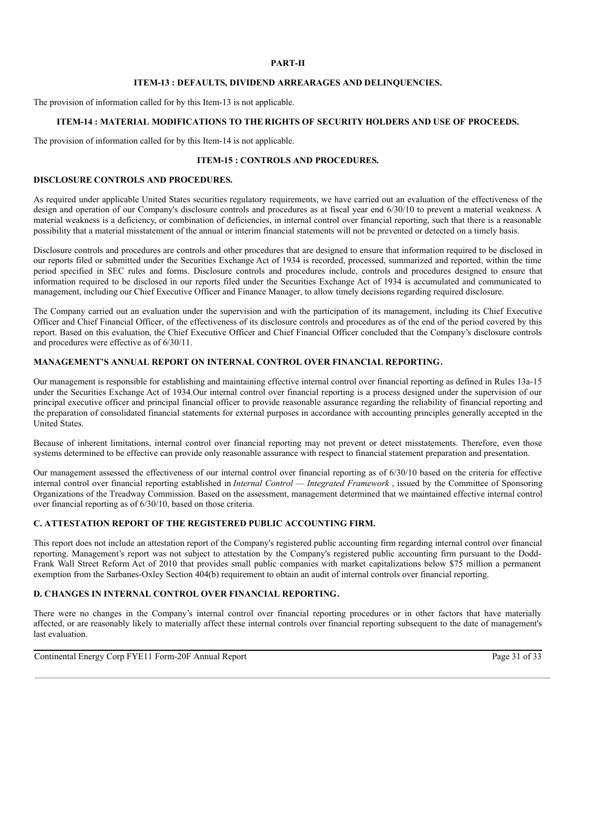# **PART-II**

### **ITEM-13 : DEFAULTS, DIVIDEND ARREARAGES AND DELINQUENCIES.**

The provision of information called for by this Item-13 is not applicable.

## **ITEM-14 : MATERIAL MODIFICATIONS TO THE RIGHTS OF SECURITY HOLDERS AND USE OF PROCEEDS.**

The provision of information called for by this Item-14 is not applicable.

# **ITEM-15 : CONTROLS AND PROCEDURES.**

# **DISCLOSURE CONTROLS AND PROCEDURES.**

As required under applicable United States securities regulatory requirements, we have carried out an evaluation of the effectiveness of the design and operation of our Company's disclosure controls and procedures as at fiscal year end 6/30/10 to prevent a material weakness. A material weakness is a deficiency, or combination of deficiencies, in internal control over financial reporting, such that there is a reasonable possibility that a material misstatement of the annual or interim financial statements will not be prevented or detected on a timely basis.

Disclosure controls and procedures are controls and other procedures that are designed to ensure that information required to be disclosed in our reports filed or submitted under the Securities Exchange Act of 1934 is recorded, processed, summarized and reported, within the time period specified in SEC rules and forms. Disclosure controls and procedures include, controls and procedures designed to ensure that information required to be disclosed in our reports filed under the Securities Exchange Act of 1934 is accumulated and communicated to management, including our Chief Executive Officer and Finance Manager, to allow timely decisions regarding required disclosure.

The Company carried out an evaluation under the supervision and with the participation of its management, including its Chief Executive Officer and Chief Financial Officer, of the effectiveness of its disclosure controls and procedures as of the end of the period covered by this report. Based on this evaluation, the Chief Executive Officer and Chief Financial Officer concluded that the Company's disclosure controls and procedures were effective as of 6/30/11.

# **MANAGEMENT'S ANNUAL REPORT ON INTERNAL CONTROL OVER FINANCIAL REPORTING.**

Our management is responsible for establishing and maintaining effective internal control over financial reporting as defined in Rules 13a-15 under the Securities Exchange Act of 1934.Our internal control over financial reporting is a process designed under the supervision of our principal executive officer and principal financial officer to provide reasonable assurance regarding the reliability of financial reporting and the preparation of consolidated financial statements for external purposes in accordance with accounting principles generally accepted in the United States.

Because of inherent limitations, internal control over financial reporting may not prevent or detect misstatements. Therefore, even those systems determined to be effective can provide only reasonable assurance with respect to financial statement preparation and presentation.

Our management assessed the effectiveness of our internal control over financial reporting as of 6/30/10 based on the criteria for effective internal control over financial reporting established in *Internal Control — Integrated Framework* , issued by the Committee of Sponsoring Organizations of the Treadway Commission. Based on the assessment, management determined that we maintained effective internal control over financial reporting as of 6/30/10, based on those criteria.

## **C. ATTESTATION REPORT OF THE REGISTERED PUBLIC ACCOUNTING FIRM.**

This report does not include an attestation report of the Company's registered public accounting firm regarding internal control over financial reporting. Management's report was not subject to attestation by the Company's registered public accounting firm pursuant to the Dodd-Frank Wall Street Reform Act of 2010 that provides small public companies with market capitalizations below \$75 million a permanent exemption from the Sarbanes-Oxley Section 404(b) requirement to obtain an audit of internal controls over financial reporting.

## **D. CHANGES IN INTERNAL CONTROL OVER FINANCIAL REPORTING.**

There were no changes in the Company's internal control over financial reporting procedures or in other factors that have materially affected, or are reasonably likely to materially affect these internal controls over financial reporting subsequent to the date of management's last evaluation.

Continental Energy Corp FYE11 Form-20F Annual Report Page 31 of 33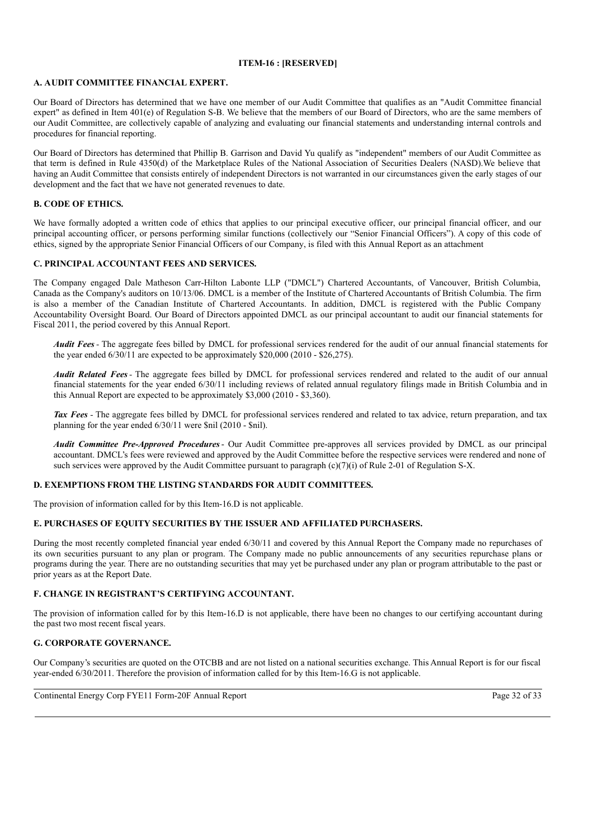## **ITEM-16 : [RESERVED]**

# **A. AUDIT COMMITTEE FINANCIAL EXPERT.**

Our Board of Directors has determined that we have one member of our Audit Committee that qualifies as an "Audit Committee financial expert" as defined in Item 401(e) of Regulation S-B. We believe that the members of our Board of Directors, who are the same members of our Audit Committee, are collectively capable of analyzing and evaluating our financial statements and understanding internal controls and procedures for financial reporting.

Our Board of Directors has determined that Phillip B. Garrison and David Yu qualify as "independent" members of our Audit Committee as that term is defined in Rule 4350(d) of the Marketplace Rules of the National Association of Securities Dealers (NASD).We believe that having an Audit Committee that consists entirely of independent Directors is not warranted in our circumstances given the early stages of our development and the fact that we have not generated revenues to date.

## **B. CODE OF ETHICS.**

We have formally adopted a written code of ethics that applies to our principal executive officer, our principal financial officer, and our principal accounting officer, or persons performing similar functions (collectively our "Senior Financial Officers"). A copy of this code of ethics, signed by the appropriate Senior Financial Officers of our Company, is filed with this Annual Report as an attachment

## **C. PRINCIPAL ACCOUNTANT FEES AND SERVICES.**

The Company engaged Dale Matheson Carr-Hilton Labonte LLP ("DMCL") Chartered Accountants, of Vancouver, British Columbia, Canada as the Company's auditors on 10/13/06. DMCL is a member of the Institute of Chartered Accountants of British Columbia. The firm is also a member of the Canadian Institute of Chartered Accountants. In addition, DMCL is registered with the Public Company Accountability Oversight Board. Our Board of Directors appointed DMCL as our principal accountant to audit our financial statements for Fiscal 2011, the period covered by this Annual Report.

*Audit Fees -* The aggregate fees billed by DMCL for professional services rendered for the audit of our annual financial statements for the year ended  $6/30/11$  are expected to be approximately \$20,000 (2010 - \$26,275).

*Audit Related Fees-* The aggregate fees billed by DMCL for professional services rendered and related to the audit of our annual financial statements for the year ended 6/30/11 including reviews of related annual regulatory filings made in British Columbia and in this Annual Report are expected to be approximately \$3,000 (2010 - \$3,360).

*Tax Fees -* The aggregate fees billed by DMCL for professional services rendered and related to tax advice, return preparation, and tax planning for the year ended 6/30/11 were \$nil (2010 - \$nil).

*Audit Committee Pre-Approved Procedures*- Our Audit Committee pre-approves all services provided by DMCL as our principal accountant. DMCL's fees were reviewed and approved by the Audit Committee before the respective services were rendered and none of such services were approved by the Audit Committee pursuant to paragraph  $(c)(7)(i)$  of Rule 2-01 of Regulation S-X.

## **D. EXEMPTIONS FROM THE LISTING STANDARDS FOR AUDIT COMMITTEES.**

The provision of information called for by this Item-16.D is not applicable.

## **E. PURCHASES OF EQUITY SECURITIES BY THE ISSUER AND AFFILIATED PURCHASERS.**

During the most recently completed financial year ended 6/30/11 and covered by this Annual Report the Company made no repurchases of its own securities pursuant to any plan or program. The Company made no public announcements of any securities repurchase plans or programs during the year. There are no outstanding securities that may yet be purchased under any plan or program attributable to the past or prior years as at the Report Date.

# **F. CHANGE IN REGISTRANT'S CERTIFYING ACCOUNTANT.**

The provision of information called for by this Item-16.D is not applicable, there have been no changes to our certifying accountant during the past two most recent fiscal years.

## **G. CORPORATE GOVERNANCE.**

Our Company's securities are quoted on the OTCBB and are not listed on a national securities exchange. This Annual Report is for our fiscal year-ended 6/30/2011. Therefore the provision of information called for by this Item-16.G is not applicable.

Continental Energy Corp FYE11 Form-20F Annual Report Page 32 of 33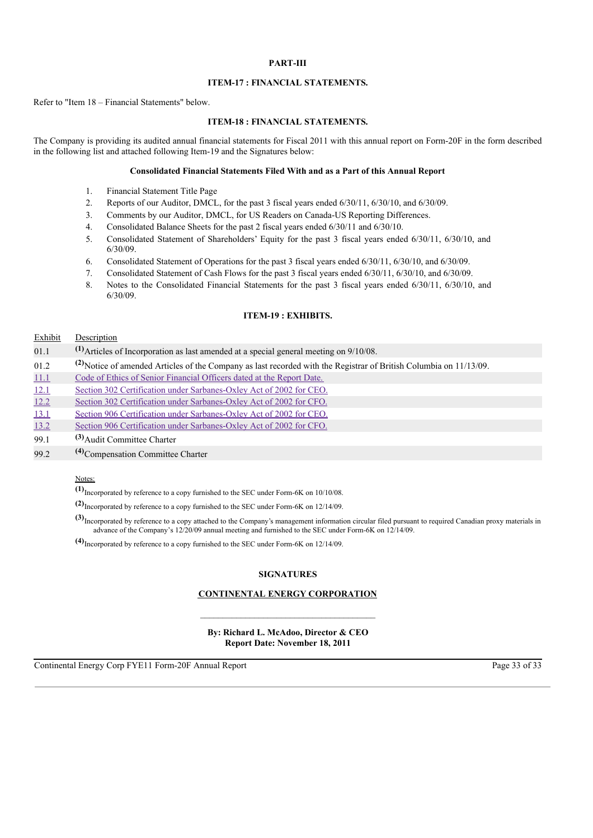### **PART-III**

## **ITEM-17 : FINANCIAL STATEMENTS.**

Refer to "Item 18 – Financial Statements" below.

# **ITEM-18 : FINANCIAL STATEMENTS.**

The Company is providing its audited annual financial statements for Fiscal 2011 with this annual report on Form-20F in the form described in the following list and attached following Item-19 and the Signatures below:

## **Consolidated Financial Statements Filed With and as a Part of this Annual Report**

- 1. Financial Statement Title Page
- 2. Reports of our Auditor, DMCL, for the past 3 fiscal years ended 6/30/11, 6/30/10, and 6/30/09.
- 3. Comments by our Auditor, DMCL, for US Readers on Canada-US Reporting Differences.
- 4. Consolidated Balance Sheets for the past 2 fiscal years ended 6/30/11 and 6/30/10.
- 5. Consolidated Statement of Shareholders' Equity for the past 3 fiscal years ended 6/30/11, 6/30/10, and 6/30/09.
- 6. Consolidated Statement of Operations for the past 3 fiscal years ended 6/30/11, 6/30/10, and 6/30/09.
- 7. Consolidated Statement of Cash Flows for the past 3 fiscal years ended 6/30/11, 6/30/10, and 6/30/09.
- 8. Notes to the Consolidated Financial Statements for the past 3 fiscal years ended 6/30/11, 6/30/10, and 6/30/09.

### **ITEM-19 : EXHIBITS.**

#### Exhibit Description

| 01.1 | $(1)$ Articles of Incorporation as last amended at a special general meeting on $9/10/08$ .                           |
|------|-----------------------------------------------------------------------------------------------------------------------|
| 01.2 | (2) Notice of amended Articles of the Company as last recorded with the Registrar of British Columbia on $11/13/09$ . |
| 11.1 | Code of Ethics of Senior Financial Officers dated at the Report Date.                                                 |
| 12.1 | Section 302 Certification under Sarbanes-Oxley Act of 2002 for CEO.                                                   |
| 12.2 | Section 302 Certification under Sarbanes-Oxley Act of 2002 for CFO.                                                   |
| 13.1 | Section 906 Certification under Sarbanes-Oxley Act of 2002 for CEO.                                                   |
| 13.2 | Section 906 Certification under Sarbanes-Oxley Act of 2002 for CFO.                                                   |
| 99.1 | $(3)$ Audit Committee Charter                                                                                         |
| 99.2 | $(4)$ Compensation Committee Charter                                                                                  |
|      |                                                                                                                       |

# Notes:

**(1)** Incorporated by reference to a copy furnished to the SEC under Form-6K on 10/10/08.

**(2)** Incorporated by reference to a copy furnished to the SEC under Form-6K on 12/14/09.

**(3)** Incorporated by reference to a copy attached to the Company's management information circular filed pursuant to required Canadian proxy materials in advance of the Company's 12/20/09 annual meeting and furnished to the SEC under Form-6K on 12/14/09.

**(4)** Incorporated by reference to a copy furnished to the SEC under Form-6K on 12/14/09.

#### **SIGNATURES**

## **CONTINENTAL ENERGY CORPORATION**

**By: Richard L. McAdoo, Director & CEO Report Date: November 18, 2011**

Continental Energy Corp FYE11 Form-20F Annual Report Page 33 of 33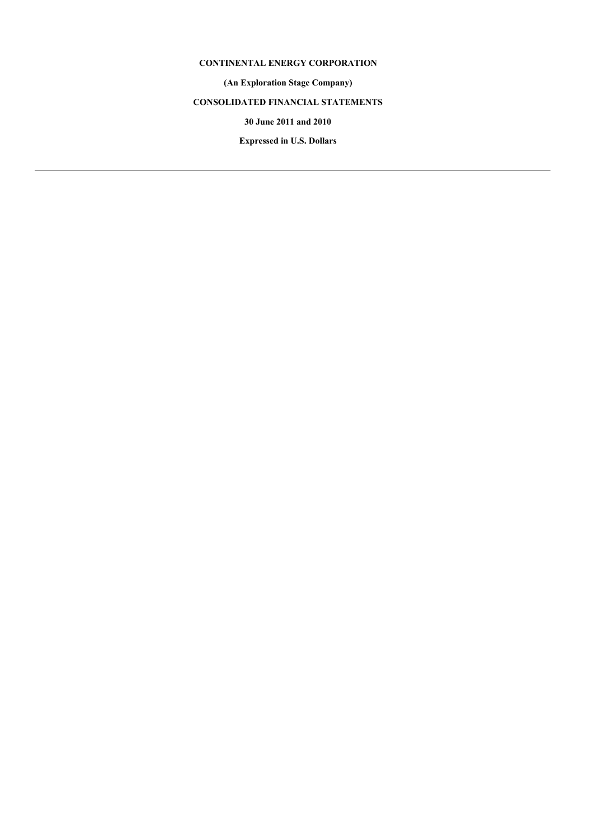# **CONTINENTAL ENERGY CORPORATION**

**(An Exploration Stage Company)**

# **CONSOLIDATED FINANCIAL STATEMENTS**

**30 June 2011 and 2010**

**Expressed in U.S. Dollars**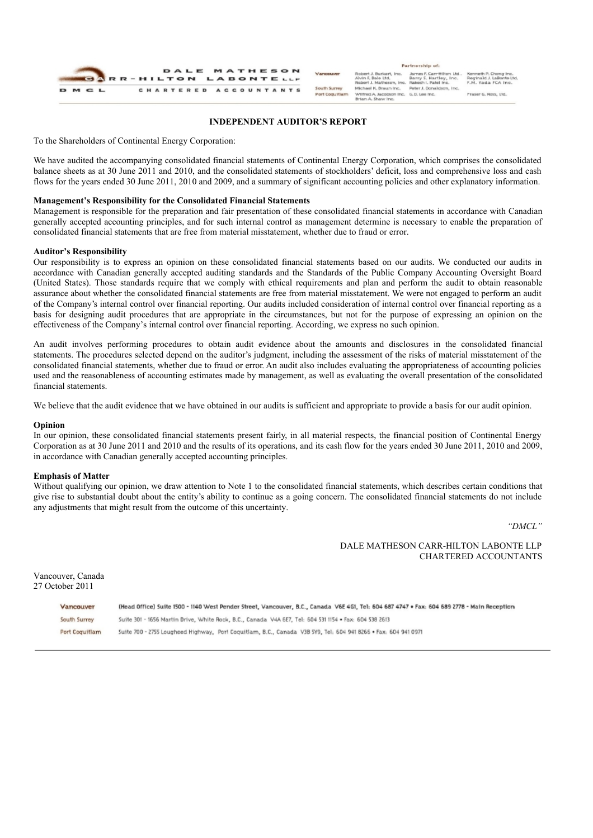

#### **INDEPENDENT AUDITOR'S REPORT**

To the Shareholders of Continental Energy Corporation:

We have audited the accompanying consolidated financial statements of Continental Energy Corporation, which comprises the consolidated balance sheets as at 30 June 2011 and 2010, and the consolidated statements of stockholders' deficit, loss and comprehensive loss and cash flows for the years ended 30 June 2011, 2010 and 2009, and a summary of significant accounting policies and other explanatory information.

#### **Management's Responsibility for the Consolidated Financial Statements**

Management is responsible for the preparation and fair presentation of these consolidated financial statements in accordance with Canadian generally accepted accounting principles, and for such internal control as management determine is necessary to enable the preparation of consolidated financial statements that are free from material misstatement, whether due to fraud or error.

#### **Auditor's Responsibility**

Our responsibility is to express an opinion on these consolidated financial statements based on our audits. We conducted our audits in accordance with Canadian generally accepted auditing standards and the Standards of the Public Company Accounting Oversight Board (United States). Those standards require that we comply with ethical requirements and plan and perform the audit to obtain reasonable assurance about whether the consolidated financial statements are free from material misstatement. We were not engaged to perform an audit of the Company's internal control over financial reporting. Our audits included consideration of internal control over financial reporting as a basis for designing audit procedures that are appropriate in the circumstances, but not for the purpose of expressing an opinion on the effectiveness of the Company's internal control over financial reporting. According, we express no such opinion.

An audit involves performing procedures to obtain audit evidence about the amounts and disclosures in the consolidated financial statements. The procedures selected depend on the auditor's judgment, including the assessment of the risks of material misstatement of the consolidated financial statements, whether due to fraud or error. An audit also includes evaluating the appropriateness of accounting policies used and the reasonableness of accounting estimates made by management, as well as evaluating the overall presentation of the consolidated financial statements.

We believe that the audit evidence that we have obtained in our audits is sufficient and appropriate to provide a basis for our audit opinion.

#### **Opinion**

In our opinion, these consolidated financial statements present fairly, in all material respects, the financial position of Continental Energy Corporation as at 30 June 2011 and 2010 and the results of its operations, and its cash flow for the years ended 30 June 2011, 2010 and 2009, in accordance with Canadian generally accepted accounting principles.

#### **Emphasis of Matter**

Without qualifying our opinion, we draw attention to Note 1 to the consolidated financial statements, which describes certain conditions that give rise to substantial doubt about the entity's ability to continue as a going concern. The consolidated financial statements do not include any adjustments that might result from the outcome of this uncertainty.

*"DMCL"*

DALE MATHESON CARR-HILTON LABONTE LLP CHARTERED ACCOUNTANTS

Vancouver, Canada 27 October 2011

| Vancouver      | (Head Office) Suite 1500 - 1140 West Pender Street, Vancouver, B.C., Canada V6E 4G1, Tel: 604 687 4747 . Fax: 604 689 2778 - Main Reception |
|----------------|---------------------------------------------------------------------------------------------------------------------------------------------|
| South Surrey   | Suite 301 - 1656 Martin Drive, White Rock, B.C., Canada V4A 6E7, Tel: 604 531 1154 . Fax: 604 538 2613                                      |
| Port Coguitlam | Suite 700 - 2755 Lougheed Highway, Port Coguitlam, B.C., Canada V3B 5Y9, Tel: 6D4 941 8266 . Fax: 604 941 0971                              |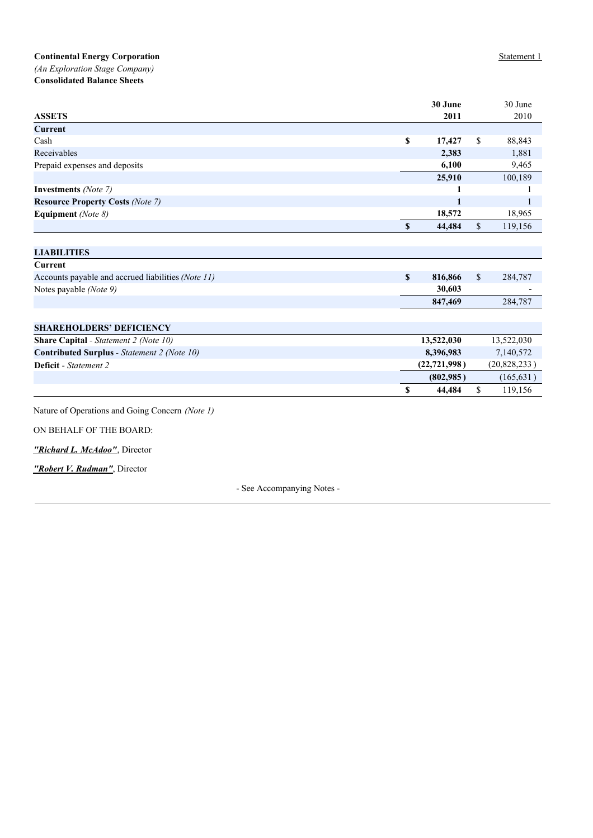*(An Exploration Stage Company)* **Consolidated Balance Sheets**

|                                                    |                           | 30 June        |             | 30 June        |
|----------------------------------------------------|---------------------------|----------------|-------------|----------------|
| <b>ASSETS</b>                                      |                           | 2011           |             | 2010           |
| <b>Current</b>                                     |                           |                |             |                |
| Cash                                               | $\boldsymbol{\mathsf{S}}$ | 17,427         | \$          | 88,843         |
| Receivables                                        |                           | 2,383          |             | 1,881          |
| Prepaid expenses and deposits                      |                           | 6,100          |             | 9,465          |
|                                                    |                           | 25,910         |             | 100,189        |
| <b>Investments</b> (Note 7)                        |                           | 1              |             |                |
| <b>Resource Property Costs (Note 7)</b>            |                           | 1              |             |                |
| Equipment (Note 8)                                 |                           | 18,572         |             | 18,965         |
|                                                    | \$                        | 44,484         | \$          | 119,156        |
|                                                    |                           |                |             |                |
| <b>LIABILITIES</b>                                 |                           |                |             |                |
| Current                                            |                           |                |             |                |
| Accounts payable and accrued liabilities (Note 11) | $\mathbf{s}$              | 816,866        | $\mathbf S$ | 284,787        |
| Notes payable (Note 9)                             |                           | 30,603         |             |                |
|                                                    |                           | 847,469        |             | 284,787        |
|                                                    |                           |                |             |                |
| <b>SHAREHOLDERS' DEFICIENCY</b>                    |                           |                |             |                |
| <b>Share Capital</b> - Statement 2 (Note 10)       |                           | 13,522,030     |             | 13,522,030     |
| <b>Contributed Surplus</b> - Statement 2 (Note 10) |                           | 8,396,983      |             | 7,140,572      |
| <b>Deficit</b> - Statement 2                       |                           | (22, 721, 998) |             | (20, 828, 233) |
|                                                    |                           | (802,985)      |             | (165, 631)     |
|                                                    | \$                        | 44,484         | \$          | 119,156        |
|                                                    |                           |                |             |                |
| Nature of Operations and Going Concern (Note 1)    |                           |                |             |                |
|                                                    |                           |                |             |                |

ON BEHALF OF THE BOARD:

*"Richard L. McAdoo"*, Director

*"Robert V. Rudman"*, Director

- See Accompanying Notes -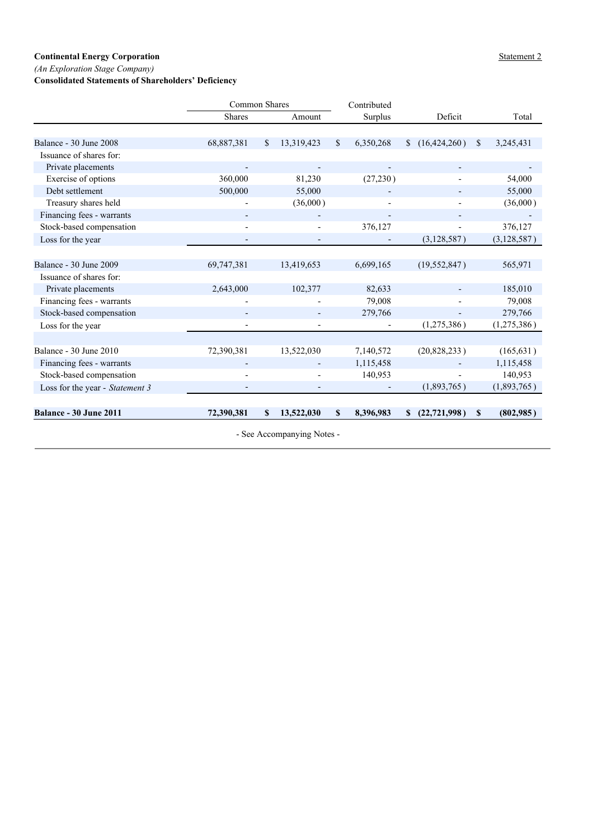*(An Exploration Stage Company)*

# **Consolidated Statements of Shareholders' Deficiency**

|                                 |                            | Common Shares |                |             | Contributed |              |                |              |               |  |  |
|---------------------------------|----------------------------|---------------|----------------|-------------|-------------|--------------|----------------|--------------|---------------|--|--|
|                                 | <b>Shares</b>              |               | Amount         |             | Surplus     |              | Deficit        |              | Total         |  |  |
|                                 |                            |               |                |             |             |              |                |              |               |  |  |
| Balance - 30 June 2008          | 68,887,381                 | $\mathbb{S}$  | 13,319,423     | \$          | 6,350,268   | $\mathbb{S}$ | (16, 424, 260) | $\mathbb{S}$ | 3,245,431     |  |  |
| Issuance of shares for:         |                            |               |                |             |             |              |                |              |               |  |  |
| Private placements              |                            |               |                |             |             |              |                |              |               |  |  |
| Exercise of options             | 360,000                    |               | 81,230         |             | (27, 230)   |              |                |              | 54,000        |  |  |
| Debt settlement                 | 500,000                    |               | 55,000         |             |             |              |                |              | 55,000        |  |  |
| Treasury shares held            |                            |               | (36,000)       |             |             |              |                |              | (36,000)      |  |  |
| Financing fees - warrants       |                            |               |                |             |             |              |                |              |               |  |  |
| Stock-based compensation        |                            |               |                |             | 376,127     |              |                |              | 376,127       |  |  |
| Loss for the year               |                            |               | $\overline{a}$ |             |             |              | (3,128,587)    |              | (3, 128, 587) |  |  |
|                                 |                            |               |                |             |             |              |                |              |               |  |  |
| Balance - 30 June 2009          | 69,747,381                 |               | 13,419,653     |             | 6,699,165   |              | (19, 552, 847) |              | 565,971       |  |  |
| Issuance of shares for:         |                            |               |                |             |             |              |                |              |               |  |  |
| Private placements              | 2,643,000                  |               | 102,377        |             | 82,633      |              |                |              | 185,010       |  |  |
| Financing fees - warrants       |                            |               |                |             | 79,008      |              |                |              | 79,008        |  |  |
| Stock-based compensation        |                            |               |                |             | 279,766     |              |                |              | 279,766       |  |  |
| Loss for the year               |                            |               |                |             |             |              | (1,275,386)    |              | (1,275,386)   |  |  |
|                                 |                            |               |                |             |             |              |                |              |               |  |  |
| Balance - 30 June 2010          | 72,390,381                 |               | 13,522,030     |             | 7,140,572   |              | (20,828,233)   |              | (165, 631)    |  |  |
| Financing fees - warrants       |                            |               |                |             | 1,115,458   |              |                |              | 1,115,458     |  |  |
| Stock-based compensation        |                            |               |                |             | 140,953     |              |                |              | 140,953       |  |  |
| Loss for the year - Statement 3 |                            |               |                |             |             |              | (1,893,765)    |              | (1,893,765)   |  |  |
| <b>Balance - 30 June 2011</b>   | 72,390,381                 | S.            | 13,522,030     | $\mathbf S$ | 8,396,983   | $\mathbf{s}$ | (22, 721, 998) | \$           | (802,985)     |  |  |
|                                 |                            |               |                |             |             |              |                |              |               |  |  |
|                                 | - See Accompanying Notes - |               |                |             |             |              |                |              |               |  |  |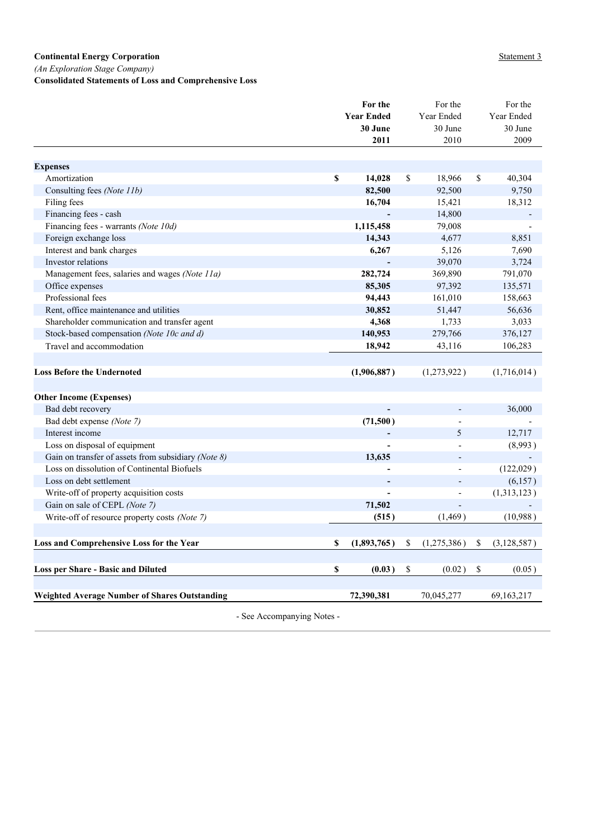*(An Exploration Stage Company)*

**Consolidated Statements of Loss and Comprehensive Loss**

|                                                      |                           | For the           | For the           | For the             |
|------------------------------------------------------|---------------------------|-------------------|-------------------|---------------------|
|                                                      |                           | <b>Year Ended</b> | Year Ended        | Year Ended          |
|                                                      |                           | 30 June           | 30 June           | 30 June             |
|                                                      |                           | 2011              | 2010              | 2009                |
|                                                      |                           |                   |                   |                     |
| <b>Expenses</b>                                      |                           |                   |                   |                     |
| Amortization                                         | $\boldsymbol{\mathsf{s}}$ | 14,028            | \$<br>18,966      | \$<br>40,304        |
| Consulting fees (Note 11b)                           |                           | 82,500            | 92,500            | 9,750               |
| Filing fees                                          |                           | 16,704            | 15,421            | 18,312              |
| Financing fees - cash                                |                           |                   | 14,800            |                     |
| Financing fees - warrants (Note 10d)                 |                           | 1,115,458         | 79,008            |                     |
| Foreign exchange loss                                |                           | 14,343            | 4,677             | 8,851               |
| Interest and bank charges                            |                           | 6,267             | 5,126             | 7,690               |
| Investor relations                                   |                           |                   | 39,070            | 3,724               |
| Management fees, salaries and wages (Note 11a)       |                           | 282,724           | 369,890           | 791,070             |
| Office expenses                                      |                           | 85,305            | 97,392            | 135,571             |
| Professional fees                                    |                           | 94,443            | 161,010           | 158,663             |
| Rent, office maintenance and utilities               |                           | 30,852            | 51,447            | 56,636              |
| Shareholder communication and transfer agent         |                           | 4,368             | 1,733             | 3,033               |
| Stock-based compensation (Note 10c and d)            |                           | 140,953           | 279,766           | 376,127             |
| Travel and accommodation                             |                           | 18,942            | 43,116            | 106,283             |
|                                                      |                           |                   |                   |                     |
| <b>Loss Before the Undernoted</b>                    |                           | (1,906,887)       | (1,273,922)       | (1,716,014)         |
|                                                      |                           |                   |                   |                     |
| <b>Other Income (Expenses)</b>                       |                           |                   |                   |                     |
| Bad debt recovery                                    |                           |                   |                   | 36,000              |
| Bad debt expense (Note 7)                            |                           | (71,500)          |                   |                     |
| Interest income                                      |                           |                   | 5                 | 12,717              |
| Loss on disposal of equipment                        |                           |                   |                   | (8,993)             |
| Gain on transfer of assets from subsidiary (Note 8)  |                           | 13,635            |                   |                     |
| Loss on dissolution of Continental Biofuels          |                           |                   | $\overline{a}$    | (122,029)           |
| Loss on debt settlement                              |                           |                   |                   | (6,157)             |
| Write-off of property acquisition costs              |                           |                   |                   | (1,313,123)         |
| Gain on sale of CEPL (Note 7)                        |                           | 71,502            |                   |                     |
| Write-off of resource property costs (Note 7)        |                           | (515)             | (1, 469)          | (10,988)            |
|                                                      |                           |                   |                   |                     |
| Loss and Comprehensive Loss for the Year             | \$                        | (1,893,765)       | \$<br>(1,275,386) | \$<br>(3, 128, 587) |
|                                                      |                           |                   |                   |                     |
| <b>Loss per Share - Basic and Diluted</b>            | \$                        | (0.03)            | \$<br>(0.02)      | \$<br>(0.05)        |
| <b>Weighted Average Number of Shares Outstanding</b> |                           | 72,390,381        | 70,045,277        | 69, 163, 217        |
|                                                      |                           |                   |                   |                     |

- See Accompanying Notes -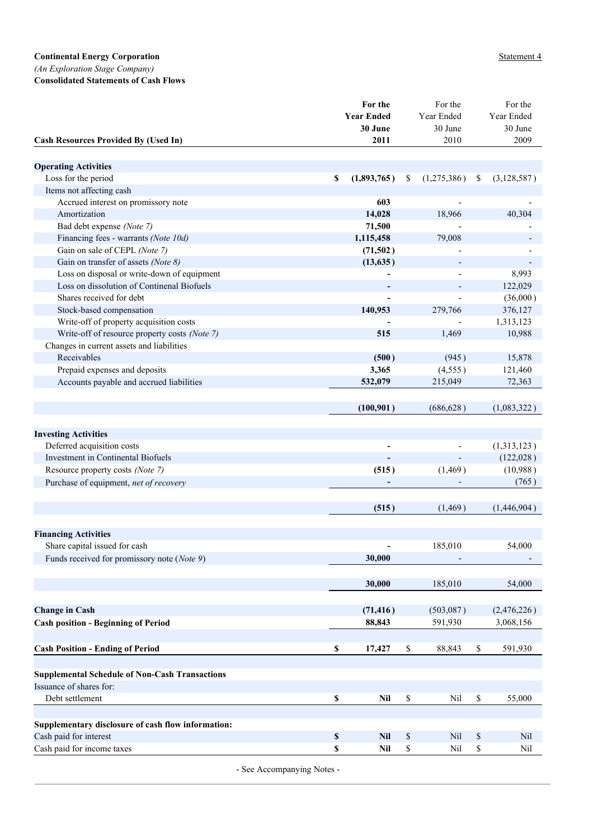*(An Exploration Stage Company)*

**Consolidated Statements of Cash Flows**

|                                                       | For the           |                                                           | For the         | For the           |
|-------------------------------------------------------|-------------------|-----------------------------------------------------------|-----------------|-------------------|
|                                                       | <b>Year Ended</b> |                                                           | Year Ended      | Year Ended        |
| <b>Cash Resources Provided By (Used In)</b>           | 30 June<br>2011   |                                                           | 30 June<br>2010 | 30 June<br>2009   |
|                                                       |                   |                                                           |                 |                   |
| <b>Operating Activities</b>                           |                   |                                                           |                 |                   |
| Loss for the period                                   | \$<br>(1,893,765) | \$                                                        | (1,275,386)     | \$<br>(3,128,587) |
| Items not affecting cash                              |                   |                                                           |                 |                   |
| Accrued interest on promissory note                   |                   | 603                                                       |                 |                   |
| Amortization                                          | 14,028            |                                                           | 18,966          | 40,304            |
| Bad debt expense (Note 7)                             | 71,500            |                                                           |                 |                   |
| Financing fees - warrants (Note 10d)                  | 1,115,458         |                                                           | 79,008          |                   |
| Gain on sale of CEPL (Note 7)                         | (71,502)          |                                                           |                 |                   |
| Gain on transfer of assets (Note 8)                   | (13, 635)         |                                                           |                 |                   |
| Loss on disposal or write-down of equipment           |                   |                                                           |                 | 8,993             |
| Loss on dissolution of Continenal Biofuels            |                   |                                                           |                 | 122,029           |
| Shares received for debt                              |                   |                                                           |                 | (36,000)          |
| Stock-based compensation                              | 140,953           |                                                           | 279,766         | 376,127           |
| Write-off of property acquisition costs               |                   |                                                           |                 | 1,313,123         |
| Write-off of resource property costs (Note 7)         |                   | 515                                                       | 1,469           | 10,988            |
| Changes in current assets and liabilities             |                   |                                                           |                 |                   |
| Receivables                                           |                   | (500)                                                     | (945)           | 15,878            |
| Prepaid expenses and deposits                         | 3,365             |                                                           | (4,555)         | 121,460           |
| Accounts payable and accrued liabilities              | 532,079           |                                                           | 215,049         | 72,363            |
|                                                       |                   |                                                           |                 |                   |
|                                                       | (100, 901)        |                                                           | (686, 628)      | (1,083,322)       |
|                                                       |                   |                                                           |                 |                   |
| <b>Investing Activities</b>                           |                   |                                                           |                 |                   |
| Deferred acquisition costs                            |                   | ٠                                                         |                 | (1,313,123)       |
| Investment in Continental Biofuels                    |                   |                                                           |                 | (122, 028)        |
| Resource property costs (Note 7)                      |                   | (515)                                                     | (1, 469)        | (10,988)          |
| Purchase of equipment, net of recovery                |                   |                                                           |                 | (765)             |
|                                                       |                   |                                                           |                 |                   |
|                                                       |                   | (515)                                                     | (1,469)         | (1,446,904)       |
|                                                       |                   |                                                           |                 |                   |
| <b>Financing Activities</b>                           |                   |                                                           |                 |                   |
| Share capital issued for cash                         |                   |                                                           | 185,010         | 54,000            |
| Funds received for promissory note (Note 9)           | 30,000            |                                                           |                 |                   |
|                                                       | 30,000            |                                                           | 185,010         | 54,000            |
|                                                       |                   |                                                           |                 |                   |
| <b>Change in Cash</b>                                 | (71, 416)         |                                                           | (503, 087)      | (2,476,226)       |
| <b>Cash position - Beginning of Period</b>            | 88,843            |                                                           | 591,930         | 3,068,156         |
|                                                       |                   |                                                           |                 |                   |
| <b>Cash Position - Ending of Period</b>               | \$<br>17,427      | \$                                                        | 88,843          | \$<br>591,930     |
|                                                       |                   |                                                           |                 |                   |
| <b>Supplemental Schedule of Non-Cash Transactions</b> |                   |                                                           |                 |                   |
| Issuance of shares for:                               |                   |                                                           |                 |                   |
| Debt settlement                                       | \$                | \$<br>Nil                                                 | Nil             | \$<br>55,000      |
|                                                       |                   |                                                           |                 |                   |
| Supplementary disclosure of cash flow information:    |                   |                                                           |                 |                   |
| Cash paid for interest                                | \$                | $\mathbb{S}$<br><b>Nil</b>                                | Nil             | \$<br>Nil         |
| Cash paid for income taxes                            | \$                | $\mathbb{S}% _{n}^{X\rightarrow\mathbb{R}}$<br><b>Nil</b> | Nil             | \$<br>Nil         |
|                                                       |                   |                                                           |                 |                   |

- See Accompanying Notes -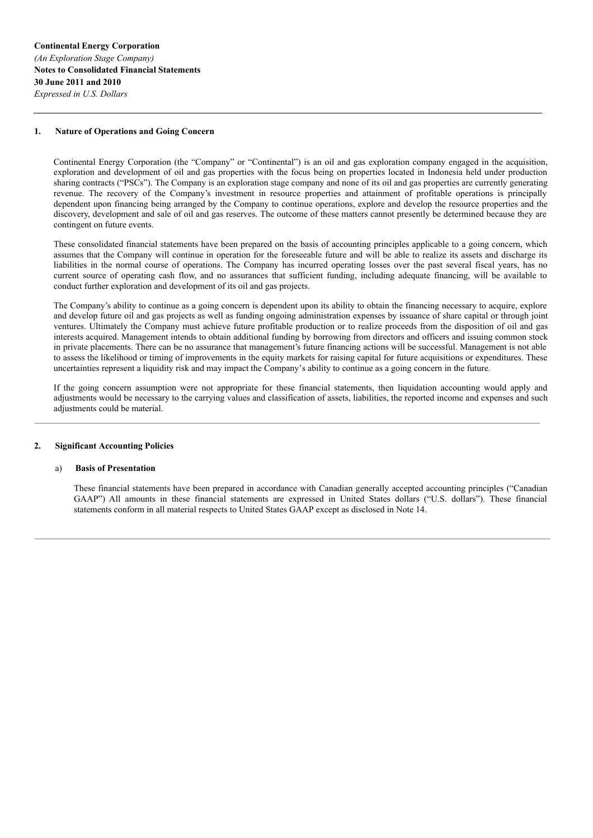#### **1. Nature of Operations and Going Concern**

Continental Energy Corporation (the "Company" or "Continental") is an oil and gas exploration company engaged in the acquisition, exploration and development of oil and gas properties with the focus being on properties located in Indonesia held under production sharing contracts ("PSCs"). The Company is an exploration stage company and none of its oil and gas properties are currently generating revenue. The recovery of the Company's investment in resource properties and attainment of profitable operations is principally dependent upon financing being arranged by the Company to continue operations, explore and develop the resource properties and the discovery, development and sale of oil and gas reserves. The outcome of these matters cannot presently be determined because they are contingent on future events.

These consolidated financial statements have been prepared on the basis of accounting principles applicable to a going concern, which assumes that the Company will continue in operation for the foreseeable future and will be able to realize its assets and discharge its liabilities in the normal course of operations. The Company has incurred operating losses over the past several fiscal years, has no current source of operating cash flow, and no assurances that sufficient funding, including adequate financing, will be available to conduct further exploration and development of its oil and gas projects.

The Company's ability to continue as a going concern is dependent upon its ability to obtain the financing necessary to acquire, explore and develop future oil and gas projects as well as funding ongoing administration expenses by issuance of share capital or through joint ventures. Ultimately the Company must achieve future profitable production or to realize proceeds from the disposition of oil and gas interests acquired. Management intends to obtain additional funding by borrowing from directors and officers and issuing common stock in private placements. There can be no assurance that management's future financing actions will be successful. Management is not able to assess the likelihood or timing of improvements in the equity markets for raising capital for future acquisitions or expenditures. These uncertainties represent a liquidity risk and may impact the Company's ability to continue as a going concern in the future.

If the going concern assumption were not appropriate for these financial statements, then liquidation accounting would apply and adjustments would be necessary to the carrying values and classification of assets, liabilities, the reported income and expenses and such adjustments could be material.

#### **2. Significant Accounting Policies**

#### a) **Basis of Presentation**

These financial statements have been prepared in accordance with Canadian generally accepted accounting principles ("Canadian GAAP") All amounts in these financial statements are expressed in United States dollars ("U.S. dollars"). These financial statements conform in all material respects to United States GAAP except as disclosed in Note 14.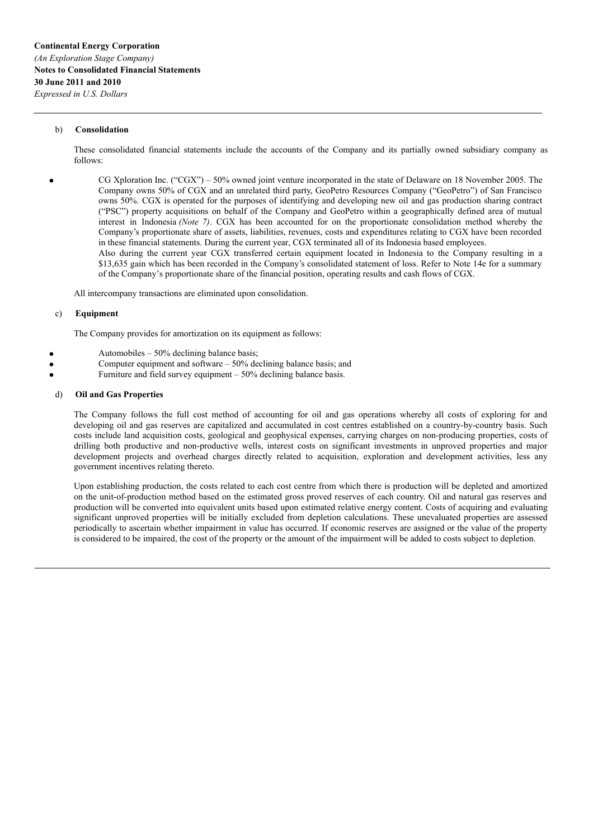## b) **Consolidation**

These consolidated financial statements include the accounts of the Company and its partially owned subsidiary company as follows:

CG Xploration Inc. ("CGX") – 50% owned joint venture incorporated in the state of Delaware on 18 November 2005. The Company owns 50% of CGX and an unrelated third party, GeoPetro Resources Company ("GeoPetro") of San Francisco owns 50%. CGX is operated for the purposes of identifying and developing new oil and gas production sharing contract ("PSC") property acquisitions on behalf of the Company and GeoPetro within a geographically defined area of mutual interest in Indonesia *(Note 7)*. CGX has been accounted for on the proportionate consolidation method whereby the Company's proportionate share of assets, liabilities, revenues, costs and expenditures relating to CGX have been recorded in these financial statements. During the current year, CGX terminated all of its Indonesia based employees.

Also during the current year CGX transferred certain equipment located in Indonesia to the Company resulting in a \$13,635 gain which has been recorded in the Company's consolidated statement of loss. Refer to Note 14e for a summary of the Company's proportionate share of the financial position, operating results and cash flows of CGX.

All intercompany transactions are eliminated upon consolidation.

#### c) **Equipment**

The Company provides for amortization on its equipment as follows:

- Automobiles 50% declining balance basis;
- Computer equipment and software 50% declining balance basis; and
- Furniture and field survey equipment 50% declining balance basis.

#### d) **Oil and Gas Properties**

The Company follows the full cost method of accounting for oil and gas operations whereby all costs of exploring for and developing oil and gas reserves are capitalized and accumulated in cost centres established on a country-by-country basis. Such costs include land acquisition costs, geological and geophysical expenses, carrying charges on non-producing properties, costs of drilling both productive and non-productive wells, interest costs on significant investments in unproved properties and major development projects and overhead charges directly related to acquisition, exploration and development activities, less any government incentives relating thereto.

Upon establishing production, the costs related to each cost centre from which there is production will be depleted and amortized on the unit-of-production method based on the estimated gross proved reserves of each country. Oil and natural gas reserves and production will be converted into equivalent units based upon estimated relative energy content. Costs of acquiring and evaluating significant unproved properties will be initially excluded from depletion calculations. These unevaluated properties are assessed periodically to ascertain whether impairment in value has occurred. If economic reserves are assigned or the value of the property is considered to be impaired, the cost of the property or the amount of the impairment will be added to costs subject to depletion.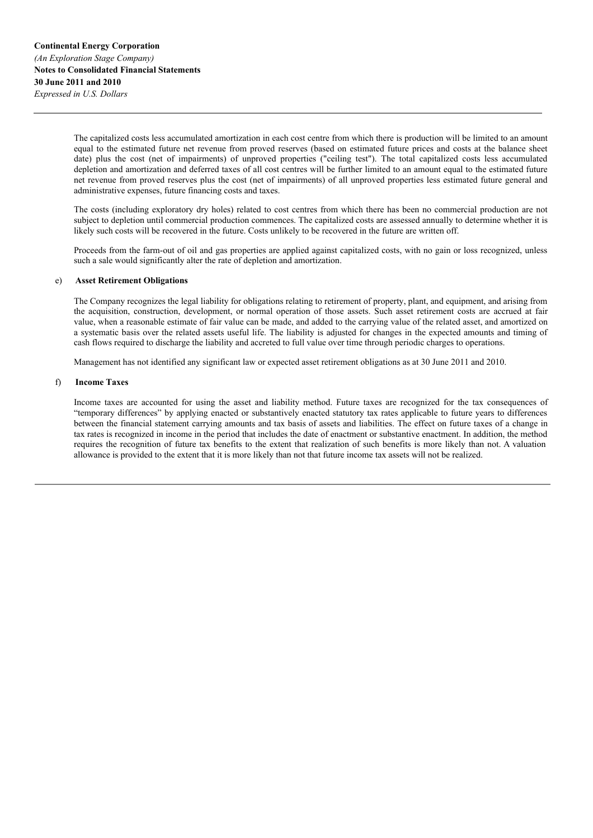The capitalized costs less accumulated amortization in each cost centre from which there is production will be limited to an amount equal to the estimated future net revenue from proved reserves (based on estimated future prices and costs at the balance sheet date) plus the cost (net of impairments) of unproved properties ("ceiling test"). The total capitalized costs less accumulated depletion and amortization and deferred taxes of all cost centres will be further limited to an amount equal to the estimated future net revenue from proved reserves plus the cost (net of impairments) of all unproved properties less estimated future general and administrative expenses, future financing costs and taxes.

The costs (including exploratory dry holes) related to cost centres from which there has been no commercial production are not subject to depletion until commercial production commences. The capitalized costs are assessed annually to determine whether it is likely such costs will be recovered in the future. Costs unlikely to be recovered in the future are written off.

Proceeds from the farm-out of oil and gas properties are applied against capitalized costs, with no gain or loss recognized, unless such a sale would significantly alter the rate of depletion and amortization.

## e) **Asset Retirement Obligations**

The Company recognizes the legal liability for obligations relating to retirement of property, plant, and equipment, and arising from the acquisition, construction, development, or normal operation of those assets. Such asset retirement costs are accrued at fair value, when a reasonable estimate of fair value can be made, and added to the carrying value of the related asset, and amortized on a systematic basis over the related assets useful life. The liability is adjusted for changes in the expected amounts and timing of cash flows required to discharge the liability and accreted to full value over time through periodic charges to operations.

Management has not identified any significant law or expected asset retirement obligations as at 30 June 2011 and 2010.

#### f) **Income Taxes**

Income taxes are accounted for using the asset and liability method. Future taxes are recognized for the tax consequences of "temporary differences" by applying enacted or substantively enacted statutory tax rates applicable to future years to differences between the financial statement carrying amounts and tax basis of assets and liabilities. The effect on future taxes of a change in tax rates is recognized in income in the period that includes the date of enactment or substantive enactment. In addition, the method requires the recognition of future tax benefits to the extent that realization of such benefits is more likely than not. A valuation allowance is provided to the extent that it is more likely than not that future income tax assets will not be realized.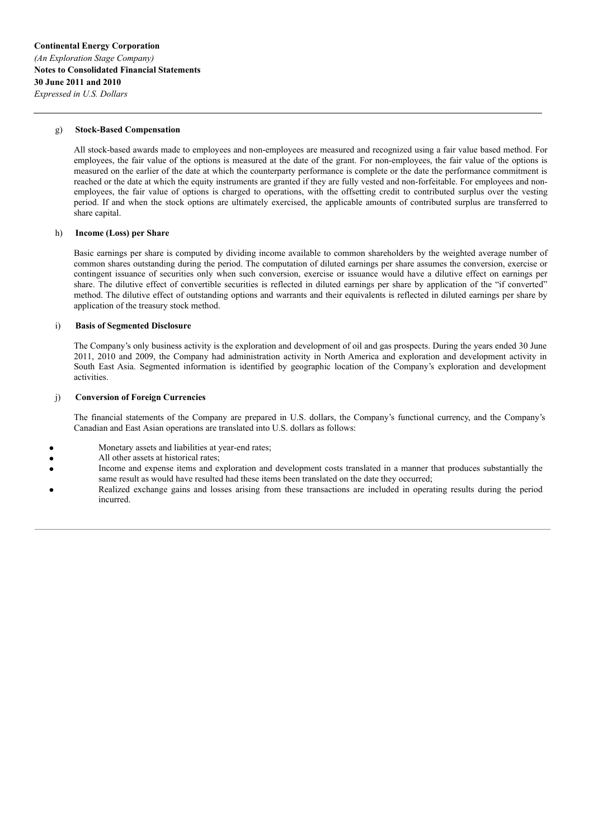### g) **Stock-Based Compensation**

All stock-based awards made to employees and non-employees are measured and recognized using a fair value based method. For employees, the fair value of the options is measured at the date of the grant. For non-employees, the fair value of the options is measured on the earlier of the date at which the counterparty performance is complete or the date the performance commitment is reached or the date at which the equity instruments are granted if they are fully vested and non-forfeitable. For employees and nonemployees, the fair value of options is charged to operations, with the offsetting credit to contributed surplus over the vesting period. If and when the stock options are ultimately exercised, the applicable amounts of contributed surplus are transferred to share capital.

## h) **Income (Loss) per Share**

Basic earnings per share is computed by dividing income available to common shareholders by the weighted average number of common shares outstanding during the period. The computation of diluted earnings per share assumes the conversion, exercise or contingent issuance of securities only when such conversion, exercise or issuance would have a dilutive effect on earnings per share. The dilutive effect of convertible securities is reflected in diluted earnings per share by application of the "if converted" method. The dilutive effect of outstanding options and warrants and their equivalents is reflected in diluted earnings per share by application of the treasury stock method.

### i) **Basis of Segmented Disclosure**

The Company's only business activity is the exploration and development of oil and gas prospects. During the years ended 30 June 2011, 2010 and 2009, the Company had administration activity in North America and exploration and development activity in South East Asia. Segmented information is identified by geographic location of the Company's exploration and development activities.

## j) **Conversion of Foreign Currencies**

The financial statements of the Company are prepared in U.S. dollars, the Company's functional currency, and the Company's Canadian and East Asian operations are translated into U.S. dollars as follows:

- Monetary assets and liabilities at year-end rates;
- All other assets at historical rates;
- Income and expense items and exploration and development costs translated in a manner that produces substantially the same result as would have resulted had these items been translated on the date they occurred;
- Realized exchange gains and losses arising from these transactions are included in operating results during the period incurred.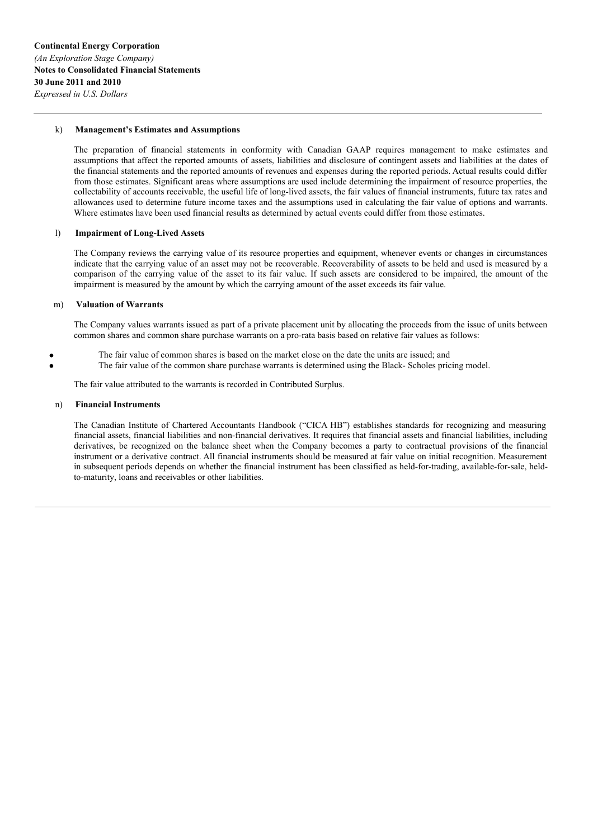### k) **Management's Estimates and Assumptions**

The preparation of financial statements in conformity with Canadian GAAP requires management to make estimates and assumptions that affect the reported amounts of assets, liabilities and disclosure of contingent assets and liabilities at the dates of the financial statements and the reported amounts of revenues and expenses during the reported periods. Actual results could differ from those estimates. Significant areas where assumptions are used include determining the impairment of resource properties, the collectability of accounts receivable, the useful life of long-lived assets, the fair values of financial instruments, future tax rates and allowances used to determine future income taxes and the assumptions used in calculating the fair value of options and warrants. Where estimates have been used financial results as determined by actual events could differ from those estimates.

## l) **Impairment of Long-Lived Assets**

The Company reviews the carrying value of its resource properties and equipment, whenever events or changes in circumstances indicate that the carrying value of an asset may not be recoverable. Recoverability of assets to be held and used is measured by a comparison of the carrying value of the asset to its fair value. If such assets are considered to be impaired, the amount of the impairment is measured by the amount by which the carrying amount of the asset exceeds its fair value.

#### m) **Valuation of Warrants**

The Company values warrants issued as part of a private placement unit by allocating the proceeds from the issue of units between common shares and common share purchase warrants on a pro-rata basis based on relative fair values as follows:

- The fair value of common shares is based on the market close on the date the units are issued; and
	- The fair value of the common share purchase warrants is determined using the Black- Scholes pricing model.

The fair value attributed to the warrants is recorded in Contributed Surplus.

#### n) **Financial Instruments**

The Canadian Institute of Chartered Accountants Handbook ("CICA HB") establishes standards for recognizing and measuring financial assets, financial liabilities and non-financial derivatives. It requires that financial assets and financial liabilities, including derivatives, be recognized on the balance sheet when the Company becomes a party to contractual provisions of the financial instrument or a derivative contract. All financial instruments should be measured at fair value on initial recognition. Measurement in subsequent periods depends on whether the financial instrument has been classified as held-for-trading, available-for-sale, heldto-maturity, loans and receivables or other liabilities.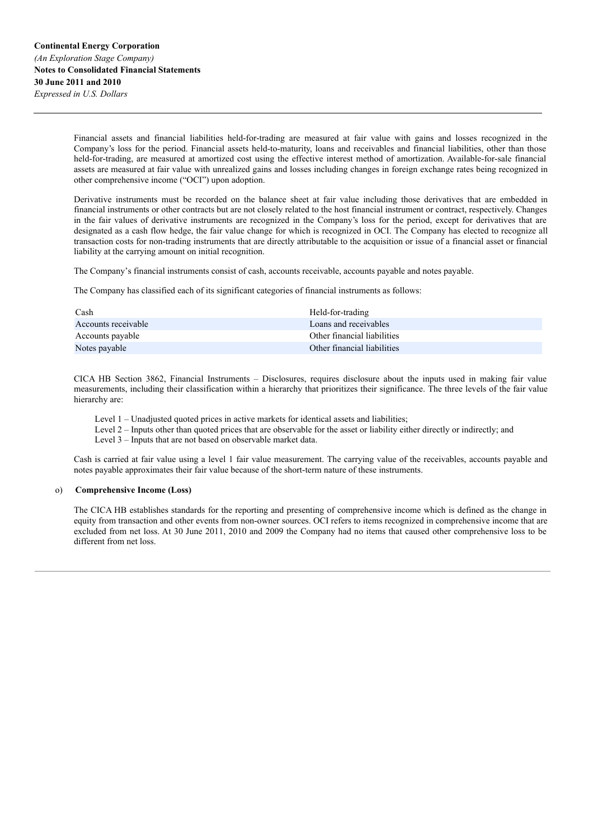Financial assets and financial liabilities held-for-trading are measured at fair value with gains and losses recognized in the Company's loss for the period. Financial assets held-to-maturity, loans and receivables and financial liabilities, other than those held-for-trading, are measured at amortized cost using the effective interest method of amortization. Available-for-sale financial assets are measured at fair value with unrealized gains and losses including changes in foreign exchange rates being recognized in other comprehensive income ("OCI") upon adoption.

Derivative instruments must be recorded on the balance sheet at fair value including those derivatives that are embedded in financial instruments or other contracts but are not closely related to the host financial instrument or contract, respectively. Changes in the fair values of derivative instruments are recognized in the Company's loss for the period, except for derivatives that are designated as a cash flow hedge, the fair value change for which is recognized in OCI. The Company has elected to recognize all transaction costs for non-trading instruments that are directly attributable to the acquisition or issue of a financial asset or financial liability at the carrying amount on initial recognition.

The Company's financial instruments consist of cash, accounts receivable, accounts payable and notes payable.

The Company has classified each of its significant categories of financial instruments as follows:

| Cash                | Held-for-trading            |
|---------------------|-----------------------------|
| Accounts receivable | Loans and receivables       |
| Accounts payable    | Other financial liabilities |
| Notes payable       | Other financial liabilities |

CICA HB Section 3862, Financial Instruments – Disclosures, requires disclosure about the inputs used in making fair value measurements, including their classification within a hierarchy that prioritizes their significance. The three levels of the fair value hierarchy are:

Level 1 – Unadjusted quoted prices in active markets for identical assets and liabilities;

Level 2 – Inputs other than quoted prices that are observable for the asset or liability either directly or indirectly; and

Level 3 – Inputs that are not based on observable market data.

Cash is carried at fair value using a level 1 fair value measurement. The carrying value of the receivables, accounts payable and notes payable approximates their fair value because of the short-term nature of these instruments.

#### o) **Comprehensive Income (Loss)**

The CICA HB establishes standards for the reporting and presenting of comprehensive income which is defined as the change in equity from transaction and other events from non-owner sources. OCI refers to items recognized in comprehensive income that are excluded from net loss. At 30 June 2011, 2010 and 2009 the Company had no items that caused other comprehensive loss to be different from net loss.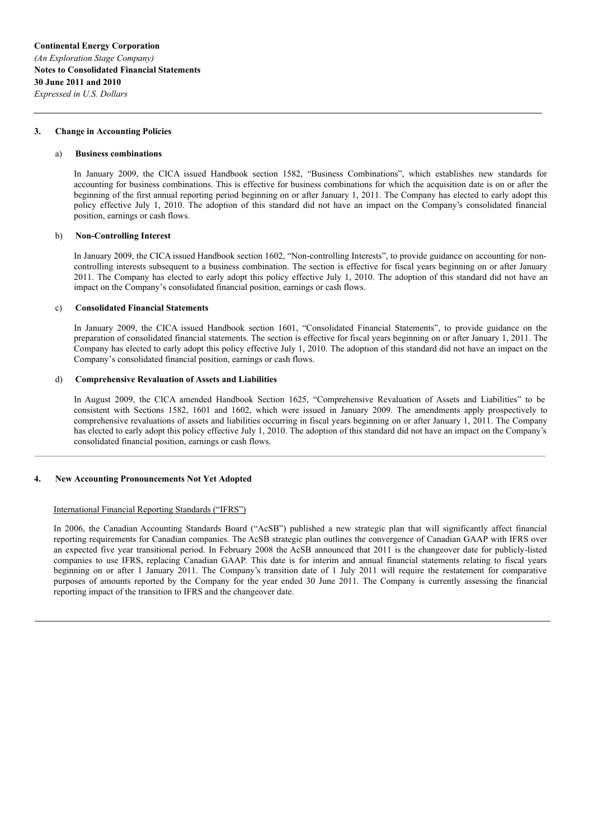#### **3. Change in Accounting Policies**

#### a) **Business combinations**

In January 2009, the CICA issued Handbook section 1582, "Business Combinations", which establishes new standards for accounting for business combinations. This is effective for business combinations for which the acquisition date is on or after the beginning of the first annual reporting period beginning on or after January 1, 2011. The Company has elected to early adopt this policy effective July 1, 2010. The adoption of this standard did not have an impact on the Company's consolidated financial position, earnings or cash flows.

### b) **Non-Controlling Interest**

In January 2009, the CICA issued Handbook section 1602, "Non-controlling Interests", to provide guidance on accounting for noncontrolling interests subsequent to a business combination. The section is effective for fiscal years beginning on or after January 2011. The Company has elected to early adopt this policy effective July 1, 2010. The adoption of this standard did not have an impact on the Company's consolidated financial position, earnings or cash flows.

#### c) **Consolidated Financial Statements**

In January 2009, the CICA issued Handbook section 1601, "Consolidated Financial Statements", to provide guidance on the preparation of consolidated financial statements. The section is effective for fiscal years beginning on or after January 1, 2011. The Company has elected to early adopt this policy effective July 1, 2010. The adoption of this standard did not have an impact on the Company's consolidated financial position, earnings or cash flows.

#### d) **Comprehensive Revaluation of Assets and Liabilities**

In August 2009, the CICA amended Handbook Section 1625, "Comprehensive Revaluation of Assets and Liabilities" to be consistent with Sections 1582, 1601 and 1602, which were issued in January 2009. The amendments apply prospectively to comprehensive revaluations of assets and liabilities occurring in fiscal years beginning on or after January 1, 2011. The Company has elected to early adopt this policy effective July 1, 2010. The adoption of this standard did not have an impact on the Company's consolidated financial position, earnings or cash flows.

#### **4. New Accounting Pronouncements Not Yet Adopted**

#### International Financial Reporting Standards ("IFRS")

In 2006, the Canadian Accounting Standards Board ("AcSB") published a new strategic plan that will significantly affect financial reporting requirements for Canadian companies. The AcSB strategic plan outlines the convergence of Canadian GAAP with IFRS over an expected five year transitional period. In February 2008 the AcSB announced that 2011 is the changeover date for publicly-listed companies to use IFRS, replacing Canadian GAAP. This date is for interim and annual financial statements relating to fiscal years beginning on or after 1 January 2011. The Company's transition date of 1 July 2011 will require the restatement for comparative purposes of amounts reported by the Company for the year ended 30 June 2011. The Company is currently assessing the financial reporting impact of the transition to IFRS and the changeover date.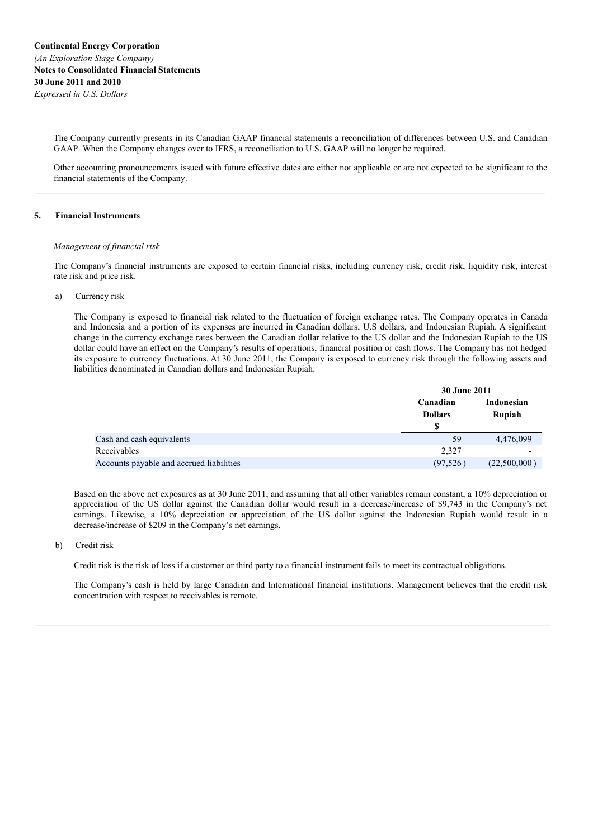The Company currently presents in its Canadian GAAP financial statements a reconciliation of differences between U.S. and Canadian GAAP. When the Company changes over to IFRS, a reconciliation to U.S. GAAP will no longer be required.

Other accounting pronouncements issued with future effective dates are either not applicable or are not expected to be significant to the financial statements of the Company.

## **5. Financial Instruments**

### *Management of financial risk*

The Company's financial instruments are exposed to certain financial risks, including currency risk, credit risk, liquidity risk, interest rate risk and price risk.

### a) Currency risk

The Company is exposed to financial risk related to the fluctuation of foreign exchange rates. The Company operates in Canada and Indonesia and a portion of its expenses are incurred in Canadian dollars, U.S dollars, and Indonesian Rupiah. A significant change in the currency exchange rates between the Canadian dollar relative to the US dollar and the Indonesian Rupiah to the US dollar could have an effect on the Company's results of operations, financial position or cash flows. The Company has not hedged its exposure to currency fluctuations. At 30 June 2011, the Company is exposed to currency risk through the following assets and liabilities denominated in Canadian dollars and Indonesian Rupiah:

|                                          | 30 June 2011                     |                      |
|------------------------------------------|----------------------------------|----------------------|
|                                          | Canadian<br><b>Dollars</b><br>\$ | Indonesian<br>Rupiah |
| Cash and cash equivalents                | 59                               | 4,476,099            |
| Receivables                              | 2,327                            |                      |
| Accounts payable and accrued liabilities | (97, 526)                        | (22,500,000)         |

Based on the above net exposures as at 30 June 2011, and assuming that all other variables remain constant, a 10% depreciation or appreciation of the US dollar against the Canadian dollar would result in a decrease/increase of \$9,743 in the Company's net earnings. Likewise, a 10% depreciation or appreciation of the US dollar against the Indonesian Rupiah would result in a decrease/increase of \$209 in the Company's net earnings.

## b) Credit risk

Credit risk is the risk of loss if a customer or third party to a financial instrument fails to meet its contractual obligations.

The Company's cash is held by large Canadian and International financial institutions. Management believes that the credit risk concentration with respect to receivables is remote.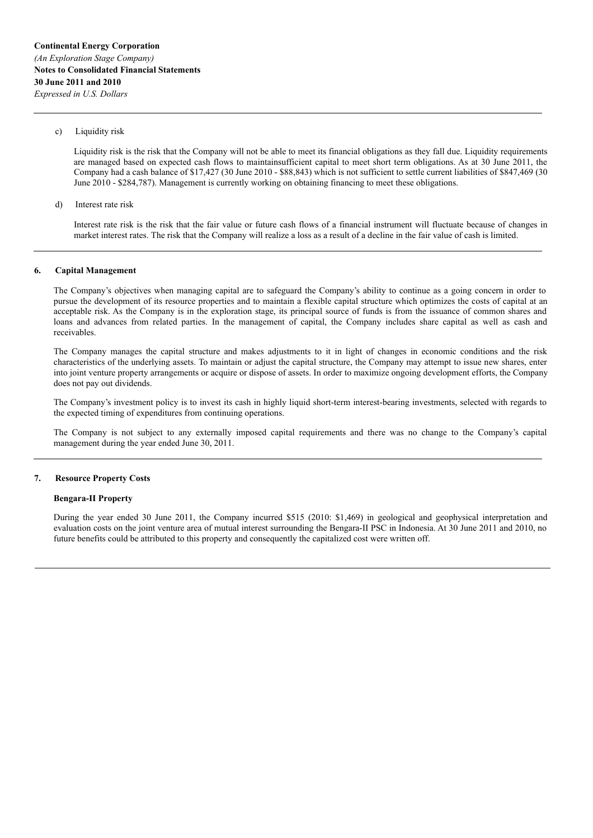### c) Liquidity risk

Liquidity risk is the risk that the Company will not be able to meet its financial obligations as they fall due. Liquidity requirements are managed based on expected cash flows to maintainsufficient capital to meet short term obligations. As at 30 June 2011, the Company had a cash balance of \$17,427 (30 June 2010 - \$88,843) which is not sufficient to settle current liabilities of \$847,469 (30 June 2010 - \$284,787). Management is currently working on obtaining financing to meet these obligations.

d) Interest rate risk

Interest rate risk is the risk that the fair value or future cash flows of a financial instrument will fluctuate because of changes in market interest rates. The risk that the Company will realize a loss as a result of a decline in the fair value of cash is limited.

#### **6. Capital Management**

The Company's objectives when managing capital are to safeguard the Company's ability to continue as a going concern in order to pursue the development of its resource properties and to maintain a flexible capital structure which optimizes the costs of capital at an acceptable risk. As the Company is in the exploration stage, its principal source of funds is from the issuance of common shares and loans and advances from related parties. In the management of capital, the Company includes share capital as well as cash and receivables.

The Company manages the capital structure and makes adjustments to it in light of changes in economic conditions and the risk characteristics of the underlying assets. To maintain or adjust the capital structure, the Company may attempt to issue new shares, enter into joint venture property arrangements or acquire or dispose of assets. In order to maximize ongoing development efforts, the Company does not pay out dividends.

The Company's investment policy is to invest its cash in highly liquid short-term interest-bearing investments, selected with regards to the expected timing of expenditures from continuing operations.

The Company is not subject to any externally imposed capital requirements and there was no change to the Company's capital management during the year ended June 30, 2011.

#### **7. Resource Property Costs**

## **Bengara-II Property**

During the year ended 30 June 2011, the Company incurred \$515 (2010: \$1,469) in geological and geophysical interpretation and evaluation costs on the joint venture area of mutual interest surrounding the Bengara-II PSC in Indonesia. At 30 June 2011 and 2010, no future benefits could be attributed to this property and consequently the capitalized cost were written off.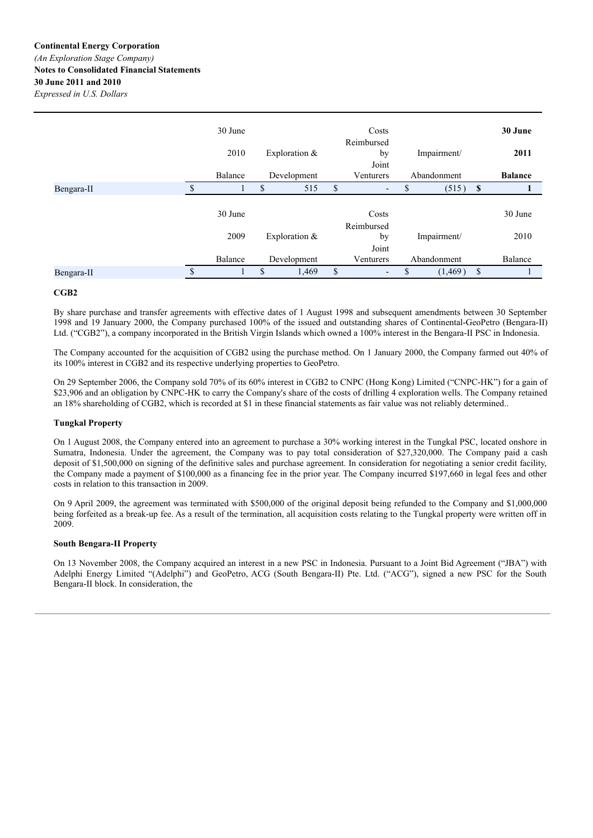|            |               | 30 June |    |                 | Costs                          |                |              | 30 June        |
|------------|---------------|---------|----|-----------------|--------------------------------|----------------|--------------|----------------|
|            |               | 2010    |    | Exploration $&$ | Reimbursed<br>by               | Impairment/    |              | 2011           |
|            |               | Balance |    | Development     | Joint<br>Venturers             | Abandonment    |              | <b>Balance</b> |
| Bengara-II | <sup>\$</sup> |         | S  | 515             | \$<br>٠                        | \$<br>(515)    | $\mathbf{s}$ |                |
|            |               | 30 June |    |                 | Costs                          |                |              | 30 June        |
|            |               | 2009    |    | Exploration $&$ | Reimbursed<br>by<br>Joint      | Impairment/    |              | 2010           |
|            |               | Balance |    | Development     | Venturers                      | Abandonment    |              | Balance        |
| Bengara-II | <sup>\$</sup> |         | \$ | 1,469           | \$<br>$\overline{\phantom{a}}$ | \$<br>(1, 469) | \$           |                |

## **CGB2**

By share purchase and transfer agreements with effective dates of 1 August 1998 and subsequent amendments between 30 September 1998 and 19 January 2000, the Company purchased 100% of the issued and outstanding shares of Continental-GeoPetro (Bengara-II) Ltd. ("CGB2"), a company incorporated in the British Virgin Islands which owned a 100% interest in the Bengara-II PSC in Indonesia.

The Company accounted for the acquisition of CGB2 using the purchase method. On 1 January 2000, the Company farmed out 40% of its 100% interest in CGB2 and its respective underlying properties to GeoPetro.

On 29 September 2006, the Company sold 70% of its 60% interest in CGB2 to CNPC (Hong Kong) Limited ("CNPC-HK") for a gain of \$23,906 and an obligation by CNPC-HK to carry the Company's share of the costs of drilling 4 exploration wells. The Company retained an 18% shareholding of CGB2, which is recorded at \$1 in these financial statements as fair value was not reliably determined..

## **Tungkal Property**

On 1 August 2008, the Company entered into an agreement to purchase a 30% working interest in the Tungkal PSC, located onshore in Sumatra, Indonesia. Under the agreement, the Company was to pay total consideration of \$27,320,000. The Company paid a cash deposit of \$1,500,000 on signing of the definitive sales and purchase agreement. In consideration for negotiating a senior credit facility, the Company made a payment of \$100,000 as a financing fee in the prior year. The Company incurred \$197,660 in legal fees and other costs in relation to this transaction in 2009.

On 9 April 2009, the agreement was terminated with \$500,000 of the original deposit being refunded to the Company and \$1,000,000 being forfeited as a break-up fee. As a result of the termination, all acquisition costs relating to the Tungkal property were written off in 2009.

#### **South Bengara-II Property**

On 13 November 2008, the Company acquired an interest in a new PSC in Indonesia. Pursuant to a Joint Bid Agreement ("JBA") with Adelphi Energy Limited "(Adelphi") and GeoPetro, ACG (South Bengara-II) Pte. Ltd. ("ACG"), signed a new PSC for the South Bengara-II block. In consideration, the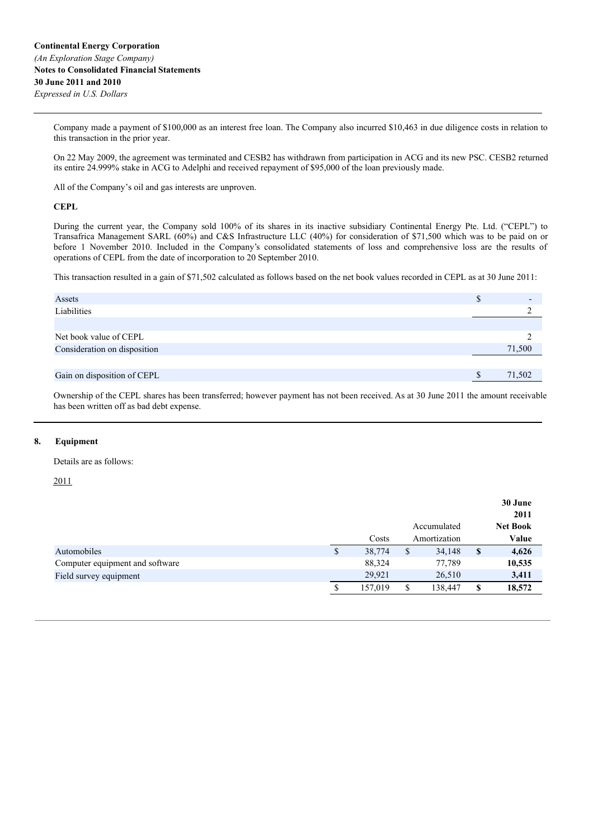Company made a payment of \$100,000 as an interest free loan. The Company also incurred \$10,463 in due diligence costs in relation to this transaction in the prior year.

On 22 May 2009, the agreement was terminated and CESB2 has withdrawn from participation in ACG and its new PSC. CESB2 returned its entire 24.999% stake in ACG to Adelphi and received repayment of \$95,000 of the loan previously made.

All of the Company's oil and gas interests are unproven.

## **CEPL**

During the current year, the Company sold 100% of its shares in its inactive subsidiary Continental Energy Pte. Ltd. ("CEPL") to Transafrica Management SARL (60%) and C&S Infrastructure LLC (40%) for consideration of \$71,500 which was to be paid on or before 1 November 2010. Included in the Company's consolidated statements of loss and comprehensive loss are the results of operations of CEPL from the date of incorporation to 20 September 2010.

This transaction resulted in a gain of \$71,502 calculated as follows based on the net book values recorded in CEPL as at 30 June 2011:

| Assets                       | D |        |
|------------------------------|---|--------|
| Liabilities                  |   |        |
|                              |   |        |
| Net book value of CEPL       |   |        |
| Consideration on disposition |   | 71,500 |
|                              |   |        |
| Gain on disposition of CEPL  |   | 71,502 |

Ownership of the CEPL shares has been transferred; however payment has not been received. As at 30 June 2011 the amount receivable has been written off as bad debt expense.

# **8. Equipment**

Details are as follows:

2011

|                                 |   |         |               |    | 30 June<br>2011 |
|---------------------------------|---|---------|---------------|----|-----------------|
|                                 |   |         | Accumulated   |    | <b>Net Book</b> |
|                                 |   | Costs   | Amortization  |    | Value           |
| Automobiles                     | S | 38,774  | \$<br>34,148  | \$ | 4,626           |
| Computer equipment and software |   | 88,324  | 77,789        |    | 10,535          |
| Field survey equipment          |   | 29,921  | 26,510        |    | 3,411           |
|                                 |   | 157,019 | \$<br>138,447 | S  | 18,572          |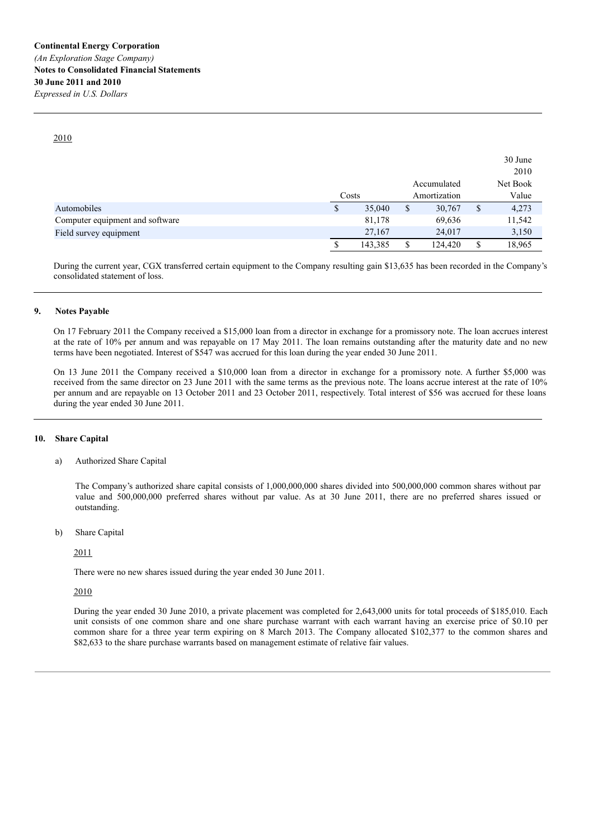2010

|                                 |              |               | 30 June     |
|---------------------------------|--------------|---------------|-------------|
|                                 |              |               | 2010        |
|                                 |              | Accumulated   | Net Book    |
|                                 | Costs        | Amortization  | Value       |
| Automobiles                     | \$<br>35,040 | \$<br>30,767  | \$<br>4,273 |
| Computer equipment and software | 81,178       | 69,636        | 11,542      |
| Field survey equipment          | 27,167       | 24,017        | 3,150       |
|                                 | 143,385      | \$<br>124,420 | 18,965      |

During the current year, CGX transferred certain equipment to the Company resulting gain \$13,635 has been recorded in the Company's consolidated statement of loss.

## **9. Notes Payable**

On 17 February 2011 the Company received a \$15,000 loan from a director in exchange for a promissory note. The loan accrues interest at the rate of 10% per annum and was repayable on 17 May 2011. The loan remains outstanding after the maturity date and no new terms have been negotiated. Interest of \$547 was accrued for this loan during the year ended 30 June 2011.

On 13 June 2011 the Company received a \$10,000 loan from a director in exchange for a promissory note. A further \$5,000 was received from the same director on 23 June 2011 with the same terms as the previous note. The loans accrue interest at the rate of 10% per annum and are repayable on 13 October 2011 and 23 October 2011, respectively. Total interest of \$56 was accrued for these loans during the year ended 30 June 2011.

#### **10. Share Capital**

a) Authorized Share Capital

The Company's authorized share capital consists of 1,000,000,000 shares divided into 500,000,000 common shares without par value and 500,000,000 preferred shares without par value. As at 30 June 2011, there are no preferred shares issued or outstanding.

b) Share Capital

2011

There were no new shares issued during the year ended 30 June 2011.

2010

During the year ended 30 June 2010, a private placement was completed for 2,643,000 units for total proceeds of \$185,010. Each unit consists of one common share and one share purchase warrant with each warrant having an exercise price of \$0.10 per common share for a three year term expiring on 8 March 2013. The Company allocated \$102,377 to the common shares and \$82,633 to the share purchase warrants based on management estimate of relative fair values.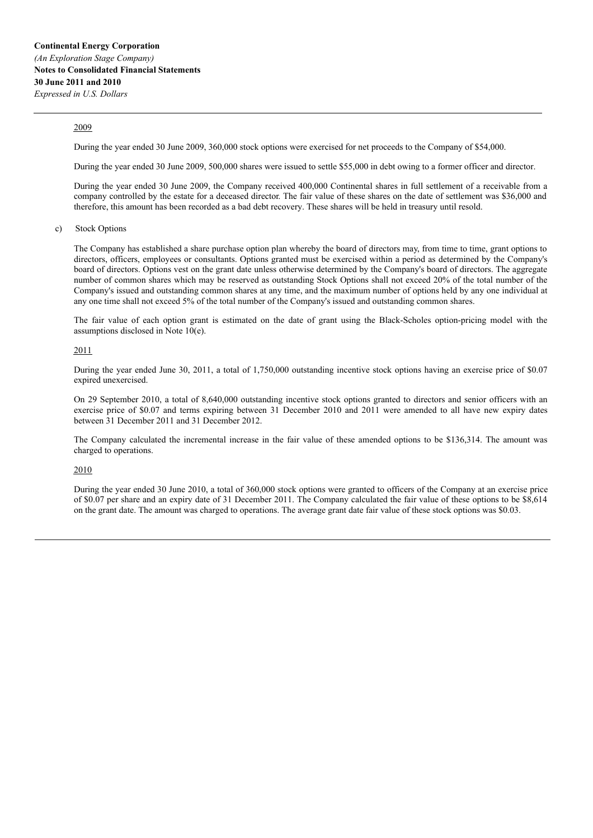## 2009

During the year ended 30 June 2009, 360,000 stock options were exercised for net proceeds to the Company of \$54,000.

During the year ended 30 June 2009, 500,000 shares were issued to settle \$55,000 in debt owing to a former officer and director.

During the year ended 30 June 2009, the Company received 400,000 Continental shares in full settlement of a receivable from a company controlled by the estate for a deceased director. The fair value of these shares on the date of settlement was \$36,000 and therefore, this amount has been recorded as a bad debt recovery. These shares will be held in treasury until resold.

c) Stock Options

The Company has established a share purchase option plan whereby the board of directors may, from time to time, grant options to directors, officers, employees or consultants. Options granted must be exercised within a period as determined by the Company's board of directors. Options vest on the grant date unless otherwise determined by the Company's board of directors. The aggregate number of common shares which may be reserved as outstanding Stock Options shall not exceed 20% of the total number of the Company's issued and outstanding common shares at any time, and the maximum number of options held by any one individual at any one time shall not exceed 5% of the total number of the Company's issued and outstanding common shares.

The fair value of each option grant is estimated on the date of grant using the Black-Scholes option-pricing model with the assumptions disclosed in Note 10(e).

#### 2011

During the year ended June 30, 2011, a total of 1,750,000 outstanding incentive stock options having an exercise price of \$0.07 expired unexercised.

On 29 September 2010, a total of 8,640,000 outstanding incentive stock options granted to directors and senior officers with an exercise price of \$0.07 and terms expiring between 31 December 2010 and 2011 were amended to all have new expiry dates between 31 December 2011 and 31 December 2012.

The Company calculated the incremental increase in the fair value of these amended options to be \$136,314. The amount was charged to operations.

#### 2010

During the year ended 30 June 2010, a total of 360,000 stock options were granted to officers of the Company at an exercise price of \$0.07 per share and an expiry date of 31 December 2011. The Company calculated the fair value of these options to be \$8,614 on the grant date. The amount was charged to operations. The average grant date fair value of these stock options was \$0.03.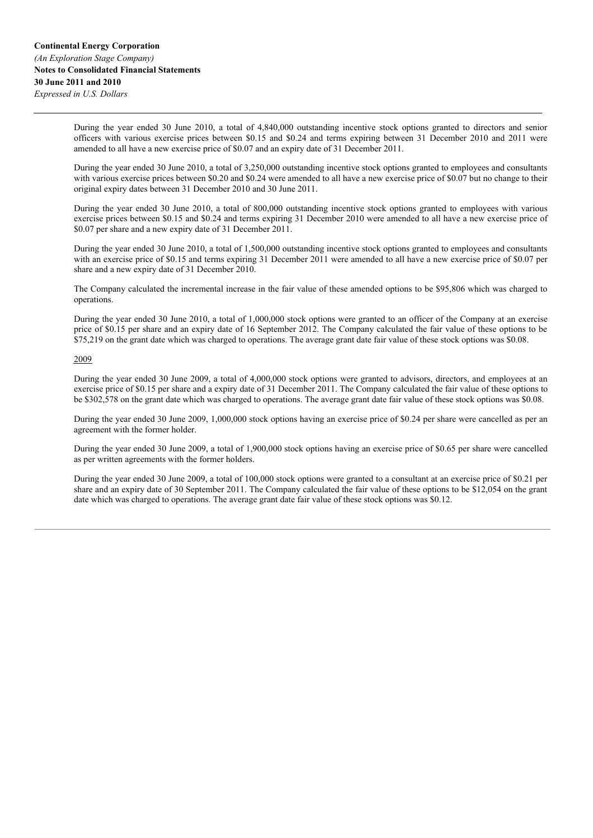During the year ended 30 June 2010, a total of 4,840,000 outstanding incentive stock options granted to directors and senior officers with various exercise prices between \$0.15 and \$0.24 and terms expiring between 31 December 2010 and 2011 were amended to all have a new exercise price of \$0.07 and an expiry date of 31 December 2011.

During the year ended 30 June 2010, a total of 3,250,000 outstanding incentive stock options granted to employees and consultants with various exercise prices between \$0.20 and \$0.24 were amended to all have a new exercise price of \$0.07 but no change to their original expiry dates between 31 December 2010 and 30 June 2011.

During the year ended 30 June 2010, a total of 800,000 outstanding incentive stock options granted to employees with various exercise prices between \$0.15 and \$0.24 and terms expiring 31 December 2010 were amended to all have a new exercise price of \$0.07 per share and a new expiry date of 31 December 2011.

During the year ended 30 June 2010, a total of 1,500,000 outstanding incentive stock options granted to employees and consultants with an exercise price of \$0.15 and terms expiring 31 December 2011 were amended to all have a new exercise price of \$0.07 per share and a new expiry date of 31 December 2010.

The Company calculated the incremental increase in the fair value of these amended options to be \$95,806 which was charged to operations.

During the year ended 30 June 2010, a total of 1,000,000 stock options were granted to an officer of the Company at an exercise price of \$0.15 per share and an expiry date of 16 September 2012. The Company calculated the fair value of these options to be \$75,219 on the grant date which was charged to operations. The average grant date fair value of these stock options was \$0.08.

## 2009

During the year ended 30 June 2009, a total of 4,000,000 stock options were granted to advisors, directors, and employees at an exercise price of \$0.15 per share and a expiry date of 31 December 2011. The Company calculated the fair value of these options to be \$302,578 on the grant date which was charged to operations. The average grant date fair value of these stock options was \$0.08.

During the year ended 30 June 2009, 1,000,000 stock options having an exercise price of \$0.24 per share were cancelled as per an agreement with the former holder.

During the year ended 30 June 2009, a total of 1,900,000 stock options having an exercise price of \$0.65 per share were cancelled as per written agreements with the former holders.

During the year ended 30 June 2009, a total of 100,000 stock options were granted to a consultant at an exercise price of \$0.21 per share and an expiry date of 30 September 2011. The Company calculated the fair value of these options to be \$12,054 on the grant date which was charged to operations. The average grant date fair value of these stock options was \$0.12.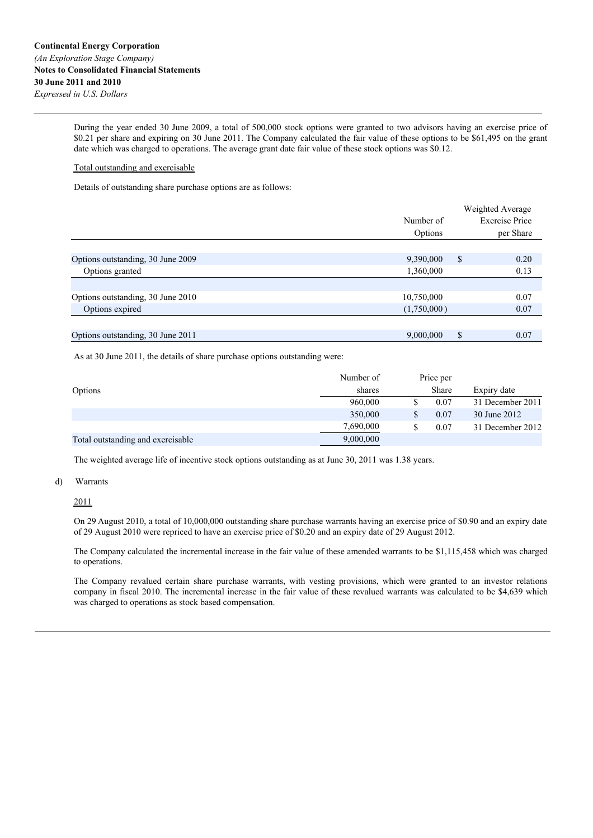During the year ended 30 June 2009, a total of 500,000 stock options were granted to two advisors having an exercise price of \$0.21 per share and expiring on 30 June 2011. The Company calculated the fair value of these options to be \$61,495 on the grant date which was charged to operations. The average grant date fair value of these stock options was \$0.12.

# Total outstanding and exercisable

Details of outstanding share purchase options are as follows:

|                                   |             | Weighted Average      |
|-----------------------------------|-------------|-----------------------|
|                                   | Number of   | <b>Exercise Price</b> |
|                                   | Options     | per Share             |
|                                   |             |                       |
| Options outstanding, 30 June 2009 | 9,390,000   | \$<br>0.20            |
| Options granted                   | 1,360,000   | 0.13                  |
|                                   |             |                       |
| Options outstanding, 30 June 2010 | 10,750,000  | 0.07                  |
| Options expired                   | (1,750,000) | 0.07                  |
|                                   |             |                       |
| Options outstanding, 30 June 2011 | 9,000,000   | \$<br>0.07            |

As at 30 June 2011, the details of share purchase options outstanding were:

|                                   | Number of | Price per |                  |
|-----------------------------------|-----------|-----------|------------------|
| Options                           | shares    | Share     | Expiry date      |
|                                   | 960,000   | 0.07      | 31 December 2011 |
|                                   | 350,000   | 0.07      | 30 June 2012     |
|                                   | 7,690,000 | 0.07      | 31 December 2012 |
| Total outstanding and exercisable | 9,000,000 |           |                  |

The weighted average life of incentive stock options outstanding as at June 30, 2011 was 1.38 years.

#### d) Warrants

2011

On 29 August 2010, a total of 10,000,000 outstanding share purchase warrants having an exercise price of \$0.90 and an expiry date of 29 August 2010 were repriced to have an exercise price of \$0.20 and an expiry date of 29 August 2012.

The Company calculated the incremental increase in the fair value of these amended warrants to be \$1,115,458 which was charged to operations.

The Company revalued certain share purchase warrants, with vesting provisions, which were granted to an investor relations company in fiscal 2010. The incremental increase in the fair value of these revalued warrants was calculated to be \$4,639 which was charged to operations as stock based compensation.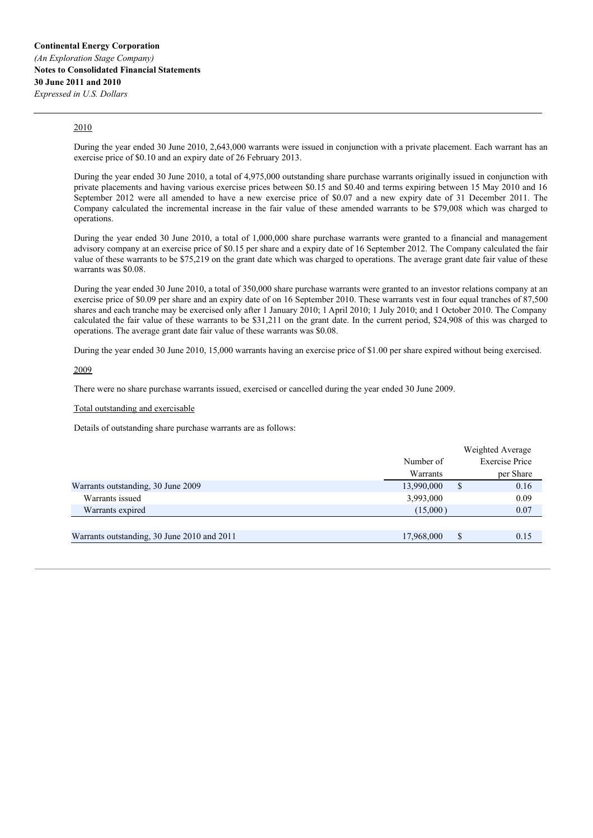# 2010

During the year ended 30 June 2010, 2,643,000 warrants were issued in conjunction with a private placement. Each warrant has an exercise price of \$0.10 and an expiry date of 26 February 2013.

During the year ended 30 June 2010, a total of 4,975,000 outstanding share purchase warrants originally issued in conjunction with private placements and having various exercise prices between \$0.15 and \$0.40 and terms expiring between 15 May 2010 and 16 September 2012 were all amended to have a new exercise price of \$0.07 and a new expiry date of 31 December 2011. The Company calculated the incremental increase in the fair value of these amended warrants to be \$79,008 which was charged to operations.

During the year ended 30 June 2010, a total of 1,000,000 share purchase warrants were granted to a financial and management advisory company at an exercise price of \$0.15 per share and a expiry date of 16 September 2012. The Company calculated the fair value of these warrants to be \$75,219 on the grant date which was charged to operations. The average grant date fair value of these warrants was \$0.08.

During the year ended 30 June 2010, a total of 350,000 share purchase warrants were granted to an investor relations company at an exercise price of \$0.09 per share and an expiry date of on 16 September 2010. These warrants vest in four equal tranches of 87,500 shares and each tranche may be exercised only after 1 January 2010; 1 April 2010; 1 July 2010; and 1 October 2010. The Company calculated the fair value of these warrants to be \$31,211 on the grant date. In the current period, \$24,908 of this was charged to operations. The average grant date fair value of these warrants was \$0.08.

During the year ended 30 June 2010, 15,000 warrants having an exercise price of \$1.00 per share expired without being exercised.

# 2009

There were no share purchase warrants issued, exercised or cancelled during the year ended 30 June 2009.

#### Total outstanding and exercisable

Details of outstanding share purchase warrants are as follows:

|                                             |            | Weighted Average      |
|---------------------------------------------|------------|-----------------------|
|                                             | Number of  | <b>Exercise Price</b> |
|                                             | Warrants   | per Share             |
| Warrants outstanding, 30 June 2009          | 13,990,000 | 0.16<br>S             |
| Warrants issued                             | 3,993,000  | 0.09                  |
| Warrants expired                            | (15,000)   | 0.07                  |
|                                             |            |                       |
| Warrants outstanding, 30 June 2010 and 2011 | 17,968,000 | \$<br>0.15            |
|                                             |            |                       |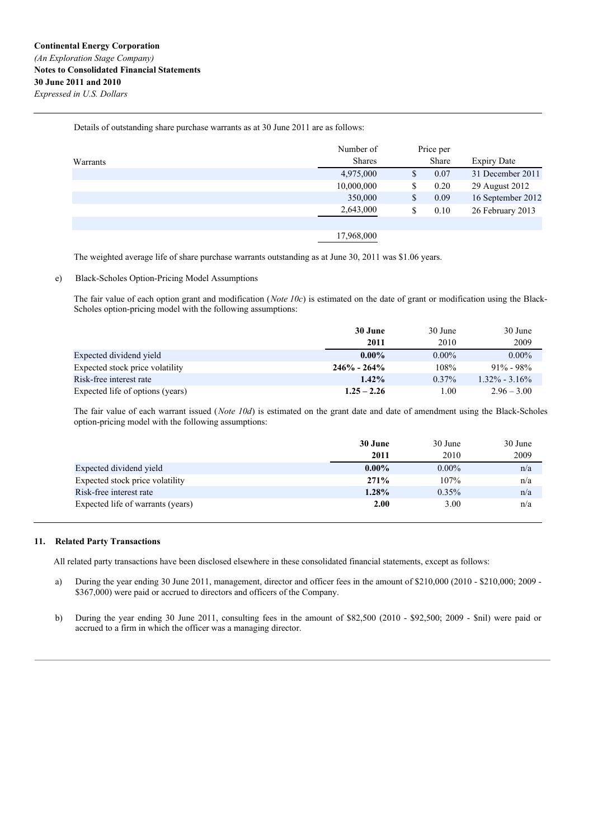Details of outstanding share purchase warrants as at 30 June 2011 are as follows:

|          | Number of     | Price per |       |                    |
|----------|---------------|-----------|-------|--------------------|
| Warrants | <b>Shares</b> |           | Share | <b>Expiry Date</b> |
|          | 4,975,000     | \$        | 0.07  | 31 December 2011   |
|          | 10,000,000    | \$        | 0.20  | 29 August 2012     |
|          | 350,000       | \$        | 0.09  | 16 September 2012  |
|          | 2,643,000     | \$        | 0.10  | 26 February 2013   |
|          |               |           |       |                    |
|          | 17,968,000    |           |       |                    |

The weighted average life of share purchase warrants outstanding as at June 30, 2011 was \$1.06 years.

## e) Black-Scholes Option-Pricing Model Assumptions

The fair value of each option grant and modification (*Note 10c*) is estimated on the date of grant or modification using the Black-Scholes option-pricing model with the following assumptions:

|                                  | 30 June         | 30 June  | 30 June           |
|----------------------------------|-----------------|----------|-------------------|
|                                  | 2011            | 2010     | 2009              |
| Expected dividend yield          | $0.00\%$        | $0.00\%$ | $0.00\%$          |
| Expected stock price volatility  | $246\% - 264\%$ | 108%     | $91\% - 98\%$     |
| Risk-free interest rate          | $1.42\%$        | $0.37\%$ | $1.32\% - 3.16\%$ |
| Expected life of options (years) | $1.25 - 2.26$   | 1.00     | $2.96 - 3.00$     |

The fair value of each warrant issued (*Note 10d*) is estimated on the grant date and date of amendment using the Black-Scholes option-pricing model with the following assumptions:

|                                   | 30 June  | 30 June  | 30 June |
|-----------------------------------|----------|----------|---------|
|                                   | 2011     | 2010     | 2009    |
| Expected dividend yield           | $0.00\%$ | $0.00\%$ | n/a     |
| Expected stock price volatility   | 271%     | 107%     | n/a     |
| Risk-free interest rate           | 1.28%    | $0.35\%$ | n/a     |
| Expected life of warrants (years) | 2.00     | 3.00     | n/a     |

#### **11. Related Party Transactions**

All related party transactions have been disclosed elsewhere in these consolidated financial statements, except as follows:

- a) During the year ending 30 June 2011, management, director and officer fees in the amount of \$210,000 (2010 \$210,000; 2009 \$367,000) were paid or accrued to directors and officers of the Company.
- b) During the year ending 30 June 2011, consulting fees in the amount of \$82,500 (2010 \$92,500; 2009 \$nil) were paid or accrued to a firm in which the officer was a managing director.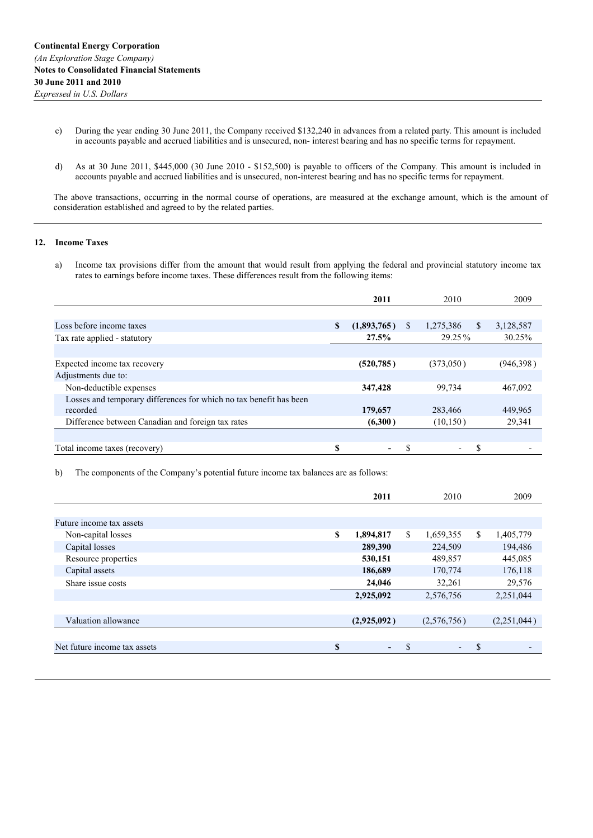- c) During the year ending 30 June 2011, the Company received \$132,240 in advances from a related party. This amount is included in accounts payable and accrued liabilities and is unsecured, non- interest bearing and has no specific terms for repayment.
- d) As at 30 June 2011, \$445,000 (30 June 2010 \$152,500) is payable to officers of the Company. This amount is included in accounts payable and accrued liabilities and is unsecured, non-interest bearing and has no specific terms for repayment.

The above transactions, occurring in the normal course of operations, are measured at the exchange amount, which is the amount of consideration established and agreed to by the related parties.

### **12. Income Taxes**

a) Income tax provisions differ from the amount that would result from applying the federal and provincial statutory income tax rates to earnings before income taxes. These differences result from the following items:

|                                                                    |    | 2011        |    | 2010                     |    | 2009      |
|--------------------------------------------------------------------|----|-------------|----|--------------------------|----|-----------|
|                                                                    |    |             |    |                          |    |           |
| Loss before income taxes                                           | S  | (1,893,765) | \$ | 1,275,386                | S. | 3,128,587 |
| Tax rate applied - statutory                                       |    | $27.5\%$    |    | $29.25\%$                |    | 30.25%    |
|                                                                    |    |             |    |                          |    |           |
| Expected income tax recovery                                       |    | (520, 785)  |    | (373,050)                |    | (946,398) |
| Adjustments due to:                                                |    |             |    |                          |    |           |
| Non-deductible expenses                                            |    | 347,428     |    | 99,734                   |    | 467,092   |
| Losses and temporary differences for which no tax benefit has been |    |             |    |                          |    |           |
| recorded                                                           |    | 179,657     |    | 283,466                  |    | 449,965   |
| Difference between Canadian and foreign tax rates                  |    | (6,300)     |    | (10, 150)                |    | 29,341    |
|                                                                    |    |             |    |                          |    |           |
| Total income taxes (recovery)                                      | \$ | ٠           | S  | $\overline{\phantom{a}}$ | S  |           |

b) The components of the Company's potential future income tax balances are as follows:

|                 |    |                          |               | 2009           |
|-----------------|----|--------------------------|---------------|----------------|
|                 |    |                          |               |                |
|                 |    |                          |               |                |
| \$<br>1,894,817 | \$ | 1,659,355                | \$            | 1,405,779      |
| 289,390         |    | 224,509                  |               | 194,486        |
| 530,151         |    | 489,857                  |               | 445,085        |
| 186,689         |    | 170,774                  |               | 176,118        |
| 24,046          |    | 32,261                   |               | 29,576         |
| 2,925,092       |    | 2,576,756                |               | 2,251,044      |
|                 |    |                          |               |                |
| (2,925,092)     |    | (2,576,756)              |               | (2,251,044)    |
|                 |    |                          |               |                |
| \$<br>٠         | S  | $\overline{\phantom{0}}$ | <sup>\$</sup> | $\overline{a}$ |
|                 |    |                          |               |                |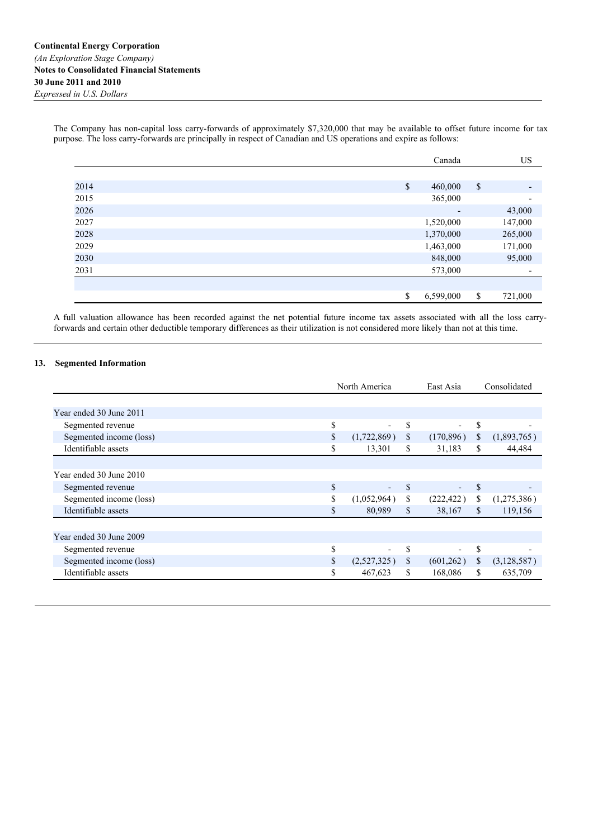The Company has non-capital loss carry-forwards of approximately \$7,320,000 that may be available to offset future income for tax purpose. The loss carry-forwards are principally in respect of Canadian and US operations and expire as follows:

|      | Canada                   | US                        |                          |
|------|--------------------------|---------------------------|--------------------------|
|      |                          |                           |                          |
| 2014 | \$<br>460,000            | $\boldsymbol{\mathsf{S}}$ | $\overline{\phantom{a}}$ |
| 2015 | 365,000                  |                           | $\overline{\phantom{a}}$ |
| 2026 | $\overline{\phantom{a}}$ |                           | 43,000                   |
| 2027 | 1,520,000                |                           | 147,000                  |
| 2028 | 1,370,000                |                           | 265,000                  |
| 2029 | 1,463,000                |                           | 171,000                  |
| 2030 | 848,000                  |                           | 95,000                   |
| 2031 | 573,000                  |                           | $\overline{\phantom{a}}$ |
|      |                          |                           |                          |
|      | \$<br>6,599,000          | \$                        | 721,000                  |

A full valuation allowance has been recorded against the net potential future income tax assets associated with all the loss carryforwards and certain other deductible temporary differences as their utilization is not considered more likely than not at this time.

# **13. Segmented Information**

|                         | North America |                          |              | East Asia                |     | Consolidated |
|-------------------------|---------------|--------------------------|--------------|--------------------------|-----|--------------|
|                         |               |                          |              |                          |     |              |
| Year ended 30 June 2011 |               |                          |              |                          |     |              |
| Segmented revenue       | \$            | $\overline{\phantom{0}}$ | \$           | $\blacksquare$           | S   |              |
| Segmented income (loss) | \$            | (1,722,869)              | $\mathbb{S}$ | (170, 896)               | \$  | (1,893,765)  |
| Identifiable assets     | \$            | 13,301                   | \$           | 31,183                   | \$. | 44,484       |
|                         |               |                          |              |                          |     |              |
| Year ended 30 June 2010 |               |                          |              |                          |     |              |
| Segmented revenue       | \$            | $\overline{\phantom{a}}$ | $\mathbb{S}$ | $\overline{\phantom{a}}$ | \$  |              |
| Segmented income (loss) | \$            | (1,052,964)              | \$           | (222, 422)               | \$  | (1,275,386)  |
| Identifiable assets     | \$            | 80,989                   | \$           | 38,167                   | S.  | 119,156      |
|                         |               |                          |              |                          |     |              |
| Year ended 30 June 2009 |               |                          |              |                          |     |              |
| Segmented revenue       | \$            | Ξ.                       | \$           | $\blacksquare$           | \$  |              |
| Segmented income (loss) | \$            | (2,527,325)              | \$           | (601,262)                | S.  | (3,128,587)  |
| Identifiable assets     | \$            | 467,623                  | \$           | 168,086                  | \$  | 635,709      |
|                         |               |                          |              |                          |     |              |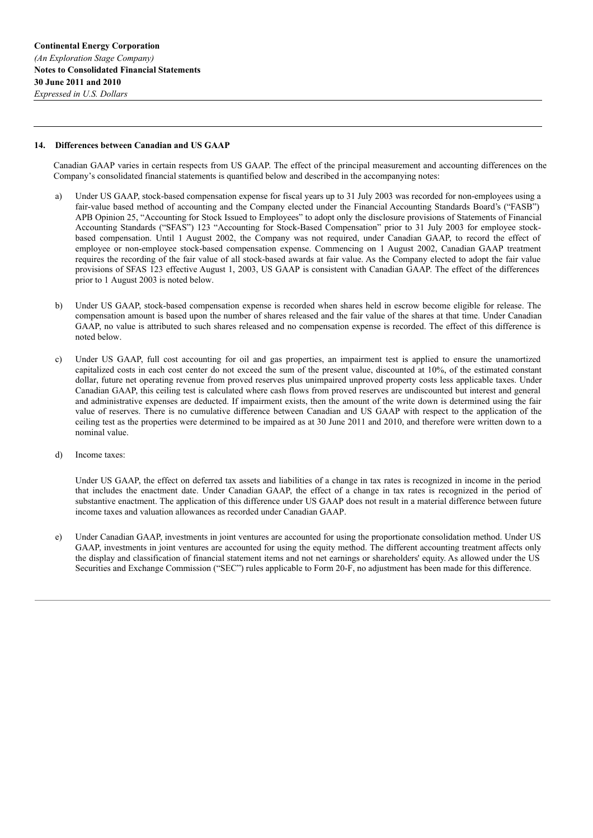#### **14. Differences between Canadian and US GAAP**

Canadian GAAP varies in certain respects from US GAAP. The effect of the principal measurement and accounting differences on the Company's consolidated financial statements is quantified below and described in the accompanying notes:

- a) Under US GAAP, stock-based compensation expense for fiscal years up to 31 July 2003 was recorded for non-employees using a fair-value based method of accounting and the Company elected under the Financial Accounting Standards Board's ("FASB") APB Opinion 25, "Accounting for Stock Issued to Employees" to adopt only the disclosure provisions of Statements of Financial Accounting Standards ("SFAS") 123 "Accounting for Stock-Based Compensation" prior to 31 July 2003 for employee stockbased compensation. Until 1 August 2002, the Company was not required, under Canadian GAAP, to record the effect of employee or non-employee stock-based compensation expense. Commencing on 1 August 2002, Canadian GAAP treatment requires the recording of the fair value of all stock-based awards at fair value. As the Company elected to adopt the fair value provisions of SFAS 123 effective August 1, 2003, US GAAP is consistent with Canadian GAAP. The effect of the differences prior to 1 August 2003 is noted below.
- b) Under US GAAP, stock-based compensation expense is recorded when shares held in escrow become eligible for release. The compensation amount is based upon the number of shares released and the fair value of the shares at that time. Under Canadian GAAP, no value is attributed to such shares released and no compensation expense is recorded. The effect of this difference is noted below.
- c) Under US GAAP, full cost accounting for oil and gas properties, an impairment test is applied to ensure the unamortized capitalized costs in each cost center do not exceed the sum of the present value, discounted at 10%, of the estimated constant dollar, future net operating revenue from proved reserves plus unimpaired unproved property costs less applicable taxes. Under Canadian GAAP, this ceiling test is calculated where cash flows from proved reserves are undiscounted but interest and general and administrative expenses are deducted. If impairment exists, then the amount of the write down is determined using the fair value of reserves. There is no cumulative difference between Canadian and US GAAP with respect to the application of the ceiling test as the properties were determined to be impaired as at 30 June 2011 and 2010, and therefore were written down to a nominal value.
- d) Income taxes:

Under US GAAP, the effect on deferred tax assets and liabilities of a change in tax rates is recognized in income in the period that includes the enactment date. Under Canadian GAAP, the effect of a change in tax rates is recognized in the period of substantive enactment. The application of this difference under US GAAP does not result in a material difference between future income taxes and valuation allowances as recorded under Canadian GAAP.

e) Under Canadian GAAP, investments in joint ventures are accounted for using the proportionate consolidation method. Under US GAAP, investments in joint ventures are accounted for using the equity method. The different accounting treatment affects only the display and classification of financial statement items and not net earnings or shareholders' equity. As allowed under the US Securities and Exchange Commission ("SEC") rules applicable to Form 20-F, no adjustment has been made for this difference.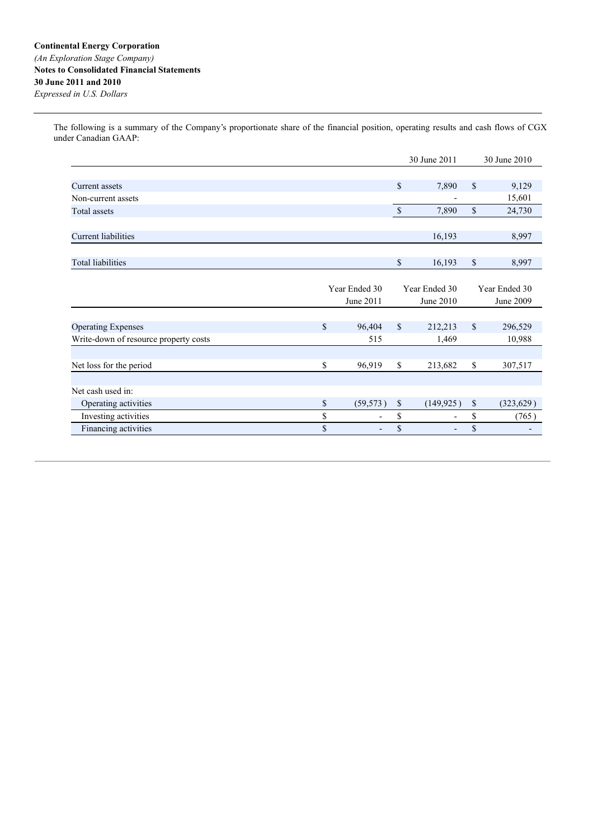The following is a summary of the Company's proportionate share of the financial position, operating results and cash flows of CGX under Canadian GAAP:

|                                       |             |               |               | 30 June 2011 | 30 June 2010  |            |  |
|---------------------------------------|-------------|---------------|---------------|--------------|---------------|------------|--|
|                                       |             |               |               |              |               |            |  |
| Current assets                        |             |               | $\mathbb{S}$  | 7,890        | $\mathbf S$   | 9,129      |  |
| Non-current assets                    |             |               |               |              |               | 15,601     |  |
| <b>Total assets</b>                   |             |               | $\mathcal{S}$ | 7,890        | \$            | 24,730     |  |
|                                       |             |               |               |              |               |            |  |
| <b>Current liabilities</b>            |             |               |               | 16,193       |               | 8,997      |  |
| <b>Total liabilities</b>              |             |               | \$            | 16,193       | \$            | 8,997      |  |
|                                       |             |               |               |              |               |            |  |
|                                       |             | Year Ended 30 | Year Ended 30 |              | Year Ended 30 |            |  |
|                                       |             | June 2011     |               | June 2010    |               | June 2009  |  |
|                                       |             |               |               |              |               |            |  |
| <b>Operating Expenses</b>             | $\mathbf S$ | 96,404        | $\mathbb{S}$  | 212,213      | \$            | 296,529    |  |
| Write-down of resource property costs |             | 515           |               | 1,469        |               | 10,988     |  |
|                                       |             |               |               |              |               |            |  |
| Net loss for the period               | \$          | 96,919        | \$            | 213,682      | \$            | 307,517    |  |
|                                       |             |               |               |              |               |            |  |
| Net cash used in:                     |             |               |               |              |               |            |  |
| Operating activities                  | $\mathbb S$ | (59, 573)     | $\mathbb{S}$  | (149, 925)   | \$            | (323, 629) |  |
| Investing activities                  | \$          |               | \$            | -            | \$            | (765)      |  |
| Financing activities                  | \$          |               | \$            |              | \$            |            |  |
|                                       |             |               |               |              |               |            |  |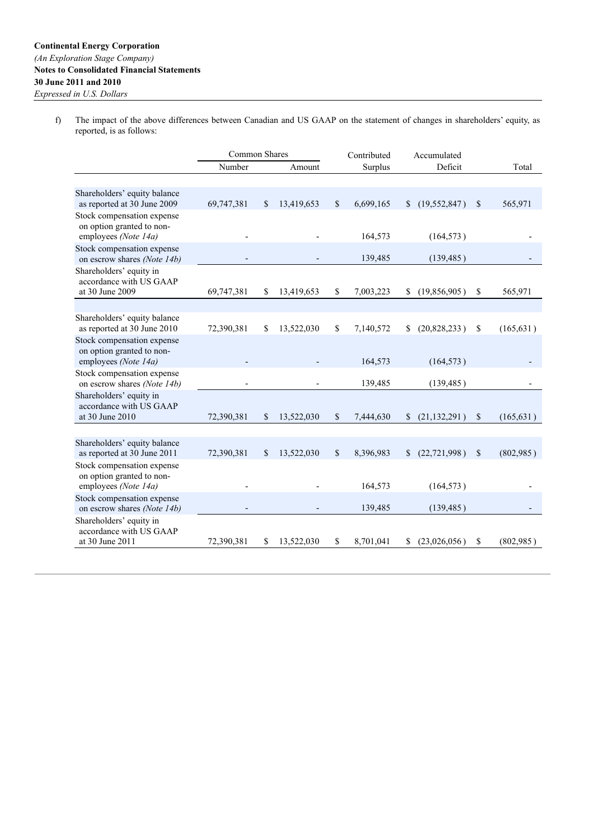f) The impact of the above differences between Canadian and US GAAP on the statement of changes in shareholders' equity, as reported, is as follows:

|                                                             | Common Shares |               |            |              | Contributed | Accumulated  |                |               |            |
|-------------------------------------------------------------|---------------|---------------|------------|--------------|-------------|--------------|----------------|---------------|------------|
|                                                             | Number        |               | Amount     |              | Surplus     | Deficit      |                |               | Total      |
|                                                             |               |               |            |              |             |              |                |               |            |
| Shareholders' equity balance                                |               |               |            |              |             |              |                |               |            |
| as reported at 30 June 2009                                 | 69,747,381    | $\mathcal{S}$ | 13,419,653 | \$           | 6,699,165   | $\mathbb{S}$ | (19, 552, 847) | \$            | 565,971    |
| Stock compensation expense                                  |               |               |            |              |             |              |                |               |            |
| on option granted to non-<br>employees (Note 14a)           |               |               |            |              | 164,573     |              | (164, 573)     |               |            |
| Stock compensation expense                                  |               |               |            |              |             |              |                |               |            |
| on escrow shares (Note 14b)                                 |               |               |            |              | 139,485     |              | (139, 485)     |               |            |
| Shareholders' equity in                                     |               |               |            |              |             |              |                |               |            |
| accordance with US GAAP                                     |               |               |            |              |             |              |                |               |            |
| at 30 June 2009                                             | 69,747,381    | \$            | 13,419,653 | \$           | 7,003,223   | \$           | (19,856,905)   | \$            | 565,971    |
|                                                             |               |               |            |              |             |              |                |               |            |
| Shareholders' equity balance                                |               |               |            |              |             |              |                |               |            |
| as reported at 30 June 2010                                 | 72,390,381    | \$            | 13,522,030 | \$           | 7,140,572   | \$           | (20,828,233)   | \$            | (165, 631) |
| Stock compensation expense<br>on option granted to non-     |               |               |            |              |             |              |                |               |            |
| employees (Note 14a)                                        |               |               |            |              | 164,573     |              | (164, 573)     |               |            |
| Stock compensation expense                                  |               |               |            |              |             |              |                |               |            |
| on escrow shares (Note 14b)                                 |               |               |            |              | 139,485     |              | (139, 485)     |               |            |
| Shareholders' equity in                                     |               |               |            |              |             |              |                |               |            |
| accordance with US GAAP                                     |               |               |            |              |             |              |                |               |            |
| at 30 June 2010                                             | 72,390,381    | $\mathbb{S}$  | 13,522,030 | \$           | 7,444,630   | \$           | (21, 132, 291) | \$            | (165, 631) |
|                                                             |               |               |            |              |             |              |                |               |            |
| Shareholders' equity balance<br>as reported at 30 June 2011 | 72,390,381    | $\mathbf S$   | 13,522,030 | $\mathbb{S}$ | 8,396,983   | \$           | (22, 721, 998) | <sup>\$</sup> | (802,985)  |
| Stock compensation expense                                  |               |               |            |              |             |              |                |               |            |
| on option granted to non-                                   |               |               |            |              |             |              |                |               |            |
| employees (Note 14a)                                        |               |               |            |              | 164,573     |              | (164, 573)     |               |            |
| Stock compensation expense                                  |               |               |            |              |             |              |                |               |            |
| on escrow shares (Note 14b)                                 |               |               |            |              | 139,485     |              | (139, 485)     |               |            |
| Shareholders' equity in                                     |               |               |            |              |             |              |                |               |            |
| accordance with US GAAP<br>at 30 June 2011                  | 72,390,381    | \$            | 13,522,030 | \$           | 8,701,041   | S            | (23,026,056)   | \$            | (802,985)  |
|                                                             |               |               |            |              |             |              |                |               |            |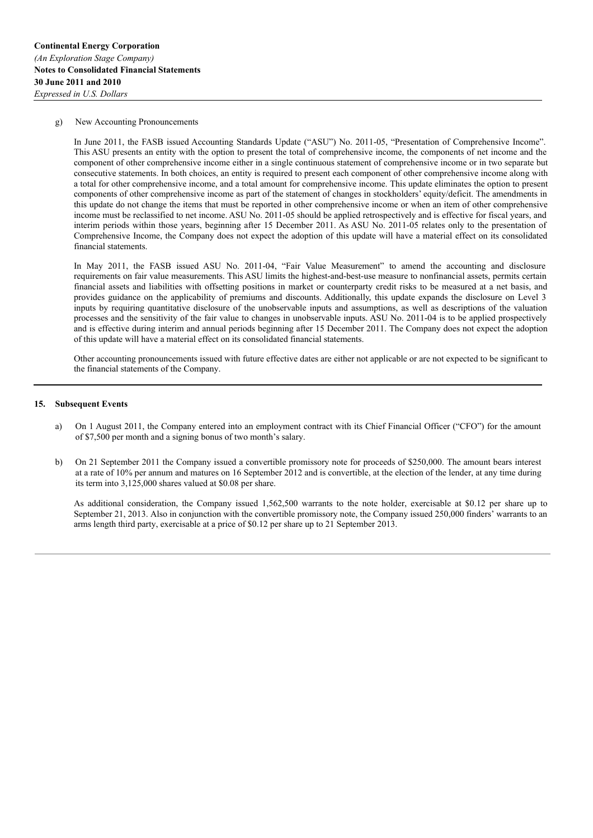#### g) New Accounting Pronouncements

In June 2011, the FASB issued Accounting Standards Update ("ASU") No. 2011-05, "Presentation of Comprehensive Income". This ASU presents an entity with the option to present the total of comprehensive income, the components of net income and the component of other comprehensive income either in a single continuous statement of comprehensive income or in two separate but consecutive statements. In both choices, an entity is required to present each component of other comprehensive income along with a total for other comprehensive income, and a total amount for comprehensive income. This update eliminates the option to present components of other comprehensive income as part of the statement of changes in stockholders' equity/deficit. The amendments in this update do not change the items that must be reported in other comprehensive income or when an item of other comprehensive income must be reclassified to net income. ASU No. 2011-05 should be applied retrospectively and is effective for fiscal years, and interim periods within those years, beginning after 15 December 2011. As ASU No. 2011-05 relates only to the presentation of Comprehensive Income, the Company does not expect the adoption of this update will have a material effect on its consolidated financial statements.

In May 2011, the FASB issued ASU No. 2011-04, "Fair Value Measurement" to amend the accounting and disclosure requirements on fair value measurements. This ASU limits the highest-and-best-use measure to nonfinancial assets, permits certain financial assets and liabilities with offsetting positions in market or counterparty credit risks to be measured at a net basis, and provides guidance on the applicability of premiums and discounts. Additionally, this update expands the disclosure on Level 3 inputs by requiring quantitative disclosure of the unobservable inputs and assumptions, as well as descriptions of the valuation processes and the sensitivity of the fair value to changes in unobservable inputs. ASU No. 2011-04 is to be applied prospectively and is effective during interim and annual periods beginning after 15 December 2011. The Company does not expect the adoption of this update will have a material effect on its consolidated financial statements.

Other accounting pronouncements issued with future effective dates are either not applicable or are not expected to be significant to the financial statements of the Company.

#### **15. Subsequent Events**

- a) On 1 August 2011, the Company entered into an employment contract with its Chief Financial Officer ("CFO") for the amount of \$7,500 per month and a signing bonus of two month's salary.
- b) On 21 September 2011 the Company issued a convertible promissory note for proceeds of \$250,000. The amount bears interest at a rate of 10% per annum and matures on 16 September 2012 and is convertible, at the election of the lender, at any time during its term into 3,125,000 shares valued at \$0.08 per share.

As additional consideration, the Company issued 1,562,500 warrants to the note holder, exercisable at \$0.12 per share up to September 21, 2013. Also in conjunction with the convertible promissory note, the Company issued 250,000 finders' warrants to an arms length third party, exercisable at a price of \$0.12 per share up to 21 September 2013.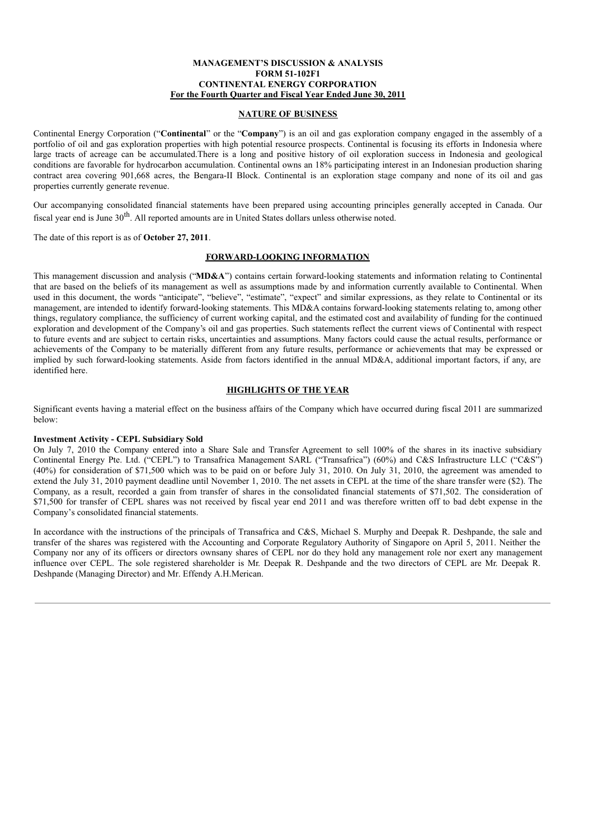### **MANAGEMENT'S DISCUSSION & ANALYSIS FORM 51-102F1 CONTINENTAL ENERGY CORPORATION For the Fourth Quarter and Fiscal Year Ended June 30, 2011**

### **NATURE OF BUSINESS**

Continental Energy Corporation ("**Continental**" or the "**Company**") is an oil and gas exploration company engaged in the assembly of a portfolio of oil and gas exploration properties with high potential resource prospects. Continental is focusing its efforts in Indonesia where large tracts of acreage can be accumulated.There is a long and positive history of oil exploration success in Indonesia and geological conditions are favorable for hydrocarbon accumulation. Continental owns an 18% participating interest in an Indonesian production sharing contract area covering 901,668 acres, the Bengara-II Block. Continental is an exploration stage company and none of its oil and gas properties currently generate revenue.

Our accompanying consolidated financial statements have been prepared using accounting principles generally accepted in Canada. Our fiscal year end is June 30<sup>th</sup>. All reported amounts are in United States dollars unless otherwise noted.

The date of this report is as of **October 27, 2011**.

#### **FORWARD-LOOKING INFORMATION**

This management discussion and analysis ("**MD&A**") contains certain forward-looking statements and information relating to Continental that are based on the beliefs of its management as well as assumptions made by and information currently available to Continental. When used in this document, the words "anticipate", "believe", "estimate", "expect" and similar expressions, as they relate to Continental or its management, are intended to identify forward-looking statements. This MD&A contains forward-looking statements relating to, among other things, regulatory compliance, the sufficiency of current working capital, and the estimated cost and availability of funding for the continued exploration and development of the Company's oil and gas properties. Such statements reflect the current views of Continental with respect to future events and are subject to certain risks, uncertainties and assumptions. Many factors could cause the actual results, performance or achievements of the Company to be materially different from any future results, performance or achievements that may be expressed or implied by such forward-looking statements. Aside from factors identified in the annual MD&A, additional important factors, if any, are identified here.

# **HIGHLIGHTS OF THE YEAR**

Significant events having a material effect on the business affairs of the Company which have occurred during fiscal 2011 are summarized below:

#### **Investment Activity - CEPL Subsidiary Sold**

On July 7, 2010 the Company entered into a Share Sale and Transfer Agreement to sell 100% of the shares in its inactive subsidiary Continental Energy Pte. Ltd. ("CEPL") to Transafrica Management SARL ("Transafrica") (60%) and C&S Infrastructure LLC ("C&S") (40%) for consideration of \$71,500 which was to be paid on or before July 31, 2010. On July 31, 2010, the agreement was amended to extend the July 31, 2010 payment deadline until November 1, 2010. The net assets in CEPL at the time of the share transfer were (\$2). The Company, as a result, recorded a gain from transfer of shares in the consolidated financial statements of \$71,502. The consideration of \$71,500 for transfer of CEPL shares was not received by fiscal year end 2011 and was therefore written off to bad debt expense in the Company's consolidated financial statements.

In accordance with the instructions of the principals of Transafrica and C&S, Michael S. Murphy and Deepak R. Deshpande, the sale and transfer of the shares was registered with the Accounting and Corporate Regulatory Authority of Singapore on April 5, 2011. Neither the Company nor any of its officers or directors ownsany shares of CEPL nor do they hold any management role nor exert any management influence over CEPL. The sole registered shareholder is Mr. Deepak R. Deshpande and the two directors of CEPL are Mr. Deepak R. Deshpande (Managing Director) and Mr. Effendy A.H.Merican.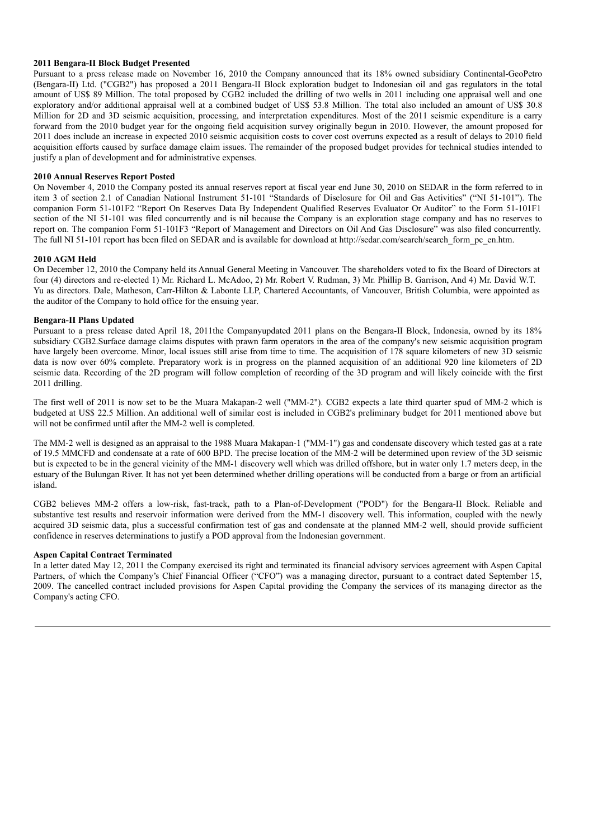### **2011 Bengara-II Block Budget Presented**

Pursuant to a press release made on November 16, 2010 the Company announced that its 18% owned subsidiary Continental-GeoPetro (Bengara-II) Ltd. ("CGB2") has proposed a 2011 Bengara-II Block exploration budget to Indonesian oil and gas regulators in the total amount of US\$ 89 Million. The total proposed by CGB2 included the drilling of two wells in 2011 including one appraisal well and one exploratory and/or additional appraisal well at a combined budget of US\$ 53.8 Million. The total also included an amount of US\$ 30.8 Million for 2D and 3D seismic acquisition, processing, and interpretation expenditures. Most of the 2011 seismic expenditure is a carry forward from the 2010 budget year for the ongoing field acquisition survey originally begun in 2010. However, the amount proposed for 2011 does include an increase in expected 2010 seismic acquisition costs to cover cost overruns expected as a result of delays to 2010 field acquisition efforts caused by surface damage claim issues. The remainder of the proposed budget provides for technical studies intended to justify a plan of development and for administrative expenses.

### **2010 Annual Reserves Report Posted**

On November 4, 2010 the Company posted its annual reserves report at fiscal year end June 30, 2010 on SEDAR in the form referred to in item 3 of section 2.1 of Canadian National Instrument 51-101 "Standards of Disclosure for Oil and Gas Activities" ("NI 51-101"). The companion Form 51-101F2 "Report On Reserves Data By Independent Qualified Reserves Evaluator Or Auditor" to the Form 51-101F1 section of the NI 51-101 was filed concurrently and is nil because the Company is an exploration stage company and has no reserves to report on. The companion Form 51-101F3 "Report of Management and Directors on Oil And Gas Disclosure" was also filed concurrently. The full NI 51-101 report has been filed on SEDAR and is available for download at http://sedar.com/search/search form\_pc\_en.htm.

#### **2010 AGM Held**

On December 12, 2010 the Company held its Annual General Meeting in Vancouver. The shareholders voted to fix the Board of Directors at four (4) directors and re-elected 1) Mr. Richard L. McAdoo, 2) Mr. Robert V. Rudman, 3) Mr. Phillip B. Garrison, And 4) Mr. David W.T. Yu as directors. Dale, Matheson, Carr-Hilton & Labonte LLP, Chartered Accountants, of Vancouver, British Columbia, were appointed as the auditor of the Company to hold office for the ensuing year.

#### **Bengara-II Plans Updated**

Pursuant to a press release dated April 18, 2011the Companyupdated 2011 plans on the Bengara-II Block, Indonesia, owned by its 18% subsidiary CGB2.Surface damage claims disputes with prawn farm operators in the area of the company's new seismic acquisition program have largely been overcome. Minor, local issues still arise from time to time. The acquisition of 178 square kilometers of new 3D seismic data is now over 60% complete. Preparatory work is in progress on the planned acquisition of an additional 920 line kilometers of 2D seismic data. Recording of the 2D program will follow completion of recording of the 3D program and will likely coincide with the first 2011 drilling.

The first well of 2011 is now set to be the Muara Makapan-2 well ("MM-2"). CGB2 expects a late third quarter spud of MM-2 which is budgeted at US\$ 22.5 Million. An additional well of similar cost is included in CGB2's preliminary budget for 2011 mentioned above but will not be confirmed until after the MM-2 well is completed.

The MM-2 well is designed as an appraisal to the 1988 Muara Makapan-1 ("MM-1") gas and condensate discovery which tested gas at a rate of 19.5 MMCFD and condensate at a rate of 600 BPD. The precise location of the MM-2 will be determined upon review of the 3D seismic but is expected to be in the general vicinity of the MM-1 discovery well which was drilled offshore, but in water only 1.7 meters deep, in the estuary of the Bulungan River. It has not yet been determined whether drilling operations will be conducted from a barge or from an artificial island.

CGB2 believes MM-2 offers a low-risk, fast-track, path to a Plan-of-Development ("POD") for the Bengara-II Block. Reliable and substantive test results and reservoir information were derived from the MM-1 discovery well. This information, coupled with the newly acquired 3D seismic data, plus a successful confirmation test of gas and condensate at the planned MM-2 well, should provide sufficient confidence in reserves determinations to justify a POD approval from the Indonesian government.

### **Aspen Capital Contract Terminated**

In a letter dated May 12, 2011 the Company exercised its right and terminated its financial advisory services agreement with Aspen Capital Partners, of which the Company's Chief Financial Officer ("CFO") was a managing director, pursuant to a contract dated September 15, 2009. The cancelled contract included provisions for Aspen Capital providing the Company the services of its managing director as the Company's acting CFO.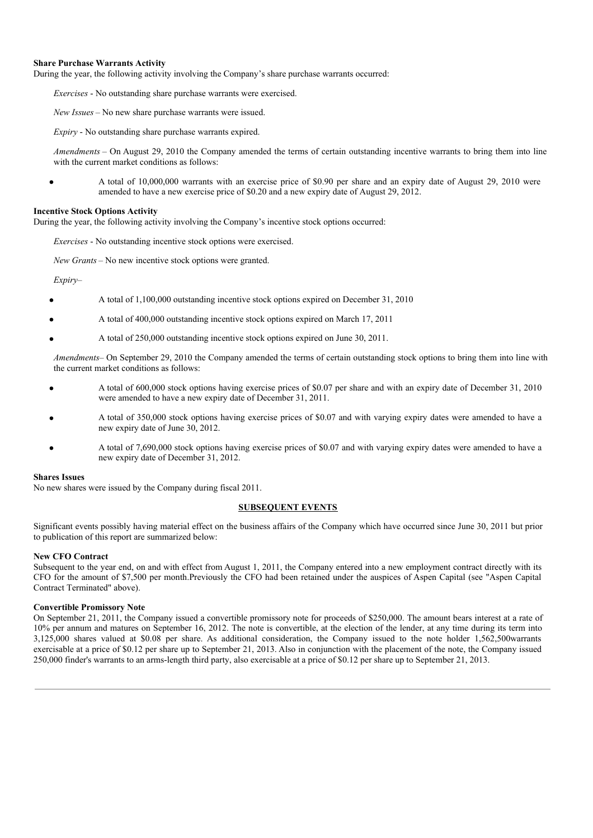### **Share Purchase Warrants Activity**

During the year, the following activity involving the Company's share purchase warrants occurred:

*Exercises* - No outstanding share purchase warrants were exercised.

*New Issues* – No new share purchase warrants were issued.

*Expiry* - No outstanding share purchase warrants expired.

*Amendments* – On August 29, 2010 the Company amended the terms of certain outstanding incentive warrants to bring them into line with the current market conditions as follows:

A total of 10,000,000 warrants with an exercise price of \$0.90 per share and an expiry date of August 29, 2010 were amended to have a new exercise price of \$0.20 and a new expiry date of August 29, 2012.

### **Incentive Stock Options Activity**

During the year, the following activity involving the Company's incentive stock options occurred:

*Exercises* - No outstanding incentive stock options were exercised.

*New Grants* – No new incentive stock options were granted.

*Expiry*–

- A total of 1,100,000 outstanding incentive stock options expired on December 31, 2010
- A total of 400,000 outstanding incentive stock options expired on March 17, 2011
- A total of 250,000 outstanding incentive stock options expired on June 30, 2011.

*Amendments*– On September 29, 2010 the Company amended the terms of certain outstanding stock options to bring them into line with the current market conditions as follows:

- A total of 600,000 stock options having exercise prices of \$0.07 per share and with an expiry date of December 31, 2010 were amended to have a new expiry date of December 31, 2011.
- A total of 350,000 stock options having exercise prices of \$0.07 and with varying expiry dates were amended to have a new expiry date of June 30, 2012.
- A total of 7,690,000 stock options having exercise prices of \$0.07 and with varying expiry dates were amended to have a new expiry date of December 31, 2012.

#### **Shares Issues**

No new shares were issued by the Company during fiscal 2011.

### **SUBSEQUENT EVENTS**

Significant events possibly having material effect on the business affairs of the Company which have occurred since June 30, 2011 but prior to publication of this report are summarized below:

### **New CFO Contract**

Subsequent to the year end, on and with effect from August 1, 2011, the Company entered into a new employment contract directly with its CFO for the amount of \$7,500 per month.Previously the CFO had been retained under the auspices of Aspen Capital (see "Aspen Capital Contract Terminated" above).

### **Convertible Promissory Note**

On September 21, 2011, the Company issued a convertible promissory note for proceeds of \$250,000. The amount bears interest at a rate of 10% per annum and matures on September 16, 2012. The note is convertible, at the election of the lender, at any time during its term into 3,125,000 shares valued at \$0.08 per share. As additional consideration, the Company issued to the note holder 1,562,500warrants exercisable at a price of \$0.12 per share up to September 21, 2013. Also in conjunction with the placement of the note, the Company issued 250,000 finder's warrants to an arms-length third party, also exercisable at a price of \$0.12 per share up to September 21, 2013.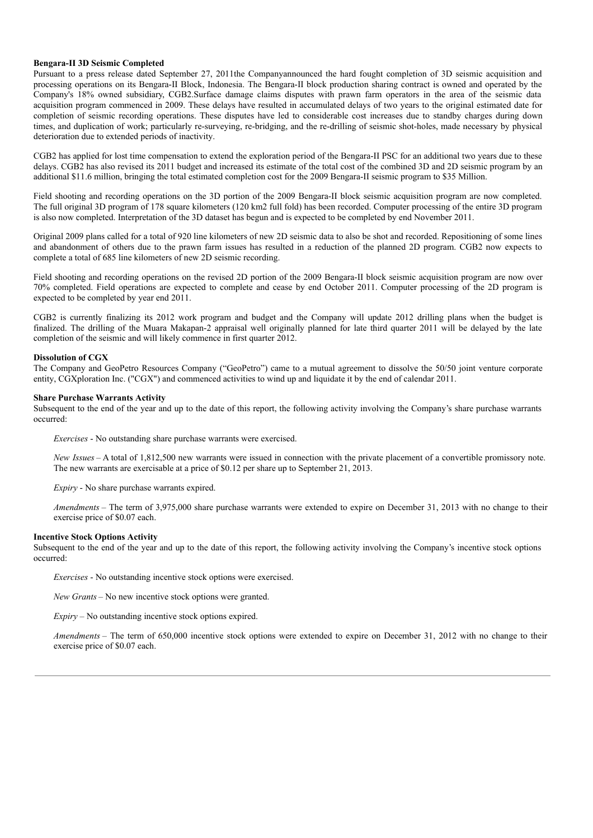#### **Bengara-II 3D Seismic Completed**

Pursuant to a press release dated September 27, 2011the Companyannounced the hard fought completion of 3D seismic acquisition and processing operations on its Bengara-II Block, Indonesia. The Bengara-II block production sharing contract is owned and operated by the Company's 18% owned subsidiary, CGB2.Surface damage claims disputes with prawn farm operators in the area of the seismic data acquisition program commenced in 2009. These delays have resulted in accumulated delays of two years to the original estimated date for completion of seismic recording operations. These disputes have led to considerable cost increases due to standby charges during down times, and duplication of work; particularly re-surveying, re-bridging, and the re-drilling of seismic shot-holes, made necessary by physical deterioration due to extended periods of inactivity.

CGB2 has applied for lost time compensation to extend the exploration period of the Bengara-II PSC for an additional two years due to these delays. CGB2 has also revised its 2011 budget and increased its estimate of the total cost of the combined 3D and 2D seismic program by an additional \$11.6 million, bringing the total estimated completion cost for the 2009 Bengara-II seismic program to \$35 Million.

Field shooting and recording operations on the 3D portion of the 2009 Bengara-II block seismic acquisition program are now completed. The full original 3D program of 178 square kilometers (120 km2 full fold) has been recorded. Computer processing of the entire 3D program is also now completed. Interpretation of the 3D dataset has begun and is expected to be completed by end November 2011.

Original 2009 plans called for a total of 920 line kilometers of new 2D seismic data to also be shot and recorded. Repositioning of some lines and abandonment of others due to the prawn farm issues has resulted in a reduction of the planned 2D program. CGB2 now expects to complete a total of 685 line kilometers of new 2D seismic recording.

Field shooting and recording operations on the revised 2D portion of the 2009 Bengara-II block seismic acquisition program are now over 70% completed. Field operations are expected to complete and cease by end October 2011. Computer processing of the 2D program is expected to be completed by year end 2011.

CGB2 is currently finalizing its 2012 work program and budget and the Company will update 2012 drilling plans when the budget is finalized. The drilling of the Muara Makapan-2 appraisal well originally planned for late third quarter 2011 will be delayed by the late completion of the seismic and will likely commence in first quarter 2012.

#### **Dissolution of CGX**

The Company and GeoPetro Resources Company ("GeoPetro") came to a mutual agreement to dissolve the 50/50 joint venture corporate entity, CGXploration Inc. ("CGX") and commenced activities to wind up and liquidate it by the end of calendar 2011.

#### **Share Purchase Warrants Activity**

Subsequent to the end of the year and up to the date of this report, the following activity involving the Company's share purchase warrants occurred:

*Exercises* - No outstanding share purchase warrants were exercised.

*New Issues* – A total of 1,812,500 new warrants were issued in connection with the private placement of a convertible promissory note. The new warrants are exercisable at a price of \$0.12 per share up to September 21, 2013.

*Expiry* - No share purchase warrants expired.

*Amendments* – The term of 3,975,000 share purchase warrants were extended to expire on December 31, 2013 with no change to their exercise price of \$0.07 each.

# **Incentive Stock Options Activity**

Subsequent to the end of the year and up to the date of this report, the following activity involving the Company's incentive stock options occurred:

*Exercises* - No outstanding incentive stock options were exercised.

*New Grants* – No new incentive stock options were granted.

*Expiry* – No outstanding incentive stock options expired.

*Amendments* – The term of 650,000 incentive stock options were extended to expire on December 31, 2012 with no change to their exercise price of \$0.07 each.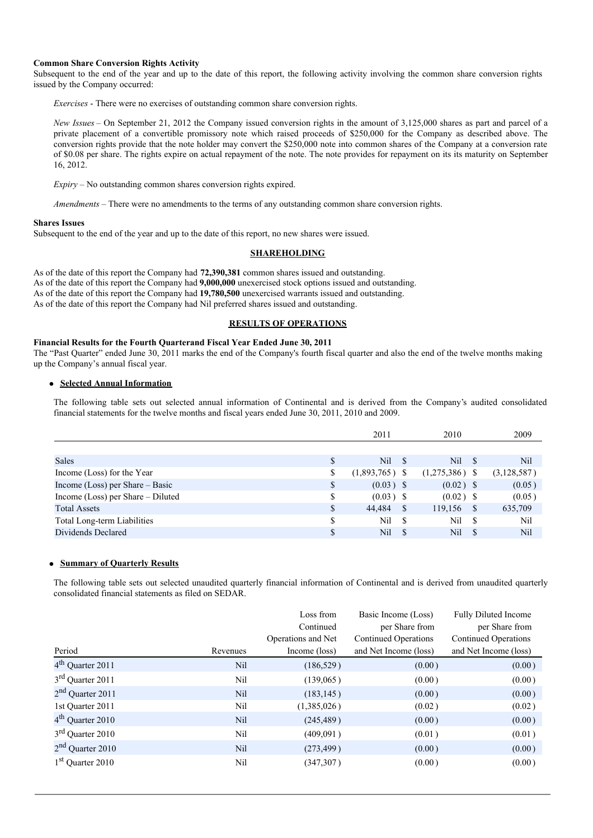### **Common Share Conversion Rights Activity**

Subsequent to the end of the year and up to the date of this report, the following activity involving the common share conversion rights issued by the Company occurred:

*Exercises* - There were no exercises of outstanding common share conversion rights.

*New Issues* – On September 21, 2012 the Company issued conversion rights in the amount of 3,125,000 shares as part and parcel of a private placement of a convertible promissory note which raised proceeds of \$250,000 for the Company as described above. The conversion rights provide that the note holder may convert the \$250,000 note into common shares of the Company at a conversion rate of \$0.08 per share. The rights expire on actual repayment of the note. The note provides for repayment on its its maturity on September 16, 2012.

*Expiry* – No outstanding common shares conversion rights expired.

*Amendments* – There were no amendments to the terms of any outstanding common share conversion rights.

#### **Shares Issues**

Subsequent to the end of the year and up to the date of this report, no new shares were issued.

### **SHAREHOLDING**

As of the date of this report the Company had **72,390,381** common shares issued and outstanding. As of the date of this report the Company had **9,000,000** unexercised stock options issued and outstanding. As of the date of this report the Company had **19,780,500** unexercised warrants issued and outstanding. As of the date of this report the Company had Nil preferred shares issued and outstanding.

#### **RESULTS OF OPERATIONS**

### **Financial Results for the Fourth Quarterand Fiscal Year Ended June 30, 2011**

The "Past Quarter" ended June 30, 2011 marks the end of the Company's fourth fiscal quarter and also the end of the twelve months making up the Company's annual fiscal year.

# **Selected Annual Information**

The following table sets out selected annual information of Continental and is derived from the Company's audited consolidated financial statements for the twelve months and fiscal years ended June 30, 2011, 2010 and 2009.

|                                   |    | 2011                   | 2010             | 2009        |
|-----------------------------------|----|------------------------|------------------|-------------|
|                                   |    |                        |                  |             |
| <b>Sales</b>                      | S  | Nil<br>- S             | Nil -            | Nil         |
| Income (Loss) for the Year        | S  | $(1,893,765)$ \$       | $(1,275,386)$ \$ | (3,128,587) |
| Income (Loss) per Share $-$ Basic | \$ | $(0.03)$ \$            | $(0.02)$ \$      | (0.05)      |
| Income (Loss) per Share – Diluted | S  | $(0.03)$ \$            | $(0.02)$ \$      | (0.05)      |
| <b>Total Assets</b>               | \$ | 44.484<br><sup>S</sup> | 119,156<br>-S    | 635,709     |
| Total Long-term Liabilities       | S  | Nil<br>- \$            | Nil<br>-8        | Nil         |
| Dividends Declared                | \$ | Nil<br>- \$            | Nil              | Nil         |

### **Summary of Quarterly Results**

The following table sets out selected unaudited quarterly financial information of Continental and is derived from unaudited quarterly consolidated financial statements as filed on SEDAR.

|                              |            | Loss from          | Basic Income (Loss)         | <b>Fully Diluted Income</b> |
|------------------------------|------------|--------------------|-----------------------------|-----------------------------|
|                              |            | Continued          | per Share from              | per Share from              |
|                              |            | Operations and Net | <b>Continued Operations</b> | Continued Operations        |
| Period                       | Revenues   | Income (loss)      | and Net Income (loss)       | and Net Income (loss)       |
| 4 <sup>th</sup> Quarter 2011 | <b>Nil</b> | (186, 529)         | (0.00)                      | (0.00)                      |
| 3 <sup>rd</sup> Quarter 2011 | Nil        | (139,065)          | (0.00)                      | (0.00)                      |
| 2 <sup>nd</sup> Quarter 2011 | <b>Nil</b> | (183, 145)         | (0.00)                      | (0.00)                      |
| 1st Quarter 2011             | Nil        | (1,385,026)        | (0.02)                      | (0.02)                      |
| 4 <sup>th</sup> Quarter 2010 | <b>Nil</b> | (245, 489)         | (0.00)                      | (0.00)                      |
| 3 <sup>rd</sup> Quarter 2010 | Nil        | (409,091)          | (0.01)                      | (0.01)                      |
| 2 <sup>nd</sup> Quarter 2010 | <b>Nil</b> | (273, 499)         | (0.00)                      | (0.00)                      |
| 1 <sup>st</sup> Quarter 2010 | Nil        | (347,307)          | (0.00)                      | (0.00)                      |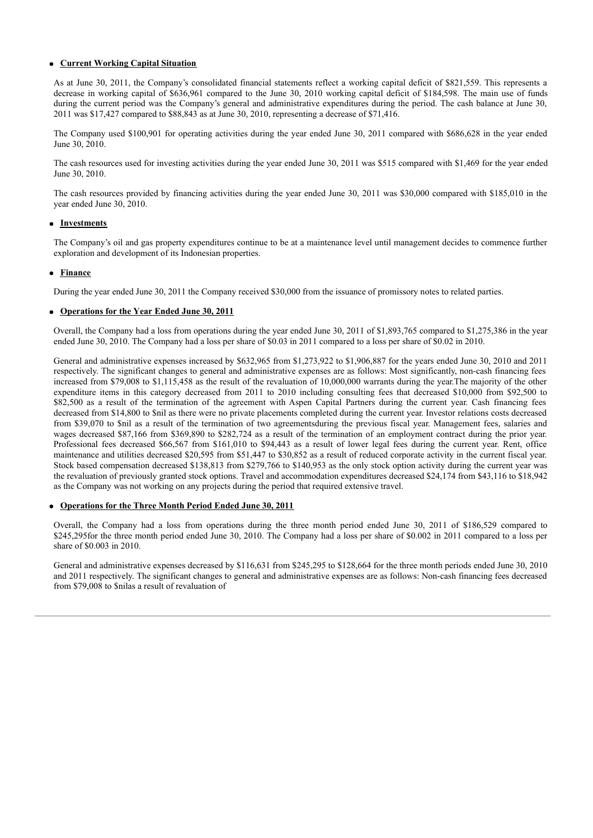### **Current Working Capital Situation**

As at June 30, 2011, the Company's consolidated financial statements reflect a working capital deficit of \$821,559. This represents a decrease in working capital of \$636,961 compared to the June 30, 2010 working capital deficit of \$184,598. The main use of funds during the current period was the Company's general and administrative expenditures during the period. The cash balance at June 30, 2011 was \$17,427 compared to \$88,843 as at June 30, 2010, representing a decrease of \$71,416.

The Company used \$100,901 for operating activities during the year ended June 30, 2011 compared with \$686,628 in the year ended June 30, 2010.

The cash resources used for investing activities during the year ended June 30, 2011 was \$515 compared with \$1,469 for the year ended June 30, 2010.

The cash resources provided by financing activities during the year ended June 30, 2011 was \$30,000 compared with \$185,010 in the year ended June 30, 2010.

### **Investments**

The Company's oil and gas property expenditures continue to be at a maintenance level until management decides to commence further exploration and development of its Indonesian properties.

### **Finance**

During the year ended June 30, 2011 the Company received \$30,000 from the issuance of promissory notes to related parties.

#### **Operations for the Year Ended June 30, 2011**

Overall, the Company had a loss from operations during the year ended June 30, 2011 of \$1,893,765 compared to \$1,275,386 in the year ended June 30, 2010. The Company had a loss per share of \$0.03 in 2011 compared to a loss per share of \$0.02 in 2010.

General and administrative expenses increased by \$632,965 from \$1,273,922 to \$1,906,887 for the years ended June 30, 2010 and 2011 respectively. The significant changes to general and administrative expenses are as follows: Most significantly, non-cash financing fees increased from \$79,008 to \$1,115,458 as the result of the revaluation of 10,000,000 warrants during the year.The majority of the other expenditure items in this category decreased from 2011 to 2010 including consulting fees that decreased \$10,000 from \$92,500 to \$82,500 as a result of the termination of the agreement with Aspen Capital Partners during the current year. Cash financing fees decreased from \$14,800 to \$nil as there were no private placements completed during the current year. Investor relations costs decreased from \$39,070 to \$nil as a result of the termination of two agreementsduring the previous fiscal year. Management fees, salaries and wages decreased \$87,166 from \$369,890 to \$282,724 as a result of the termination of an employment contract during the prior year. Professional fees decreased \$66,567 from \$161,010 to \$94,443 as a result of lower legal fees during the current year. Rent, office maintenance and utilities decreased \$20,595 from \$51,447 to \$30,852 as a result of reduced corporate activity in the current fiscal year. Stock based compensation decreased \$138,813 from \$279,766 to \$140,953 as the only stock option activity during the current year was the revaluation of previously granted stock options. Travel and accommodation expenditures decreased \$24,174 from \$43,116 to \$18,942 as the Company was not working on any projects during the period that required extensive travel.

### **Operations for the Three Month Period Ended June 30, 2011**

Overall, the Company had a loss from operations during the three month period ended June 30, 2011 of \$186,529 compared to \$245,295for the three month period ended June 30, 2010. The Company had a loss per share of \$0.002 in 2011 compared to a loss per share of \$0.003 in 2010.

General and administrative expenses decreased by \$116,631 from \$245,295 to \$128,664 for the three month periods ended June 30, 2010 and 2011 respectively. The significant changes to general and administrative expenses are as follows: Non-cash financing fees decreased from \$79,008 to \$nilas a result of revaluation of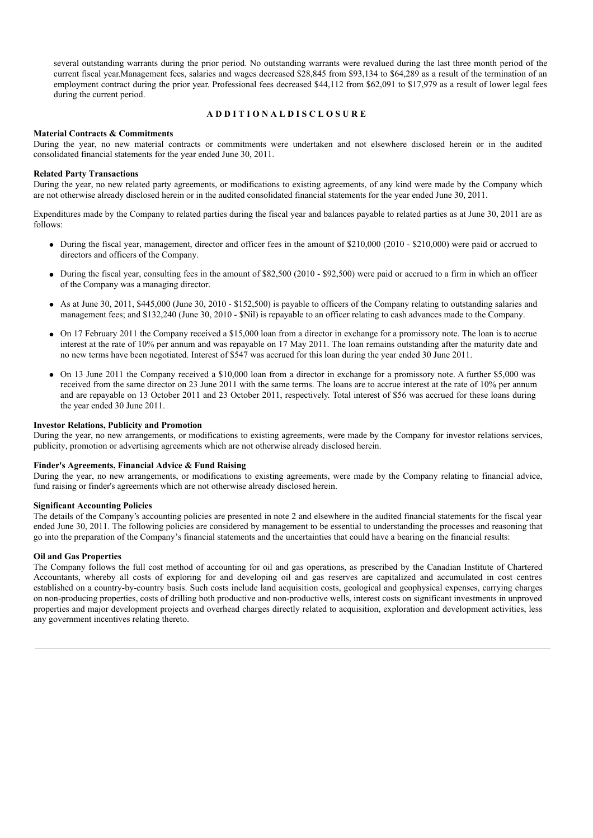several outstanding warrants during the prior period. No outstanding warrants were revalued during the last three month period of the current fiscal year.Management fees, salaries and wages decreased \$28,845 from \$93,134 to \$64,289 as a result of the termination of an employment contract during the prior year. Professional fees decreased \$44,112 from \$62,091 to \$17,979 as a result of lower legal fees during the current period.

### **A D D I T I O N A L D I S C L O S U R E**

#### **Material Contracts & Commitments**

During the year, no new material contracts or commitments were undertaken and not elsewhere disclosed herein or in the audited consolidated financial statements for the year ended June 30, 2011.

#### **Related Party Transactions**

During the year, no new related party agreements, or modifications to existing agreements, of any kind were made by the Company which are not otherwise already disclosed herein or in the audited consolidated financial statements for the year ended June 30, 2011.

Expenditures made by the Company to related parties during the fiscal year and balances payable to related parties as at June 30, 2011 are as follows:

- During the fiscal year, management, director and officer fees in the amount of \$210,000 (2010 \$210,000) were paid or accrued to directors and officers of the Company.
- $\bullet$  During the fiscal year, consulting fees in the amount of \$82,500 (2010 \$92,500) were paid or accrued to a firm in which an officer of the Company was a managing director.
- As at June 30, 2011, \$445,000 (June 30, 2010 \$152,500) is payable to officers of the Company relating to outstanding salaries and management fees; and \$132,240 (June 30, 2010 - \$Nil) is repayable to an officer relating to cash advances made to the Company.
- On 17 February 2011 the Company received a \$15,000 loan from a director in exchange for a promissory note. The loan is to accrue interest at the rate of 10% per annum and was repayable on 17 May 2011. The loan remains outstanding after the maturity date and no new terms have been negotiated. Interest of \$547 was accrued for this loan during the year ended 30 June 2011.
- On 13 June 2011 the Company received a \$10,000 loan from a director in exchange for a promissory note. A further \$5,000 was received from the same director on 23 June 2011 with the same terms. The loans are to accrue interest at the rate of 10% per annum and are repayable on 13 October 2011 and 23 October 2011, respectively. Total interest of \$56 was accrued for these loans during the year ended 30 June 2011.

#### **Investor Relations, Publicity and Promotion**

During the year, no new arrangements, or modifications to existing agreements, were made by the Company for investor relations services, publicity, promotion or advertising agreements which are not otherwise already disclosed herein.

#### **Finder's Agreements, Financial Advice & Fund Raising**

During the year, no new arrangements, or modifications to existing agreements, were made by the Company relating to financial advice, fund raising or finder's agreements which are not otherwise already disclosed herein.

### **Significant Accounting Policies**

The details of the Company's accounting policies are presented in note 2 and elsewhere in the audited financial statements for the fiscal year ended June 30, 2011. The following policies are considered by management to be essential to understanding the processes and reasoning that go into the preparation of the Company's financial statements and the uncertainties that could have a bearing on the financial results:

#### **Oil and Gas Properties**

The Company follows the full cost method of accounting for oil and gas operations, as prescribed by the Canadian Institute of Chartered Accountants, whereby all costs of exploring for and developing oil and gas reserves are capitalized and accumulated in cost centres established on a country-by-country basis. Such costs include land acquisition costs, geological and geophysical expenses, carrying charges on non-producing properties, costs of drilling both productive and non-productive wells, interest costs on significant investments in unproved properties and major development projects and overhead charges directly related to acquisition, exploration and development activities, less any government incentives relating thereto.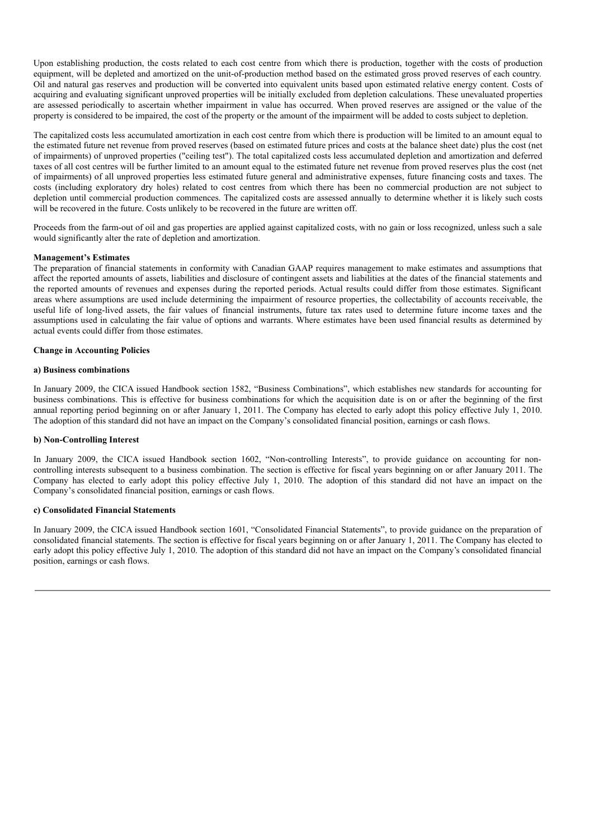Upon establishing production, the costs related to each cost centre from which there is production, together with the costs of production equipment, will be depleted and amortized on the unit-of-production method based on the estimated gross proved reserves of each country. Oil and natural gas reserves and production will be converted into equivalent units based upon estimated relative energy content. Costs of acquiring and evaluating significant unproved properties will be initially excluded from depletion calculations. These unevaluated properties are assessed periodically to ascertain whether impairment in value has occurred. When proved reserves are assigned or the value of the property is considered to be impaired, the cost of the property or the amount of the impairment will be added to costs subject to depletion.

The capitalized costs less accumulated amortization in each cost centre from which there is production will be limited to an amount equal to the estimated future net revenue from proved reserves (based on estimated future prices and costs at the balance sheet date) plus the cost (net of impairments) of unproved properties ("ceiling test"). The total capitalized costs less accumulated depletion and amortization and deferred taxes of all cost centres will be further limited to an amount equal to the estimated future net revenue from proved reserves plus the cost (net of impairments) of all unproved properties less estimated future general and administrative expenses, future financing costs and taxes. The costs (including exploratory dry holes) related to cost centres from which there has been no commercial production are not subject to depletion until commercial production commences. The capitalized costs are assessed annually to determine whether it is likely such costs will be recovered in the future. Costs unlikely to be recovered in the future are written off.

Proceeds from the farm-out of oil and gas properties are applied against capitalized costs, with no gain or loss recognized, unless such a sale would significantly alter the rate of depletion and amortization.

### **Management's Estimates**

The preparation of financial statements in conformity with Canadian GAAP requires management to make estimates and assumptions that affect the reported amounts of assets, liabilities and disclosure of contingent assets and liabilities at the dates of the financial statements and the reported amounts of revenues and expenses during the reported periods. Actual results could differ from those estimates. Significant areas where assumptions are used include determining the impairment of resource properties, the collectability of accounts receivable, the useful life of long-lived assets, the fair values of financial instruments, future tax rates used to determine future income taxes and the assumptions used in calculating the fair value of options and warrants. Where estimates have been used financial results as determined by actual events could differ from those estimates.

#### **Change in Accounting Policies**

#### **a) Business combinations**

In January 2009, the CICA issued Handbook section 1582, "Business Combinations", which establishes new standards for accounting for business combinations. This is effective for business combinations for which the acquisition date is on or after the beginning of the first annual reporting period beginning on or after January 1, 2011. The Company has elected to early adopt this policy effective July 1, 2010. The adoption of this standard did not have an impact on the Company's consolidated financial position, earnings or cash flows.

### **b) Non-Controlling Interest**

In January 2009, the CICA issued Handbook section 1602, "Non-controlling Interests", to provide guidance on accounting for noncontrolling interests subsequent to a business combination. The section is effective for fiscal years beginning on or after January 2011. The Company has elected to early adopt this policy effective July 1, 2010. The adoption of this standard did not have an impact on the Company's consolidated financial position, earnings or cash flows.

#### **c) Consolidated Financial Statements**

In January 2009, the CICA issued Handbook section 1601, "Consolidated Financial Statements", to provide guidance on the preparation of consolidated financial statements. The section is effective for fiscal years beginning on or after January 1, 2011. The Company has elected to early adopt this policy effective July 1, 2010. The adoption of this standard did not have an impact on the Company's consolidated financial position, earnings or cash flows.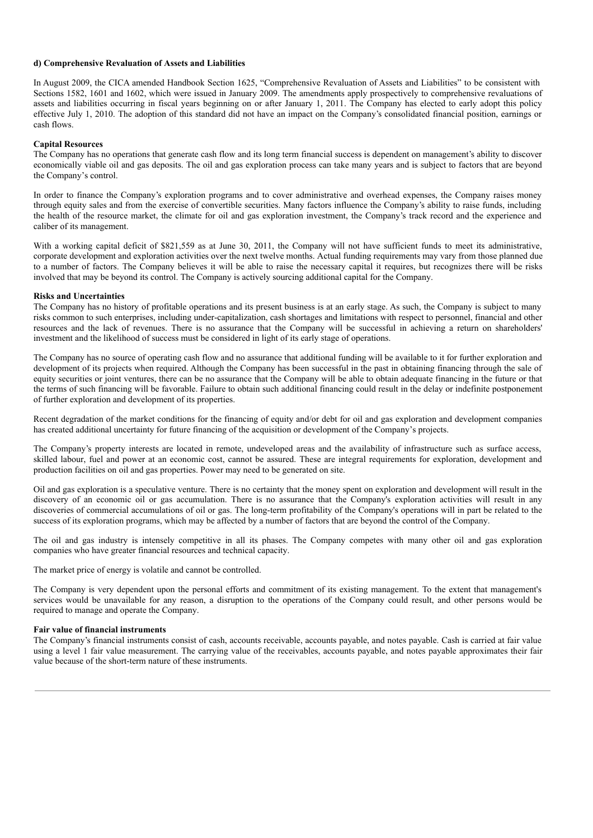#### **d) Comprehensive Revaluation of Assets and Liabilities**

In August 2009, the CICA amended Handbook Section 1625, "Comprehensive Revaluation of Assets and Liabilities" to be consistent with Sections 1582, 1601 and 1602, which were issued in January 2009. The amendments apply prospectively to comprehensive revaluations of assets and liabilities occurring in fiscal years beginning on or after January 1, 2011. The Company has elected to early adopt this policy effective July 1, 2010. The adoption of this standard did not have an impact on the Company's consolidated financial position, earnings or cash flows.

#### **Capital Resources**

The Company has no operations that generate cash flow and its long term financial success is dependent on management's ability to discover economically viable oil and gas deposits. The oil and gas exploration process can take many years and is subject to factors that are beyond the Company's control.

In order to finance the Company's exploration programs and to cover administrative and overhead expenses, the Company raises money through equity sales and from the exercise of convertible securities. Many factors influence the Company's ability to raise funds, including the health of the resource market, the climate for oil and gas exploration investment, the Company's track record and the experience and caliber of its management.

With a working capital deficit of \$821,559 as at June 30, 2011, the Company will not have sufficient funds to meet its administrative, corporate development and exploration activities over the next twelve months. Actual funding requirements may vary from those planned due to a number of factors. The Company believes it will be able to raise the necessary capital it requires, but recognizes there will be risks involved that may be beyond its control. The Company is actively sourcing additional capital for the Company.

#### **Risks and Uncertainties**

The Company has no history of profitable operations and its present business is at an early stage. As such, the Company is subject to many risks common to such enterprises, including under-capitalization, cash shortages and limitations with respect to personnel, financial and other resources and the lack of revenues. There is no assurance that the Company will be successful in achieving a return on shareholders' investment and the likelihood of success must be considered in light of its early stage of operations.

The Company has no source of operating cash flow and no assurance that additional funding will be available to it for further exploration and development of its projects when required. Although the Company has been successful in the past in obtaining financing through the sale of equity securities or joint ventures, there can be no assurance that the Company will be able to obtain adequate financing in the future or that the terms of such financing will be favorable. Failure to obtain such additional financing could result in the delay or indefinite postponement of further exploration and development of its properties.

Recent degradation of the market conditions for the financing of equity and/or debt for oil and gas exploration and development companies has created additional uncertainty for future financing of the acquisition or development of the Company's projects.

The Company's property interests are located in remote, undeveloped areas and the availability of infrastructure such as surface access, skilled labour, fuel and power at an economic cost, cannot be assured. These are integral requirements for exploration, development and production facilities on oil and gas properties. Power may need to be generated on site.

Oil and gas exploration is a speculative venture. There is no certainty that the money spent on exploration and development will result in the discovery of an economic oil or gas accumulation. There is no assurance that the Company's exploration activities will result in any discoveries of commercial accumulations of oil or gas. The long-term profitability of the Company's operations will in part be related to the success of its exploration programs, which may be affected by a number of factors that are beyond the control of the Company.

The oil and gas industry is intensely competitive in all its phases. The Company competes with many other oil and gas exploration companies who have greater financial resources and technical capacity.

The market price of energy is volatile and cannot be controlled.

The Company is very dependent upon the personal efforts and commitment of its existing management. To the extent that management's services would be unavailable for any reason, a disruption to the operations of the Company could result, and other persons would be required to manage and operate the Company.

### **Fair value of financial instruments**

The Company's financial instruments consist of cash, accounts receivable, accounts payable, and notes payable. Cash is carried at fair value using a level 1 fair value measurement. The carrying value of the receivables, accounts payable, and notes payable approximates their fair value because of the short-term nature of these instruments.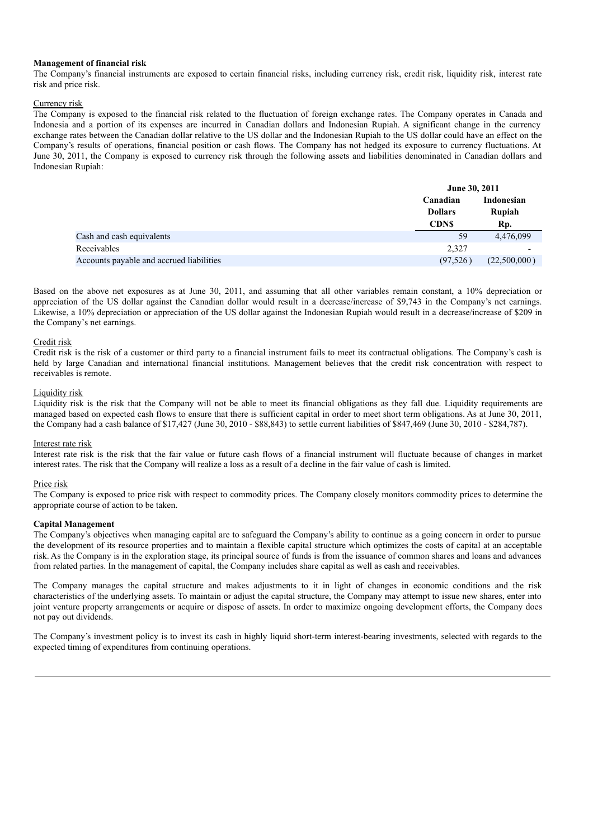#### **Management of financial risk**

The Company's financial instruments are exposed to certain financial risks, including currency risk, credit risk, liquidity risk, interest rate risk and price risk.

### Currency risk

The Company is exposed to the financial risk related to the fluctuation of foreign exchange rates. The Company operates in Canada and Indonesia and a portion of its expenses are incurred in Canadian dollars and Indonesian Rupiah. A significant change in the currency exchange rates between the Canadian dollar relative to the US dollar and the Indonesian Rupiah to the US dollar could have an effect on the Company's results of operations, financial position or cash flows. The Company has not hedged its exposure to currency fluctuations. At June 30, 2011, the Company is exposed to currency risk through the following assets and liabilities denominated in Canadian dollars and Indonesian Rupiah:

|                                          |                            | June 30, 2011        |  |  |
|------------------------------------------|----------------------------|----------------------|--|--|
|                                          | Canadian<br><b>Dollars</b> | Indonesian<br>Rupiah |  |  |
|                                          | <b>CDNS</b>                | Rp.                  |  |  |
| Cash and cash equivalents                | 59                         | 4,476,099            |  |  |
| Receivables                              | 2.327                      |                      |  |  |
| Accounts payable and accrued liabilities | (97, 526)                  | (22,500,000)         |  |  |

Based on the above net exposures as at June 30, 2011, and assuming that all other variables remain constant, a 10% depreciation or appreciation of the US dollar against the Canadian dollar would result in a decrease/increase of \$9,743 in the Company's net earnings. Likewise, a 10% depreciation or appreciation of the US dollar against the Indonesian Rupiah would result in a decrease/increase of \$209 in the Company's net earnings.

### Credit risk

Credit risk is the risk of a customer or third party to a financial instrument fails to meet its contractual obligations. The Company's cash is held by large Canadian and international financial institutions. Management believes that the credit risk concentration with respect to receivables is remote.

#### Liquidity risk

Liquidity risk is the risk that the Company will not be able to meet its financial obligations as they fall due. Liquidity requirements are managed based on expected cash flows to ensure that there is sufficient capital in order to meet short term obligations. As at June 30, 2011, the Company had a cash balance of \$17,427 (June 30, 2010 - \$88,843) to settle current liabilities of \$847,469 (June 30, 2010 - \$284,787).

### Interest rate risk

Interest rate risk is the risk that the fair value or future cash flows of a financial instrument will fluctuate because of changes in market interest rates. The risk that the Company will realize a loss as a result of a decline in the fair value of cash is limited.

### Price risk

The Company is exposed to price risk with respect to commodity prices. The Company closely monitors commodity prices to determine the appropriate course of action to be taken.

### **Capital Management**

The Company's objectives when managing capital are to safeguard the Company's ability to continue as a going concern in order to pursue the development of its resource properties and to maintain a flexible capital structure which optimizes the costs of capital at an acceptable risk. As the Company is in the exploration stage, its principal source of funds is from the issuance of common shares and loans and advances from related parties. In the management of capital, the Company includes share capital as well as cash and receivables.

The Company manages the capital structure and makes adjustments to it in light of changes in economic conditions and the risk characteristics of the underlying assets. To maintain or adjust the capital structure, the Company may attempt to issue new shares, enter into joint venture property arrangements or acquire or dispose of assets. In order to maximize ongoing development efforts, the Company does not pay out dividends.

The Company's investment policy is to invest its cash in highly liquid short-term interest-bearing investments, selected with regards to the expected timing of expenditures from continuing operations.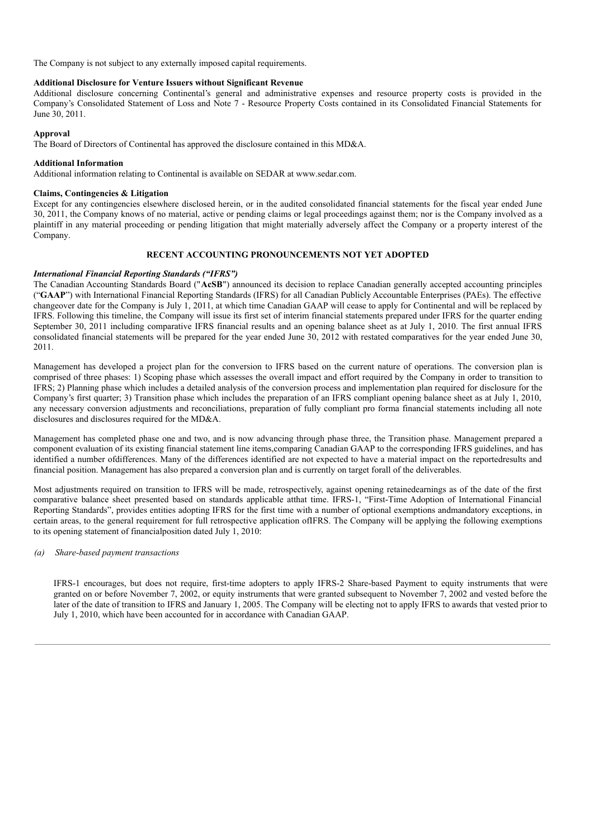The Company is not subject to any externally imposed capital requirements.

## **Additional Disclosure for Venture Issuers without Significant Revenue**

Additional disclosure concerning Continental's general and administrative expenses and resource property costs is provided in the Company's Consolidated Statement of Loss and Note 7 - Resource Property Costs contained in its Consolidated Financial Statements for June 30, 2011.

### **Approval**

The Board of Directors of Continental has approved the disclosure contained in this MD&A.

### **Additional Information**

Additional information relating to Continental is available on SEDAR at www.sedar.com.

### **Claims, Contingencies & Litigation**

Except for any contingencies elsewhere disclosed herein, or in the audited consolidated financial statements for the fiscal year ended June 30, 2011, the Company knows of no material, active or pending claims or legal proceedings against them; nor is the Company involved as a plaintiff in any material proceeding or pending litigation that might materially adversely affect the Company or a property interest of the Company.

### **RECENT ACCOUNTING PRONOUNCEMENTS NOT YET ADOPTED**

### *International Financial Reporting Standards ("IFRS")*

The Canadian Accounting Standards Board ("**AcSB**") announced its decision to replace Canadian generally accepted accounting principles ("**GAAP**") with International Financial Reporting Standards (IFRS) for all Canadian Publicly Accountable Enterprises (PAEs). The effective changeover date for the Company is July 1, 2011, at which time Canadian GAAP will cease to apply for Continental and will be replaced by IFRS. Following this timeline, the Company will issue its first set of interim financial statements prepared under IFRS for the quarter ending September 30, 2011 including comparative IFRS financial results and an opening balance sheet as at July 1, 2010. The first annual IFRS consolidated financial statements will be prepared for the year ended June 30, 2012 with restated comparatives for the year ended June 30, 2011.

Management has developed a project plan for the conversion to IFRS based on the current nature of operations. The conversion plan is comprised of three phases: 1) Scoping phase which assesses the overall impact and effort required by the Company in order to transition to IFRS; 2) Planning phase which includes a detailed analysis of the conversion process and implementation plan required for disclosure for the Company's first quarter; 3) Transition phase which includes the preparation of an IFRS compliant opening balance sheet as at July 1, 2010, any necessary conversion adjustments and reconciliations, preparation of fully compliant pro forma financial statements including all note disclosures and disclosures required for the MD&A.

Management has completed phase one and two, and is now advancing through phase three, the Transition phase. Management prepared a component evaluation of its existing financial statement line items,comparing Canadian GAAP to the corresponding IFRS guidelines, and has identified a number ofdifferences. Many of the differences identified are not expected to have a material impact on the reportedresults and financial position. Management has also prepared a conversion plan and is currently on target forall of the deliverables.

Most adjustments required on transition to IFRS will be made, retrospectively, against opening retainedearnings as of the date of the first comparative balance sheet presented based on standards applicable atthat time. IFRS-1, "First-Time Adoption of International Financial Reporting Standards", provides entities adopting IFRS for the first time with a number of optional exemptions andmandatory exceptions, in certain areas, to the general requirement for full retrospective application ofIFRS. The Company will be applying the following exemptions to its opening statement of financialposition dated July 1, 2010:

### *(a) Share-based payment transactions*

IFRS-1 encourages, but does not require, first-time adopters to apply IFRS-2 Share-based Payment to equity instruments that were granted on or before November 7, 2002, or equity instruments that were granted subsequent to November 7, 2002 and vested before the later of the date of transition to IFRS and January 1, 2005. The Company will be electing not to apply IFRS to awards that vested prior to July 1, 2010, which have been accounted for in accordance with Canadian GAAP.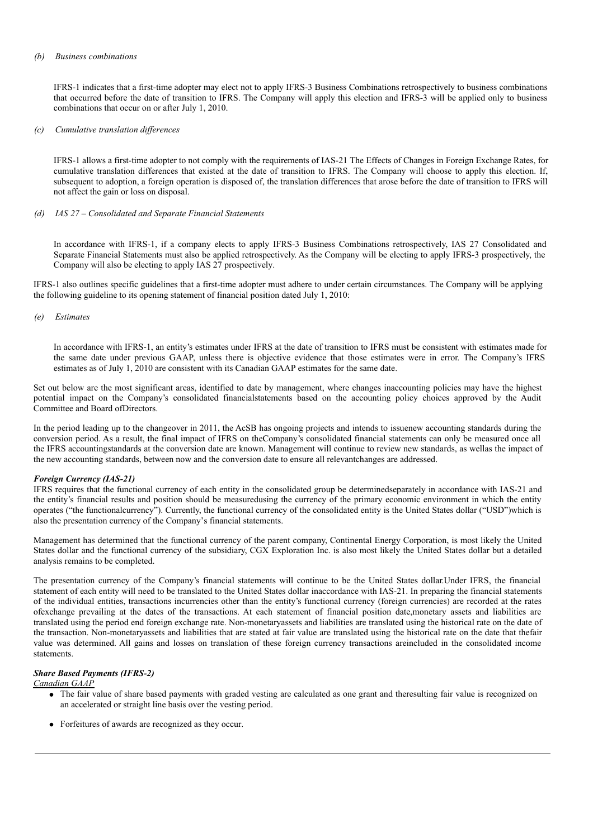#### *(b) Business combinations*

IFRS-1 indicates that a first-time adopter may elect not to apply IFRS-3 Business Combinations retrospectively to business combinations that occurred before the date of transition to IFRS. The Company will apply this election and IFRS-3 will be applied only to business combinations that occur on or after July 1, 2010.

#### *(c) Cumulative translation dif erences*

IFRS-1 allows a first-time adopter to not comply with the requirements of IAS-21 The Effects of Changes in Foreign Exchange Rates, for cumulative translation differences that existed at the date of transition to IFRS. The Company will choose to apply this election. If, subsequent to adoption, a foreign operation is disposed of, the translation differences that arose before the date of transition to IFRS will not affect the gain or loss on disposal.

#### *(d) IAS 27 – Consolidated and Separate Financial Statements*

In accordance with IFRS-1, if a company elects to apply IFRS-3 Business Combinations retrospectively, IAS 27 Consolidated and Separate Financial Statements must also be applied retrospectively. As the Company will be electing to apply IFRS-3 prospectively, the Company will also be electing to apply IAS 27 prospectively.

IFRS-1 also outlines specific guidelines that a first-time adopter must adhere to under certain circumstances. The Company will be applying the following guideline to its opening statement of financial position dated July 1, 2010:

#### *(e) Estimates*

In accordance with IFRS-1, an entity's estimates under IFRS at the date of transition to IFRS must be consistent with estimates made for the same date under previous GAAP, unless there is objective evidence that those estimates were in error. The Company's IFRS estimates as of July 1, 2010 are consistent with its Canadian GAAP estimates for the same date.

Set out below are the most significant areas, identified to date by management, where changes inaccounting policies may have the highest potential impact on the Company's consolidated financialstatements based on the accounting policy choices approved by the Audit Committee and Board ofDirectors.

In the period leading up to the changeover in 2011, the AcSB has ongoing projects and intends to issuenew accounting standards during the conversion period. As a result, the final impact of IFRS on theCompany's consolidated financial statements can only be measured once all the IFRS accountingstandards at the conversion date are known. Management will continue to review new standards, as wellas the impact of the new accounting standards, between now and the conversion date to ensure all relevantchanges are addressed.

### *Foreign Currency (IAS-21)*

IFRS requires that the functional currency of each entity in the consolidated group be determinedseparately in accordance with IAS-21 and the entity's financial results and position should be measuredusing the currency of the primary economic environment in which the entity operates ("the functionalcurrency"). Currently, the functional currency of the consolidated entity is the United States dollar ("USD")which is also the presentation currency of the Company's financial statements.

Management has determined that the functional currency of the parent company, Continental Energy Corporation, is most likely the United States dollar and the functional currency of the subsidiary, CGX Exploration Inc. is also most likely the United States dollar but a detailed analysis remains to be completed.

The presentation currency of the Company's financial statements will continue to be the United States dollar.Under IFRS, the financial statement of each entity will need to be translated to the United States dollar inaccordance with IAS-21. In preparing the financial statements of the individual entities, transactions incurrencies other than the entity's functional currency (foreign currencies) are recorded at the rates ofexchange prevailing at the dates of the transactions. At each statement of financial position date,monetary assets and liabilities are translated using the period end foreign exchange rate. Non-monetaryassets and liabilities are translated using the historical rate on the date of the transaction. Non-monetaryassets and liabilities that are stated at fair value are translated using the historical rate on the date that thefair value was determined. All gains and losses on translation of these foreign currency transactions areincluded in the consolidated income statements.

#### *Share Based Payments (IFRS-2)*

*Canadian GAAP*

- The fair value of share based payments with graded vesting are calculated as one grant and theresulting fair value is recognized on an accelerated or straight line basis over the vesting period.
- Forfeitures of awards are recognized as they occur.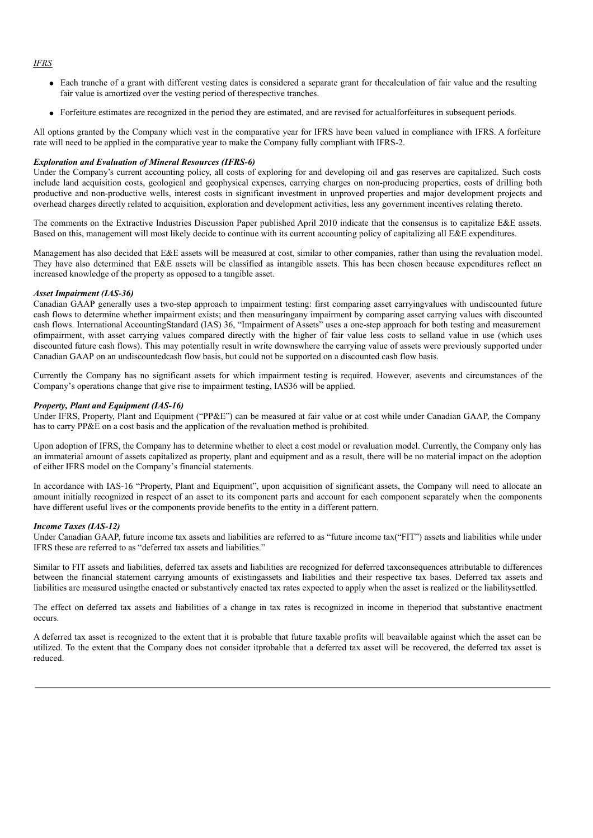### *IFRS*

- Each tranche of a grant with different vesting dates is considered a separate grant for thecalculation of fair value and the resulting fair value is amortized over the vesting period of therespective tranches.
- Forfeiture estimates are recognized in the period they are estimated, and are revised for actualforfeitures in subsequent periods.

All options granted by the Company which vest in the comparative year for IFRS have been valued in compliance with IFRS. A forfeiture rate will need to be applied in the comparative year to make the Company fully compliant with IFRS-2.

### *Exploration and Evaluation of Mineral Resources (IFRS-6)*

Under the Company's current accounting policy, all costs of exploring for and developing oil and gas reserves are capitalized. Such costs include land acquisition costs, geological and geophysical expenses, carrying charges on non-producing properties, costs of drilling both productive and non-productive wells, interest costs in significant investment in unproved properties and major development projects and overhead charges directly related to acquisition, exploration and development activities, less any government incentives relating thereto.

The comments on the Extractive Industries Discussion Paper published April 2010 indicate that the consensus is to capitalize E&E assets. Based on this, management will most likely decide to continue with its current accounting policy of capitalizing all E&E expenditures.

Management has also decided that E&E assets will be measured at cost, similar to other companies, rather than using the revaluation model. They have also determined that E&E assets will be classified as intangible assets. This has been chosen because expenditures reflect an increased knowledge of the property as opposed to a tangible asset.

#### *Asset Impairment (IAS-36)*

Canadian GAAP generally uses a two-step approach to impairment testing: first comparing asset carryingvalues with undiscounted future cash flows to determine whether impairment exists; and then measuringany impairment by comparing asset carrying values with discounted cash flows. International AccountingStandard (IAS) 36, "Impairment of Assets" uses a one-step approach for both testing and measurement ofimpairment, with asset carrying values compared directly with the higher of fair value less costs to selland value in use (which uses discounted future cash flows). This may potentially result in write downswhere the carrying value of assets were previously supported under Canadian GAAP on an undiscountedcash flow basis, but could not be supported on a discounted cash flow basis.

Currently the Company has no significant assets for which impairment testing is required. However, asevents and circumstances of the Company's operations change that give rise to impairment testing, IAS36 will be applied.

### *Property, Plant and Equipment (IAS-16)*

Under IFRS, Property, Plant and Equipment ("PP&E") can be measured at fair value or at cost while under Canadian GAAP, the Company has to carry PP&E on a cost basis and the application of the revaluation method is prohibited.

Upon adoption of IFRS, the Company has to determine whether to elect a cost model or revaluation model. Currently, the Company only has an immaterial amount of assets capitalized as property, plant and equipment and as a result, there will be no material impact on the adoption of either IFRS model on the Company's financial statements.

In accordance with IAS-16 "Property, Plant and Equipment", upon acquisition of significant assets, the Company will need to allocate an amount initially recognized in respect of an asset to its component parts and account for each component separately when the components have different useful lives or the components provide benefits to the entity in a different pattern.

#### *Income Taxes (IAS-12)*

Under Canadian GAAP, future income tax assets and liabilities are referred to as "future income tax("FIT") assets and liabilities while under IFRS these are referred to as "deferred tax assets and liabilities."

Similar to FIT assets and liabilities, deferred tax assets and liabilities are recognized for deferred taxconsequences attributable to differences between the financial statement carrying amounts of existingassets and liabilities and their respective tax bases. Deferred tax assets and liabilities are measured usingthe enacted or substantively enacted tax rates expected to apply when the asset is realized or the liabilitysettled.

The effect on deferred tax assets and liabilities of a change in tax rates is recognized in income in theperiod that substantive enactment occurs.

A deferred tax asset is recognized to the extent that it is probable that future taxable profits will beavailable against which the asset can be utilized. To the extent that the Company does not consider itprobable that a deferred tax asset will be recovered, the deferred tax asset is reduced.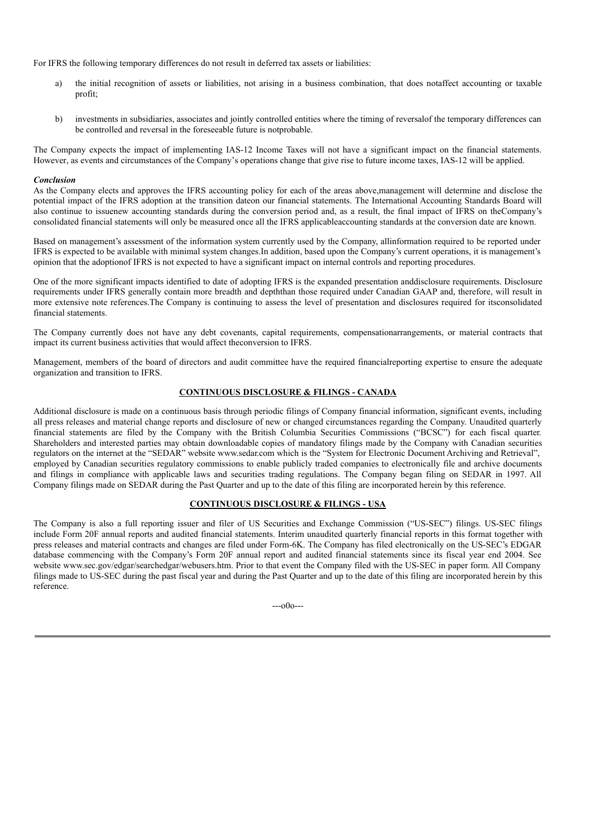For IFRS the following temporary differences do not result in deferred tax assets or liabilities:

- a) the initial recognition of assets or liabilities, not arising in a business combination, that does notaffect accounting or taxable profit;
- b) investments in subsidiaries, associates and jointly controlled entities where the timing of reversalof the temporary differences can be controlled and reversal in the foreseeable future is notprobable.

The Company expects the impact of implementing IAS-12 Income Taxes will not have a significant impact on the financial statements. However, as events and circumstances of the Company's operations change that give rise to future income taxes, IAS-12 will be applied.

#### *Conclusion*

As the Company elects and approves the IFRS accounting policy for each of the areas above,management will determine and disclose the potential impact of the IFRS adoption at the transition dateon our financial statements. The International Accounting Standards Board will also continue to issuenew accounting standards during the conversion period and, as a result, the final impact of IFRS on theCompany's consolidated financial statements will only be measured once all the IFRS applicableaccounting standards at the conversion date are known.

Based on management's assessment of the information system currently used by the Company, allinformation required to be reported under IFRS is expected to be available with minimal system changes.In addition, based upon the Company's current operations, it is management's opinion that the adoptionof IFRS is not expected to have a significant impact on internal controls and reporting procedures.

One of the more significant impacts identified to date of adopting IFRS is the expanded presentation anddisclosure requirements. Disclosure requirements under IFRS generally contain more breadth and depththan those required under Canadian GAAP and, therefore, will result in more extensive note references.The Company is continuing to assess the level of presentation and disclosures required for itsconsolidated financial statements.

The Company currently does not have any debt covenants, capital requirements, compensationarrangements, or material contracts that impact its current business activities that would affect theconversion to IFRS.

Management, members of the board of directors and audit committee have the required financialreporting expertise to ensure the adequate organization and transition to IFRS.

# **CONTINUOUS DISCLOSURE & FILINGS - CANADA**

Additional disclosure is made on a continuous basis through periodic filings of Company financial information, significant events, including all press releases and material change reports and disclosure of new or changed circumstances regarding the Company. Unaudited quarterly financial statements are filed by the Company with the British Columbia Securities Commissions ("BCSC") for each fiscal quarter. Shareholders and interested parties may obtain downloadable copies of mandatory filings made by the Company with Canadian securities regulators on the internet at the "SEDAR" website www.sedar.com which is the "System for Electronic Document Archiving and Retrieval", employed by Canadian securities regulatory commissions to enable publicly traded companies to electronically file and archive documents and filings in compliance with applicable laws and securities trading regulations. The Company began filing on SEDAR in 1997. All Company filings made on SEDAR during the Past Quarter and up to the date of this filing are incorporated herein by this reference.

### **CONTINUOUS DISCLOSURE & FILINGS - USA**

The Company is also a full reporting issuer and filer of US Securities and Exchange Commission ("US-SEC") filings. US-SEC filings include Form 20F annual reports and audited financial statements. Interim unaudited quarterly financial reports in this format together with press releases and material contracts and changes are filed under Form-6K. The Company has filed electronically on the US-SEC's EDGAR database commencing with the Company's Form 20F annual report and audited financial statements since its fiscal year end 2004. See website www.sec.gov/edgar/searchedgar/webusers.htm. Prior to that event the Company filed with the US-SEC in paper form. All Company filings made to US-SEC during the past fiscal year and during the Past Quarter and up to the date of this filing are incorporated herein by this reference.

---o0o---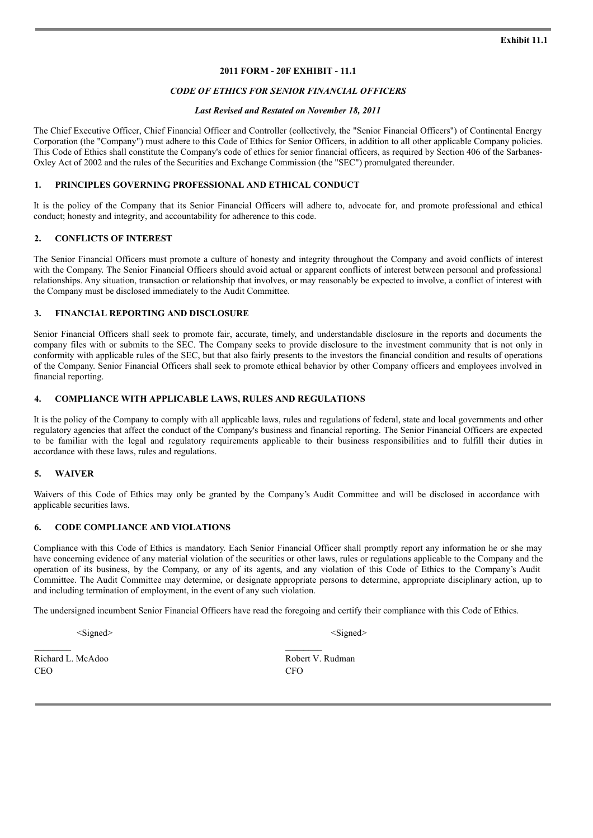# **2011 FORM - 20F EXHIBIT - 11.1**

### *CODE OF ETHICS FOR SENIOR FINANCIAL OFFICERS*

#### *Last Revised and Restated on November 18, 2011*

The Chief Executive Officer, Chief Financial Officer and Controller (collectively, the "Senior Financial Officers") of Continental Energy Corporation (the "Company") must adhere to this Code of Ethics for Senior Officers, in addition to all other applicable Company policies. This Code of Ethics shall constitute the Company's code of ethics for senior financial officers, as required by Section 406 of the Sarbanes-Oxley Act of 2002 and the rules of the Securities and Exchange Commission (the "SEC") promulgated thereunder.

### **1. PRINCIPLES GOVERNING PROFESSIONAL AND ETHICAL CONDUCT**

It is the policy of the Company that its Senior Financial Officers will adhere to, advocate for, and promote professional and ethical conduct; honesty and integrity, and accountability for adherence to this code.

### **2. CONFLICTS OF INTEREST**

The Senior Financial Officers must promote a culture of honesty and integrity throughout the Company and avoid conflicts of interest with the Company. The Senior Financial Officers should avoid actual or apparent conflicts of interest between personal and professional relationships. Any situation, transaction or relationship that involves, or may reasonably be expected to involve, a conflict of interest with the Company must be disclosed immediately to the Audit Committee.

### **3. FINANCIAL REPORTING AND DISCLOSURE**

Senior Financial Officers shall seek to promote fair, accurate, timely, and understandable disclosure in the reports and documents the company files with or submits to the SEC. The Company seeks to provide disclosure to the investment community that is not only in conformity with applicable rules of the SEC, but that also fairly presents to the investors the financial condition and results of operations of the Company. Senior Financial Officers shall seek to promote ethical behavior by other Company officers and employees involved in financial reporting.

### **4. COMPLIANCE WITH APPLICABLE LAWS, RULES AND REGULATIONS**

It is the policy of the Company to comply with all applicable laws, rules and regulations of federal, state and local governments and other regulatory agencies that affect the conduct of the Company's business and financial reporting. The Senior Financial Officers are expected to be familiar with the legal and regulatory requirements applicable to their business responsibilities and to fulfill their duties in accordance with these laws, rules and regulations.

### **5. WAIVER**

Waivers of this Code of Ethics may only be granted by the Company's Audit Committee and will be disclosed in accordance with applicable securities laws.

#### **6. CODE COMPLIANCE AND VIOLATIONS**

Compliance with this Code of Ethics is mandatory. Each Senior Financial Officer shall promptly report any information he or she may have concerning evidence of any material violation of the securities or other laws, rules or regulations applicable to the Company and the operation of its business, by the Company, or any of its agents, and any violation of this Code of Ethics to the Company's Audit Committee. The Audit Committee may determine, or designate appropriate persons to determine, appropriate disciplinary action, up to and including termination of employment, in the event of any such violation.

The undersigned incumbent Senior Financial Officers have read the foregoing and certify their compliance with this Code of Ethics.

<Signed> <Signed>

Richard L. McAdoo Robert V. Rudman CEO CFO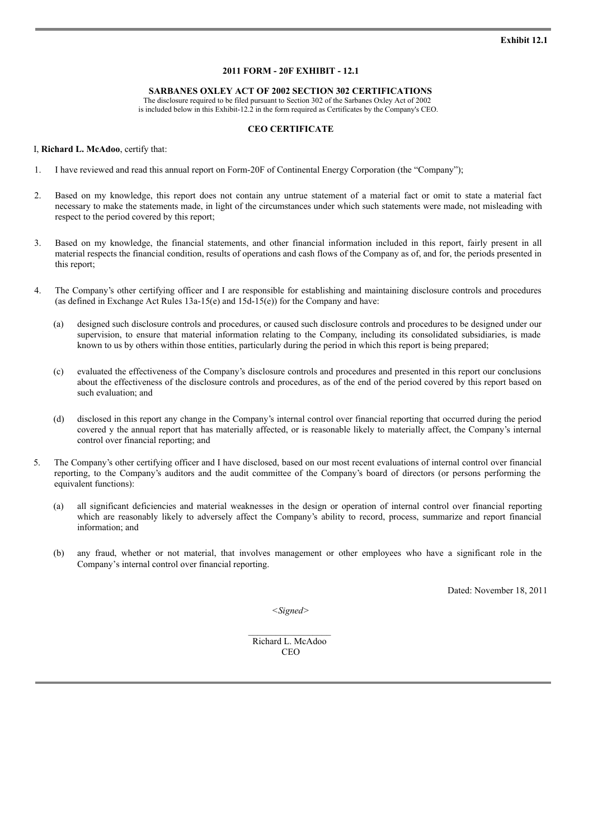# **2011 FORM - 20F EXHIBIT - 12.1**

#### **SARBANES OXLEY ACT OF 2002 SECTION 302 CERTIFICATIONS**

The disclosure required to be filed pursuant to Section 302 of the Sarbanes Oxley Act of 2002 is included below in this Exhibit-12.2 in the form required as Certificates by the Company's CEO.

### **CEO CERTIFICATE**

#### I, **Richard L. McAdoo**, certify that:

- 1. I have reviewed and read this annual report on Form-20F of Continental Energy Corporation (the "Company");
- 2. Based on my knowledge, this report does not contain any untrue statement of a material fact or omit to state a material fact necessary to make the statements made, in light of the circumstances under which such statements were made, not misleading with respect to the period covered by this report;
- 3. Based on my knowledge, the financial statements, and other financial information included in this report, fairly present in all material respects the financial condition, results of operations and cash flows of the Company as of, and for, the periods presented in this report;
- 4. The Company's other certifying officer and I are responsible for establishing and maintaining disclosure controls and procedures (as defined in Exchange Act Rules 13a-15(e) and 15d-15(e)) for the Company and have:
	- (a) designed such disclosure controls and procedures, or caused such disclosure controls and procedures to be designed under our supervision, to ensure that material information relating to the Company, including its consolidated subsidiaries, is made known to us by others within those entities, particularly during the period in which this report is being prepared;
	- (c) evaluated the effectiveness of the Company's disclosure controls and procedures and presented in this report our conclusions about the effectiveness of the disclosure controls and procedures, as of the end of the period covered by this report based on such evaluation; and
	- (d) disclosed in this report any change in the Company's internal control over financial reporting that occurred during the period covered y the annual report that has materially affected, or is reasonable likely to materially affect, the Company's internal control over financial reporting; and
- 5. The Company's other certifying officer and I have disclosed, based on our most recent evaluations of internal control over financial reporting, to the Company's auditors and the audit committee of the Company's board of directors (or persons performing the equivalent functions):
	- (a) all significant deficiencies and material weaknesses in the design or operation of internal control over financial reporting which are reasonably likely to adversely affect the Company's ability to record, process, summarize and report financial information; and
	- (b) any fraud, whether or not material, that involves management or other employees who have a significant role in the Company's internal control over financial reporting.

Dated: November 18, 2011

*<Signed>*

Richard L. McAdoo **CEO**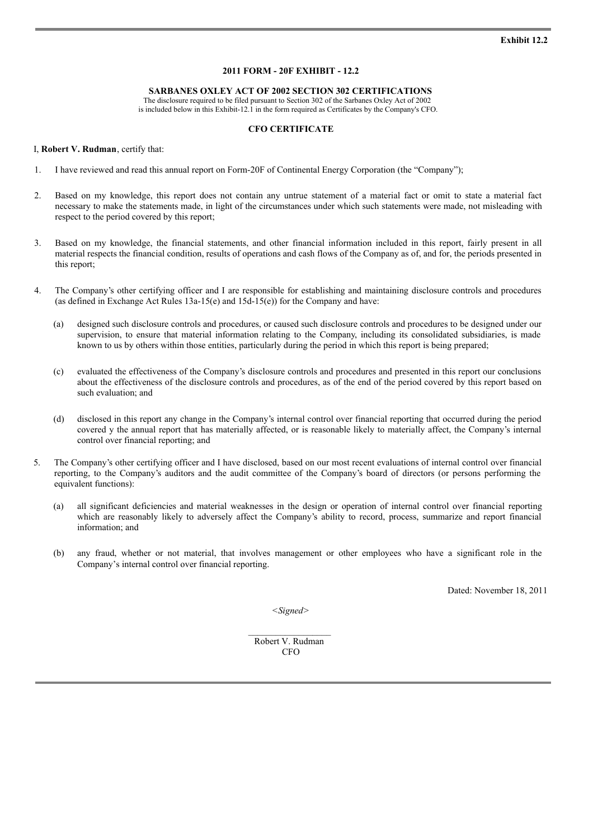# **2011 FORM - 20F EXHIBIT - 12.2**

#### **SARBANES OXLEY ACT OF 2002 SECTION 302 CERTIFICATIONS**

The disclosure required to be filed pursuant to Section 302 of the Sarbanes Oxley Act of 2002 is included below in this Exhibit-12.1 in the form required as Certificates by the Company's CFO.

### **CFO CERTIFICATE**

#### I, **Robert V. Rudman**, certify that:

- 1. I have reviewed and read this annual report on Form-20F of Continental Energy Corporation (the "Company");
- 2. Based on my knowledge, this report does not contain any untrue statement of a material fact or omit to state a material fact necessary to make the statements made, in light of the circumstances under which such statements were made, not misleading with respect to the period covered by this report;
- 3. Based on my knowledge, the financial statements, and other financial information included in this report, fairly present in all material respects the financial condition, results of operations and cash flows of the Company as of, and for, the periods presented in this report;
- 4. The Company's other certifying officer and I are responsible for establishing and maintaining disclosure controls and procedures (as defined in Exchange Act Rules 13a-15(e) and 15d-15(e)) for the Company and have:
	- (a) designed such disclosure controls and procedures, or caused such disclosure controls and procedures to be designed under our supervision, to ensure that material information relating to the Company, including its consolidated subsidiaries, is made known to us by others within those entities, particularly during the period in which this report is being prepared;
	- (c) evaluated the effectiveness of the Company's disclosure controls and procedures and presented in this report our conclusions about the effectiveness of the disclosure controls and procedures, as of the end of the period covered by this report based on such evaluation; and
	- (d) disclosed in this report any change in the Company's internal control over financial reporting that occurred during the period covered y the annual report that has materially affected, or is reasonable likely to materially affect, the Company's internal control over financial reporting; and
- 5. The Company's other certifying officer and I have disclosed, based on our most recent evaluations of internal control over financial reporting, to the Company's auditors and the audit committee of the Company's board of directors (or persons performing the equivalent functions):
	- (a) all significant deficiencies and material weaknesses in the design or operation of internal control over financial reporting which are reasonably likely to adversely affect the Company's ability to record, process, summarize and report financial information; and
	- (b) any fraud, whether or not material, that involves management or other employees who have a significant role in the Company's internal control over financial reporting.

Dated: November 18, 2011

*<Signed>*

Robert V. Rudman **CFO**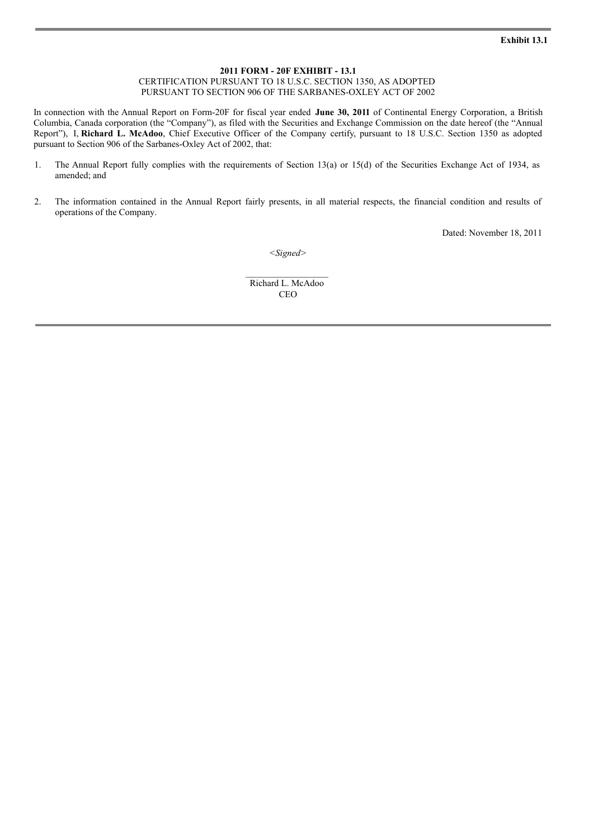# **2011 FORM - 20F EXHIBIT - 13.1**

CERTIFICATION PURSUANT TO 18 U.S.C. SECTION 1350, AS ADOPTED PURSUANT TO SECTION 906 OF THE SARBANES-OXLEY ACT OF 2002

In connection with the Annual Report on Form-20F for fiscal year ended **June 30, 2011** of Continental Energy Corporation, a British Columbia, Canada corporation (the "Company"), as filed with the Securities and Exchange Commission on the date hereof (the "Annual Report"), I, **Richard L. McAdoo**, Chief Executive Officer of the Company certify, pursuant to 18 U.S.C. Section 1350 as adopted pursuant to Section 906 of the Sarbanes-Oxley Act of 2002, that:

- 1. The Annual Report fully complies with the requirements of Section 13(a) or 15(d) of the Securities Exchange Act of 1934, as amended; and
- 2. The information contained in the Annual Report fairly presents, in all material respects, the financial condition and results of operations of the Company.

Dated: November 18, 2011

*<Signed>*

Richard L. McAdoo **CEO**